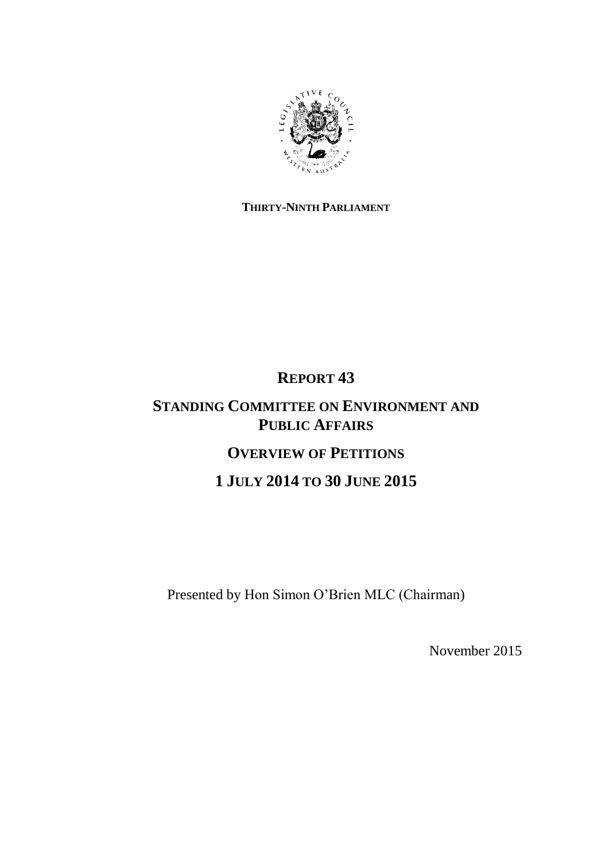

# **THIRTY-NINTH PARLIAMENT**

# **REPORT 43**

# **STANDING COMMITTEE ON ENVIRONMENT AND PUBLIC AFFAIRS OVERVIEW OF PETITIONS**

**1 JULY 2014 TO 30 JUNE 2015**

Presented by Hon Simon O'Brien MLC (Chairman)

November 2015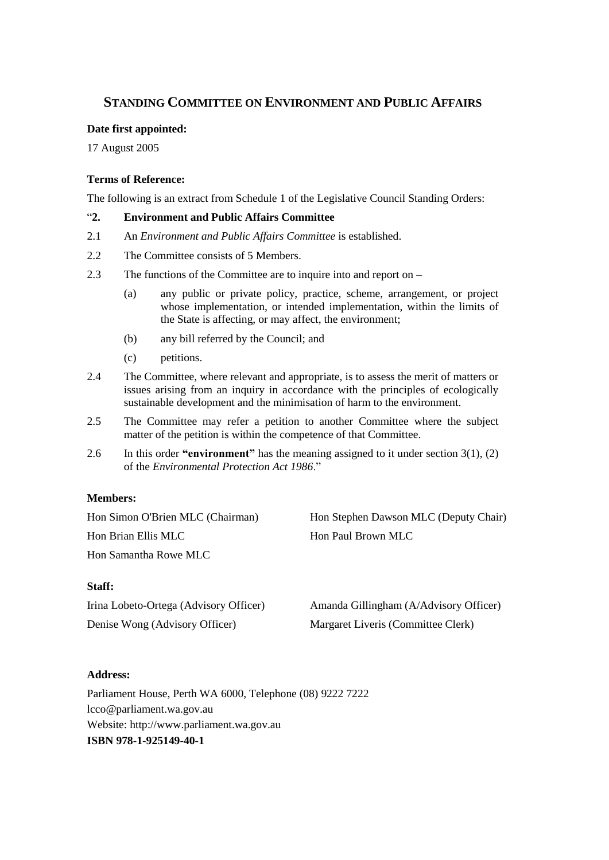# **STANDING COMMITTEE ON ENVIRONMENT AND PUBLIC AFFAIRS**

### **Date first appointed:**

17 August 2005

### **Terms of Reference:**

The following is an extract from Schedule 1 of the Legislative Council Standing Orders:

### ―**2. Environment and Public Affairs Committee**

- 2.1 An *Environment and Public Affairs Committee* is established.
- 2.2 The Committee consists of 5 Members.
- 2.3 The functions of the Committee are to inquire into and report on
	- (a) any public or private policy, practice, scheme, arrangement, or project whose implementation, or intended implementation, within the limits of the State is affecting, or may affect, the environment;
	- (b) any bill referred by the Council; and
	- (c) petitions.
- 2.4 The Committee, where relevant and appropriate, is to assess the merit of matters or issues arising from an inquiry in accordance with the principles of ecologically sustainable development and the minimisation of harm to the environment.
- 2.5 The Committee may refer a petition to another Committee where the subject matter of the petition is within the competence of that Committee.
- 2.6 In this order **"environment"** has the meaning assigned to it under section 3(1), (2) of the *Environmental Protection Act 1986*."

# **Members:**

Hon Simon O'Brien MLC (Chairman) Hon Stephen Dawson MLC (Deputy Chair) Hon Brian Ellis MLC Hon Paul Brown MLC Hon Samantha Rowe MLC

**Staff:**

| Irina Lobeto-Ortega (Advisory Officer) | Amanda Gillingham (A/Advisory Officer) |
|----------------------------------------|----------------------------------------|
| Denise Wong (Advisory Officer)         | Margaret Liveris (Committee Clerk)     |

# **Address:**

Parliament House, Perth WA 6000, Telephone (08) 9222 7222 lcco@parliament.wa.gov.au Website: http://www.parliament.wa.gov.au **ISBN 978-1-925149-40-1**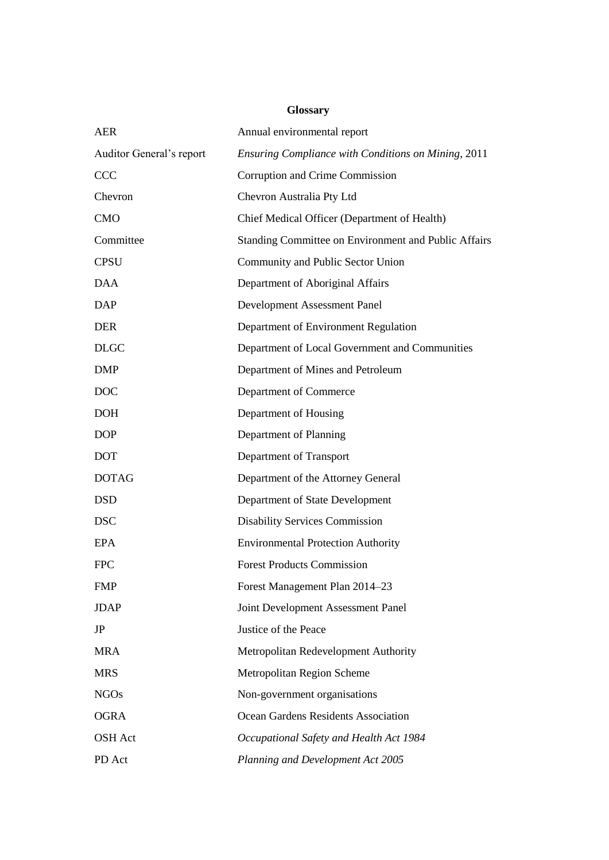# **Glossary**

| <b>AER</b>               | Annual environmental report                          |
|--------------------------|------------------------------------------------------|
| Auditor General's report | Ensuring Compliance with Conditions on Mining, 2011  |
| <b>CCC</b>               | Corruption and Crime Commission                      |
| Chevron                  | Chevron Australia Pty Ltd                            |
| <b>CMO</b>               | Chief Medical Officer (Department of Health)         |
| Committee                | Standing Committee on Environment and Public Affairs |
| <b>CPSU</b>              | Community and Public Sector Union                    |
| <b>DAA</b>               | Department of Aboriginal Affairs                     |
| <b>DAP</b>               | Development Assessment Panel                         |
| <b>DER</b>               | Department of Environment Regulation                 |
| <b>DLGC</b>              | Department of Local Government and Communities       |
| <b>DMP</b>               | Department of Mines and Petroleum                    |
| <b>DOC</b>               | Department of Commerce                               |
| <b>DOH</b>               | Department of Housing                                |
| <b>DOP</b>               | Department of Planning                               |
| <b>DOT</b>               | Department of Transport                              |
| <b>DOTAG</b>             | Department of the Attorney General                   |
| <b>DSD</b>               | Department of State Development                      |
| <b>DSC</b>               | <b>Disability Services Commission</b>                |
| <b>EPA</b>               | <b>Environmental Protection Authority</b>            |
| <b>FPC</b>               | <b>Forest Products Commission</b>                    |
| FMP                      | Forest Management Plan 2014-23                       |
| <b>JDAP</b>              | Joint Development Assessment Panel                   |
| JP                       | Justice of the Peace                                 |
| <b>MRA</b>               | Metropolitan Redevelopment Authority                 |
| <b>MRS</b>               | Metropolitan Region Scheme                           |
| <b>NGOs</b>              | Non-government organisations                         |
| <b>OGRA</b>              | Ocean Gardens Residents Association                  |
| OSH Act                  | Occupational Safety and Health Act 1984              |
| PD Act                   | Planning and Development Act 2005                    |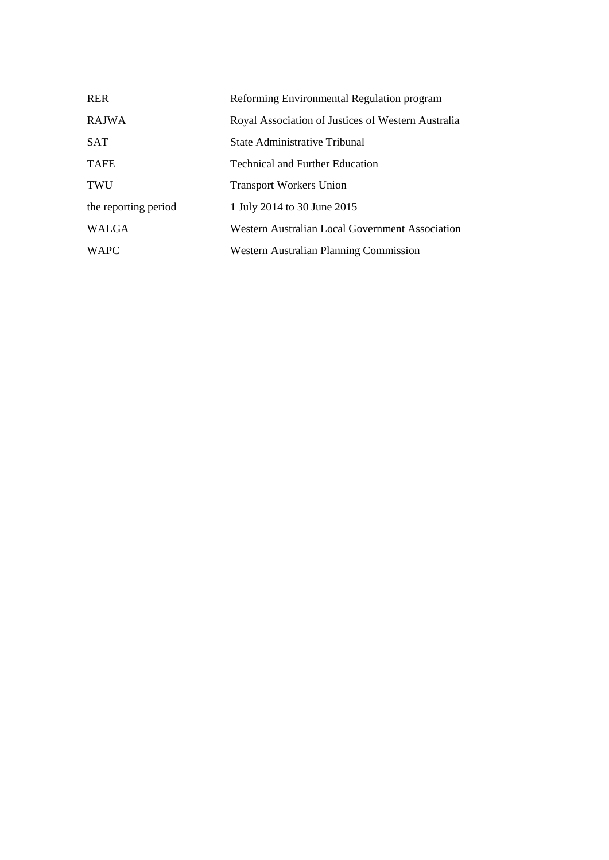| <b>RER</b>           | Reforming Environmental Regulation program         |
|----------------------|----------------------------------------------------|
| <b>RAJWA</b>         | Royal Association of Justices of Western Australia |
| <b>SAT</b>           | State Administrative Tribunal                      |
| <b>TAFE</b>          | <b>Technical and Further Education</b>             |
| TWU                  | <b>Transport Workers Union</b>                     |
| the reporting period | 1 July 2014 to 30 June 2015                        |
| <b>WALGA</b>         | Western Australian Local Government Association    |
| <b>WAPC</b>          | Western Australian Planning Commission             |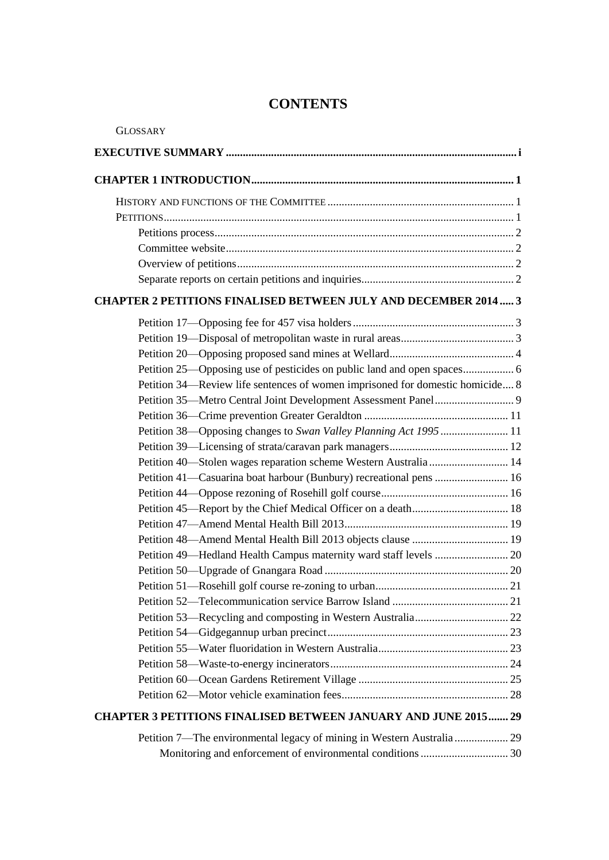# **CONTENTS**

| <b>GLOSSARY</b>                                                               |
|-------------------------------------------------------------------------------|
|                                                                               |
|                                                                               |
|                                                                               |
|                                                                               |
|                                                                               |
|                                                                               |
|                                                                               |
|                                                                               |
| <b>CHAPTER 2 PETITIONS FINALISED BETWEEN JULY AND DECEMBER 2014 3</b>         |
|                                                                               |
|                                                                               |
|                                                                               |
|                                                                               |
| Petition 34—Review life sentences of women imprisoned for domestic homicide 8 |
|                                                                               |
|                                                                               |
| Petition 38—Opposing changes to Swan Valley Planning Act 1995  11             |
|                                                                               |
| Petition 40-Stolen wages reparation scheme Western Australia 14               |
| Petition 41—Casuarina boat harbour (Bunbury) recreational pens  16            |
|                                                                               |
|                                                                               |
|                                                                               |
|                                                                               |
|                                                                               |
|                                                                               |
|                                                                               |
|                                                                               |
|                                                                               |
|                                                                               |
|                                                                               |
|                                                                               |
|                                                                               |
|                                                                               |
| <b>CHAPTER 3 PETITIONS FINALISED BETWEEN JANUARY AND JUNE 2015 29</b>         |
| Petition 7—The environmental legacy of mining in Western Australia  29        |
|                                                                               |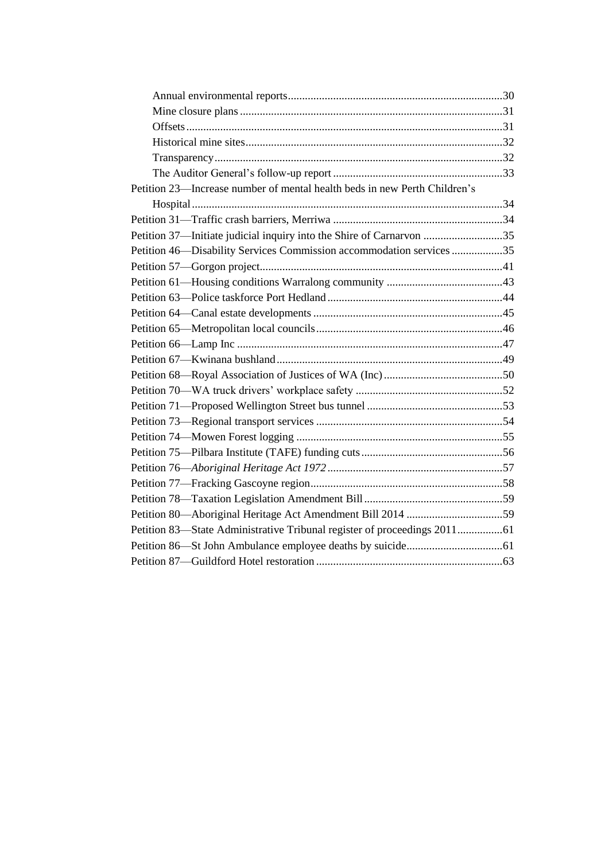| Petition 23—Increase number of mental health beds in new Perth Children's |  |
|---------------------------------------------------------------------------|--|
|                                                                           |  |
|                                                                           |  |
| Petition 37-Initiate judicial inquiry into the Shire of Carnarvon 35      |  |
| Petition 46—Disability Services Commission accommodation services 35      |  |
|                                                                           |  |
|                                                                           |  |
|                                                                           |  |
|                                                                           |  |
|                                                                           |  |
|                                                                           |  |
|                                                                           |  |
|                                                                           |  |
|                                                                           |  |
|                                                                           |  |
|                                                                           |  |
|                                                                           |  |
|                                                                           |  |
|                                                                           |  |
|                                                                           |  |
|                                                                           |  |
| Petition 80—Aboriginal Heritage Act Amendment Bill 2014 59                |  |
| Petition 83—State Administrative Tribunal register of proceedings 201161  |  |
|                                                                           |  |
|                                                                           |  |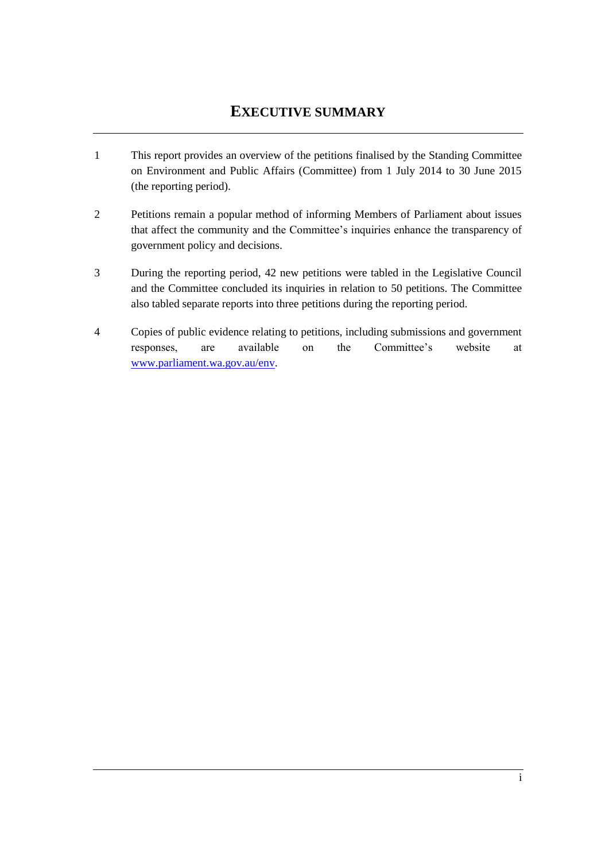# **EXECUTIVE SUMMARY**

- <span id="page-6-0"></span>1 This report provides an overview of the petitions finalised by the Standing Committee on Environment and Public Affairs (Committee) from 1 July 2014 to 30 June 2015 (the reporting period).
- 2 Petitions remain a popular method of informing Members of Parliament about issues that affect the community and the Committee's inquiries enhance the transparency of government policy and decisions.
- 3 During the reporting period, 42 new petitions were tabled in the Legislative Council and the Committee concluded its inquiries in relation to 50 petitions. The Committee also tabled separate reports into three petitions during the reporting period.
- 4 Copies of public evidence relating to petitions, including submissions and government responses, are available on the Committee's website at [www.parliament.wa.gov.au/env.](http://www.parliament.wa.gov.au/env)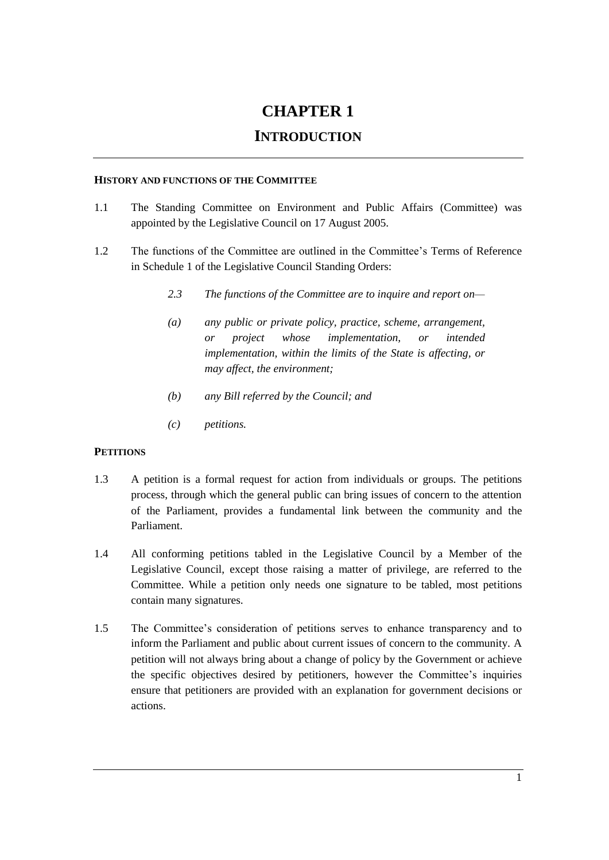# **CHAPTER 1**

# **INTRODUCTION**

#### <span id="page-8-1"></span><span id="page-8-0"></span>**HISTORY AND FUNCTIONS OF THE COMMITTEE**

- 1.1 The Standing Committee on Environment and Public Affairs (Committee) was appointed by the Legislative Council on 17 August 2005.
- 1.2 The functions of the Committee are outlined in the Committee's Terms of Reference in Schedule 1 of the Legislative Council Standing Orders:
	- *2.3 The functions of the Committee are to inquire and report on—*
	- *(a) any public or private policy, practice, scheme, arrangement, or project whose implementation, or intended implementation, within the limits of the State is affecting, or may affect, the environment;*
	- *(b) any Bill referred by the Council; and*
	- *(c) petitions.*

# <span id="page-8-2"></span>**PETITIONS**

- 1.3 A petition is a formal request for action from individuals or groups. The petitions process, through which the general public can bring issues of concern to the attention of the Parliament, provides a fundamental link between the community and the Parliament.
- 1.4 All conforming petitions tabled in the Legislative Council by a Member of the Legislative Council, except those raising a matter of privilege, are referred to the Committee. While a petition only needs one signature to be tabled, most petitions contain many signatures.
- 1.5 The Committee's consideration of petitions serves to enhance transparency and to inform the Parliament and public about current issues of concern to the community. A petition will not always bring about a change of policy by the Government or achieve the specific objectives desired by petitioners, however the Committee's inquiries ensure that petitioners are provided with an explanation for government decisions or actions.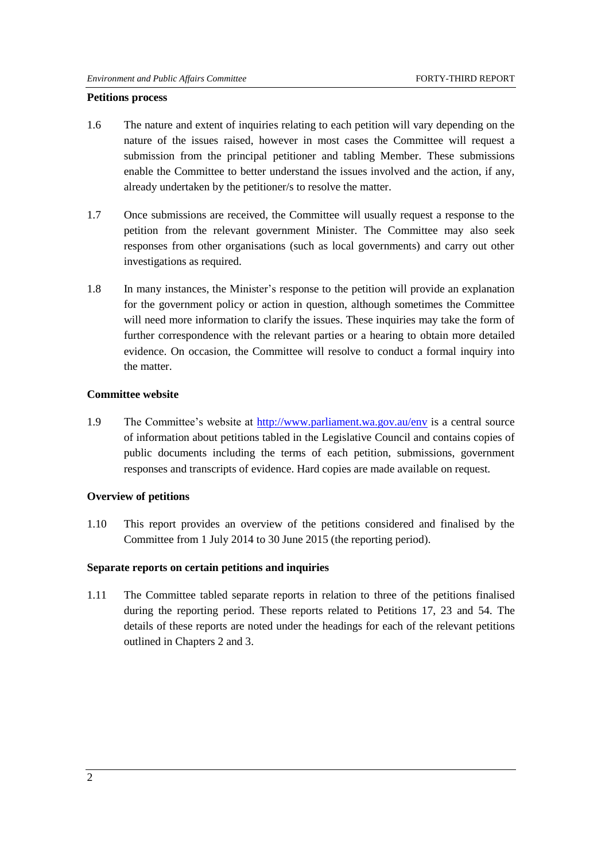#### <span id="page-9-0"></span>**Petitions process**

- 1.6 The nature and extent of inquiries relating to each petition will vary depending on the nature of the issues raised, however in most cases the Committee will request a submission from the principal petitioner and tabling Member. These submissions enable the Committee to better understand the issues involved and the action, if any, already undertaken by the petitioner/s to resolve the matter.
- 1.7 Once submissions are received, the Committee will usually request a response to the petition from the relevant government Minister. The Committee may also seek responses from other organisations (such as local governments) and carry out other investigations as required.
- 1.8 In many instances, the Minister's response to the petition will provide an explanation for the government policy or action in question, although sometimes the Committee will need more information to clarify the issues. These inquiries may take the form of further correspondence with the relevant parties or a hearing to obtain more detailed evidence. On occasion, the Committee will resolve to conduct a formal inquiry into the matter.

#### <span id="page-9-1"></span>**Committee website**

1.9 The Committee's website at<http://www.parliament.wa.gov.au/env> is a central source of information about petitions tabled in the Legislative Council and contains copies of public documents including the terms of each petition, submissions, government responses and transcripts of evidence. Hard copies are made available on request.

### <span id="page-9-2"></span>**Overview of petitions**

1.10 This report provides an overview of the petitions considered and finalised by the Committee from 1 July 2014 to 30 June 2015 (the reporting period).

#### <span id="page-9-3"></span>**Separate reports on certain petitions and inquiries**

1.11 The Committee tabled separate reports in relation to three of the petitions finalised during the reporting period. These reports related to Petitions 17, 23 and 54. The details of these reports are noted under the headings for each of the relevant petitions outlined in Chapters 2 and 3.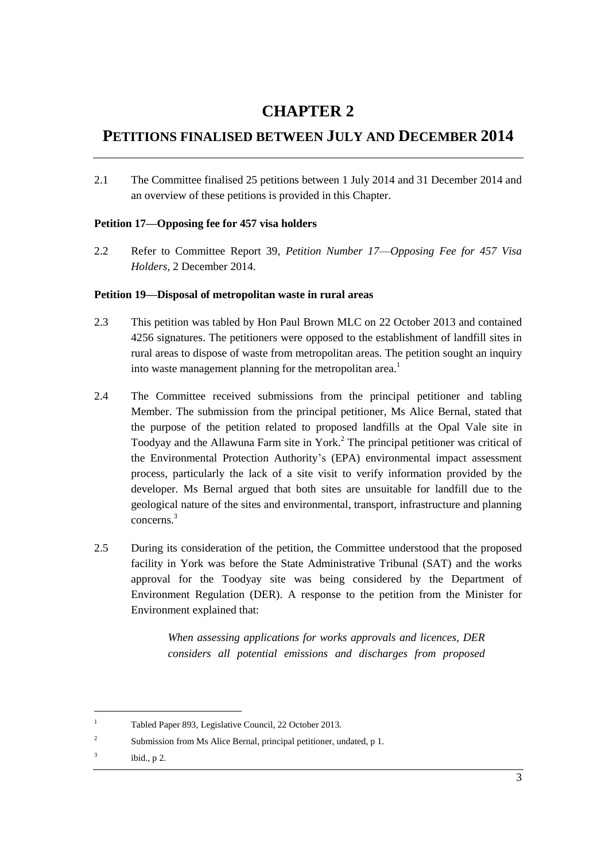# **CHAPTER 2**

# <span id="page-10-0"></span>**PETITIONS FINALISED BETWEEN JULY AND DECEMBER 2014**

2.1 The Committee finalised 25 petitions between 1 July 2014 and 31 December 2014 and an overview of these petitions is provided in this Chapter.

# <span id="page-10-1"></span>**Petition 17—Opposing fee for 457 visa holders**

2.2 Refer to Committee Report 39, *Petition Number 17*—*Opposing Fee for 457 Visa Holders*, 2 December 2014.

### <span id="page-10-2"></span>**Petition 19—Disposal of metropolitan waste in rural areas**

- 2.3 This petition was tabled by Hon Paul Brown MLC on 22 October 2013 and contained 4256 signatures. The petitioners were opposed to the establishment of landfill sites in rural areas to dispose of waste from metropolitan areas. The petition sought an inquiry into waste management planning for the metropolitan area.<sup>1</sup>
- 2.4 The Committee received submissions from the principal petitioner and tabling Member. The submission from the principal petitioner, Ms Alice Bernal, stated that the purpose of the petition related to proposed landfills at the Opal Vale site in Toodyay and the Allawuna Farm site in York. <sup>2</sup> The principal petitioner was critical of the Environmental Protection Authority's (EPA) environmental impact assessment process, particularly the lack of a site visit to verify information provided by the developer. Ms Bernal argued that both sites are unsuitable for landfill due to the geological nature of the sites and environmental, transport, infrastructure and planning concerns.<sup>3</sup>
- 2.5 During its consideration of the petition, the Committee understood that the proposed facility in York was before the State Administrative Tribunal (SAT) and the works approval for the Toodyay site was being considered by the Department of Environment Regulation (DER). A response to the petition from the Minister for Environment explained that:

*When assessing applications for works approvals and licences, DER considers all potential emissions and discharges from proposed* 

l

<sup>1</sup> Tabled Paper 893, Legislative Council, 22 October 2013.

<sup>2</sup> Submission from Ms Alice Bernal, principal petitioner, undated, p 1.

<sup>3</sup> ibid., p 2.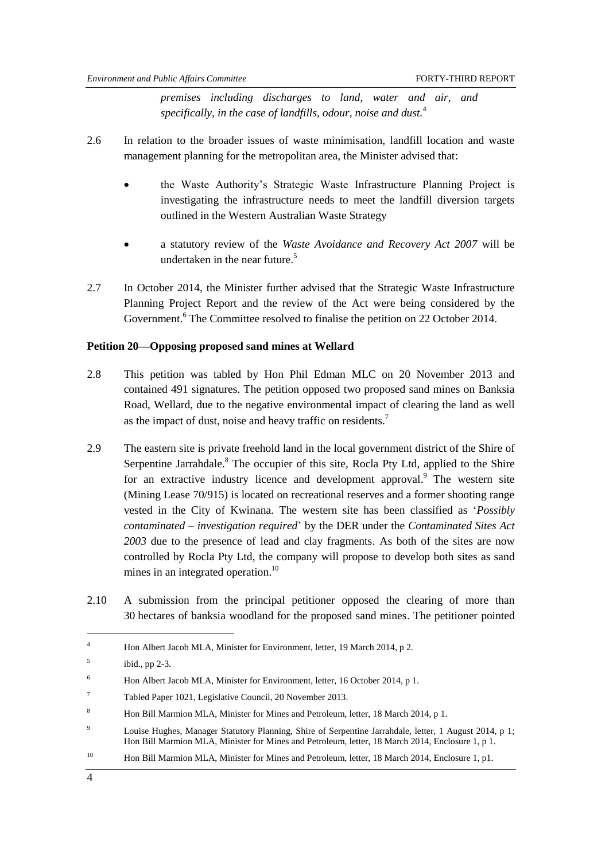*premises including discharges to land, water and air, and specifically, in the case of landfills, odour, noise and dust.*<sup>4</sup>

- 2.6 In relation to the broader issues of waste minimisation, landfill location and waste management planning for the metropolitan area, the Minister advised that:
	- the Waste Authority's Strategic Waste Infrastructure Planning Project is investigating the infrastructure needs to meet the landfill diversion targets outlined in the Western Australian Waste Strategy
	- a statutory review of the *Waste Avoidance and Recovery Act 2007* will be undertaken in the near future. $5$
- 2.7 In October 2014, the Minister further advised that the Strategic Waste Infrastructure Planning Project Report and the review of the Act were being considered by the Government.<sup>6</sup> The Committee resolved to finalise the petition on 22 October 2014.

#### <span id="page-11-0"></span>**Petition 20—Opposing proposed sand mines at Wellard**

- 2.8 This petition was tabled by Hon Phil Edman MLC on 20 November 2013 and contained 491 signatures. The petition opposed two proposed sand mines on Banksia Road, Wellard, due to the negative environmental impact of clearing the land as well as the impact of dust, noise and heavy traffic on residents.<sup>7</sup>
- 2.9 The eastern site is private freehold land in the local government district of the Shire of Serpentine Jarrahdale.<sup>8</sup> The occupier of this site, Rocla Pty Ltd, applied to the Shire for an extractive industry licence and development approval.<sup>9</sup> The western site (Mining Lease 70/915) is located on recreational reserves and a former shooting range vested in the City of Kwinana. The western site has been classified as ‗*Possibly contaminated – investigation required*' by the DER under the *Contaminated Sites Act 2003* due to the presence of lead and clay fragments. As both of the sites are now controlled by Rocla Pty Ltd, the company will propose to develop both sites as sand mines in an integrated operation.<sup>10</sup>
- 2.10 A submission from the principal petitioner opposed the clearing of more than 30 hectares of banksia woodland for the proposed sand mines. The petitioner pointed

<sup>&</sup>lt;sup>4</sup> Hon Albert Jacob MLA, Minister for Environment, letter, 19 March 2014, p 2.

<sup>5</sup> ibid., pp 2-3.

<sup>&</sup>lt;sup>6</sup> Hon Albert Jacob MLA, Minister for Environment, letter, 16 October 2014, p 1.

<sup>7</sup> Tabled Paper 1021, Legislative Council, 20 November 2013.

<sup>8</sup> Hon Bill Marmion MLA, Minister for Mines and Petroleum, letter, 18 March 2014, p 1.

<sup>&</sup>lt;sup>9</sup> Louise Hughes, Manager Statutory Planning, Shire of Serpentine Jarrahdale, letter, 1 August 2014, p 1; Hon Bill Marmion MLA, Minister for Mines and Petroleum, letter, 18 March 2014, Enclosure 1, p 1.

<sup>&</sup>lt;sup>10</sup> Hon Bill Marmion MLA, Minister for Mines and Petroleum, letter, 18 March 2014, Enclosure 1, p1.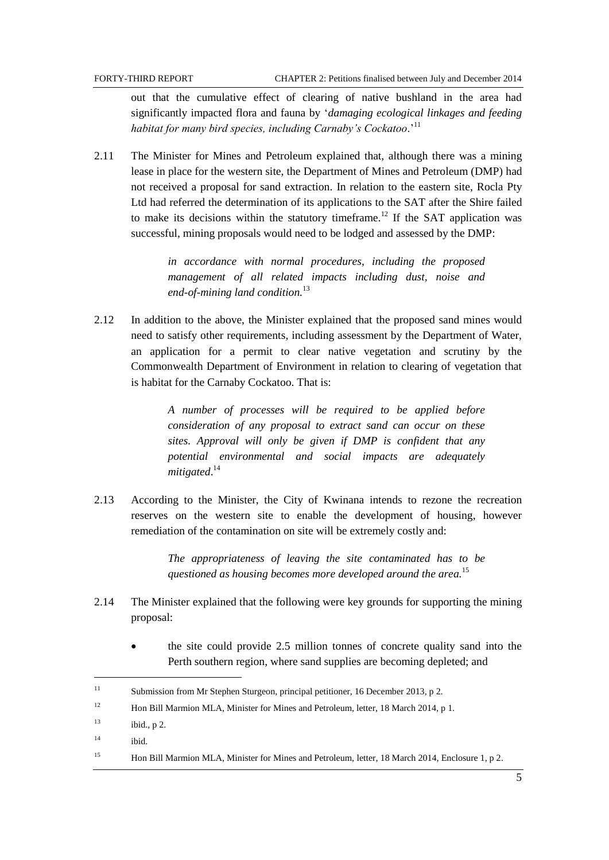$\overline{a}$ 

out that the cumulative effect of clearing of native bushland in the area had significantly impacted flora and fauna by ‗*damaging ecological linkages and feeding habitat for many bird species, including Carnaby's Cockatoo*.'<sup>11</sup>

2.11 The Minister for Mines and Petroleum explained that, although there was a mining lease in place for the western site, the Department of Mines and Petroleum (DMP) had not received a proposal for sand extraction. In relation to the eastern site, Rocla Pty Ltd had referred the determination of its applications to the SAT after the Shire failed to make its decisions within the statutory timeframe.<sup>12</sup> If the SAT application was successful, mining proposals would need to be lodged and assessed by the DMP:

> *in accordance with normal procedures, including the proposed management of all related impacts including dust, noise and end-of-mining land condition.* 13

2.12 In addition to the above, the Minister explained that the proposed sand mines would need to satisfy other requirements, including assessment by the Department of Water, an application for a permit to clear native vegetation and scrutiny by the Commonwealth Department of Environment in relation to clearing of vegetation that is habitat for the Carnaby Cockatoo. That is:

> *A number of processes will be required to be applied before consideration of any proposal to extract sand can occur on these sites. Approval will only be given if DMP is confident that any potential environmental and social impacts are adequately mitigated*. 14

2.13 According to the Minister, the City of Kwinana intends to rezone the recreation reserves on the western site to enable the development of housing, however remediation of the contamination on site will be extremely costly and:

> *The appropriateness of leaving the site contaminated has to be questioned as housing becomes more developed around the area.*<sup>15</sup>

- 2.14 The Minister explained that the following were key grounds for supporting the mining proposal:
	- the site could provide 2.5 million tonnes of concrete quality sand into the Perth southern region, where sand supplies are becoming depleted; and

<sup>11</sup> Submission from Mr Stephen Sturgeon, principal petitioner, 16 December 2013, p 2. <sup>12</sup> Hon Bill Marmion MLA, Minister for Mines and Petroleum, letter, 18 March 2014, p 1.  $13$  ibid., p 2. <sup>14</sup> ibid. <sup>15</sup> Hon Bill Marmion MLA, Minister for Mines and Petroleum, letter, 18 March 2014, Enclosure 1, p 2.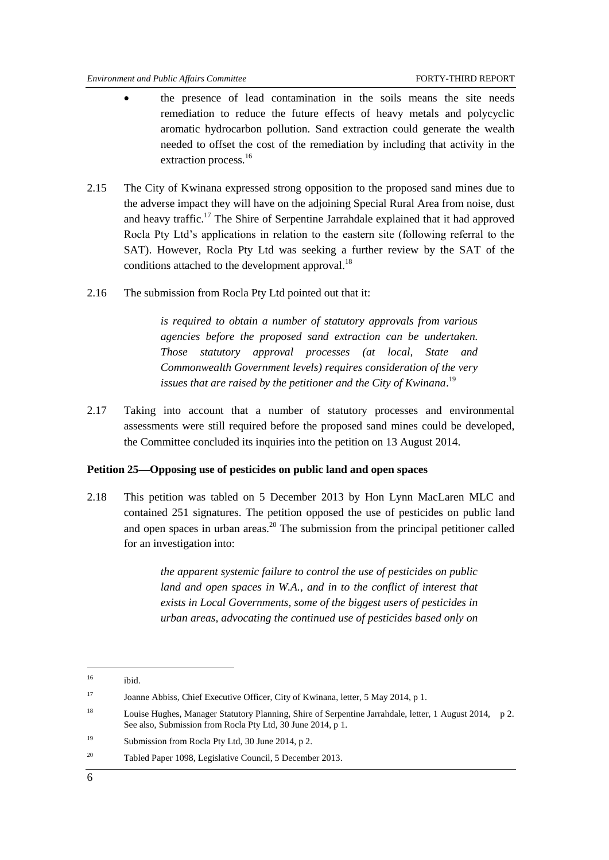- the presence of lead contamination in the soils means the site needs remediation to reduce the future effects of heavy metals and polycyclic aromatic hydrocarbon pollution. Sand extraction could generate the wealth needed to offset the cost of the remediation by including that activity in the extraction process.<sup>16</sup>
- 2.15 The City of Kwinana expressed strong opposition to the proposed sand mines due to the adverse impact they will have on the adjoining Special Rural Area from noise, dust and heavy traffic.<sup>17</sup> The Shire of Serpentine Jarrahdale explained that it had approved Rocla Pty Ltd's applications in relation to the eastern site (following referral to the SAT). However, Rocla Pty Ltd was seeking a further review by the SAT of the conditions attached to the development approval.<sup>18</sup>
- 2.16 The submission from Rocla Pty Ltd pointed out that it:

*is required to obtain a number of statutory approvals from various agencies before the proposed sand extraction can be undertaken. Those statutory approval processes (at local, State and Commonwealth Government levels) requires consideration of the very*  issues that are raised by the petitioner and the City of Kwinana.<sup>19</sup>

2.17 Taking into account that a number of statutory processes and environmental assessments were still required before the proposed sand mines could be developed, the Committee concluded its inquiries into the petition on 13 August 2014.

#### <span id="page-13-0"></span>**Petition 25—Opposing use of pesticides on public land and open spaces**

2.18 This petition was tabled on 5 December 2013 by Hon Lynn MacLaren MLC and contained 251 signatures. The petition opposed the use of pesticides on public land and open spaces in urban areas.<sup>20</sup> The submission from the principal petitioner called for an investigation into:

> *the apparent systemic failure to control the use of pesticides on public*  land and open spaces in W.A., and in to the conflict of interest that *exists in Local Governments, some of the biggest users of pesticides in urban areas, advocating the continued use of pesticides based only on*

- <sup>19</sup> Submission from Rocla Pty Ltd, 30 June 2014, p 2.
- <sup>20</sup> Tabled Paper 1098, Legislative Council, 5 December 2013.

 $^{16}$  ibid.

<sup>17</sup> Joanne Abbiss, Chief Executive Officer, City of Kwinana, letter, 5 May 2014, p 1.

<sup>18</sup> Louise Hughes, Manager Statutory Planning, Shire of Serpentine Jarrahdale, letter, 1 August 2014, p 2. See also, Submission from Rocla Pty Ltd, 30 June 2014, p 1.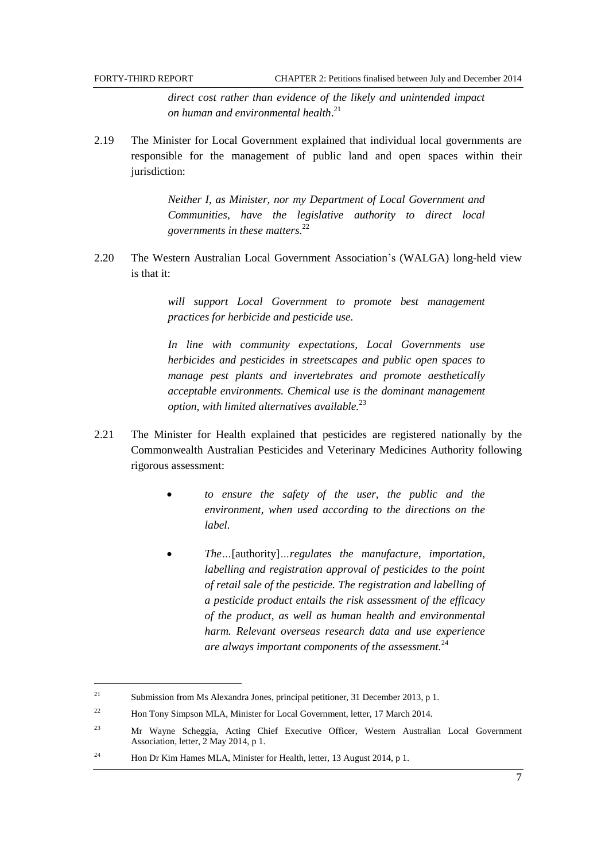$\overline{a}$ 

*direct cost rather than evidence of the likely and unintended impact on human and environmental health*. 21

2.19 The Minister for Local Government explained that individual local governments are responsible for the management of public land and open spaces within their jurisdiction:

> *Neither I, as Minister, nor my Department of Local Government and Communities, have the legislative authority to direct local governments in these matters.*<sup>22</sup>

2.20 The Western Australian Local Government Association's (WALGA) long-held view is that it:

> *will support Local Government to promote best management practices for herbicide and pesticide use.*

> *In line with community expectations, Local Governments use herbicides and pesticides in streetscapes and public open spaces to manage pest plants and invertebrates and promote aesthetically acceptable environments. Chemical use is the dominant management option, with limited alternatives available.*<sup>23</sup>

- 2.21 The Minister for Health explained that pesticides are registered nationally by the Commonwealth Australian Pesticides and Veterinary Medicines Authority following rigorous assessment:
	- *to ensure the safety of the user, the public and the environment, when used according to the directions on the label.*
	- *The…*[authority]*…regulates the manufacture, importation, labelling and registration approval of pesticides to the point of retail sale of the pesticide. The registration and labelling of a pesticide product entails the risk assessment of the efficacy of the product, as well as human health and environmental harm. Relevant overseas research data and use experience are always important components of the assessment.*<sup>24</sup>

<sup>21</sup> Submission from Ms Alexandra Jones, principal petitioner, 31 December 2013, p 1.

<sup>&</sup>lt;sup>22</sup> Hon Tony Simpson MLA, Minister for Local Government, letter, 17 March 2014.

<sup>23</sup> Mr Wayne Scheggia, Acting Chief Executive Officer, Western Australian Local Government Association, letter, 2 May 2014, p 1.

<sup>&</sup>lt;sup>24</sup> Hon Dr Kim Hames MLA, Minister for Health, letter, 13 August 2014, p 1.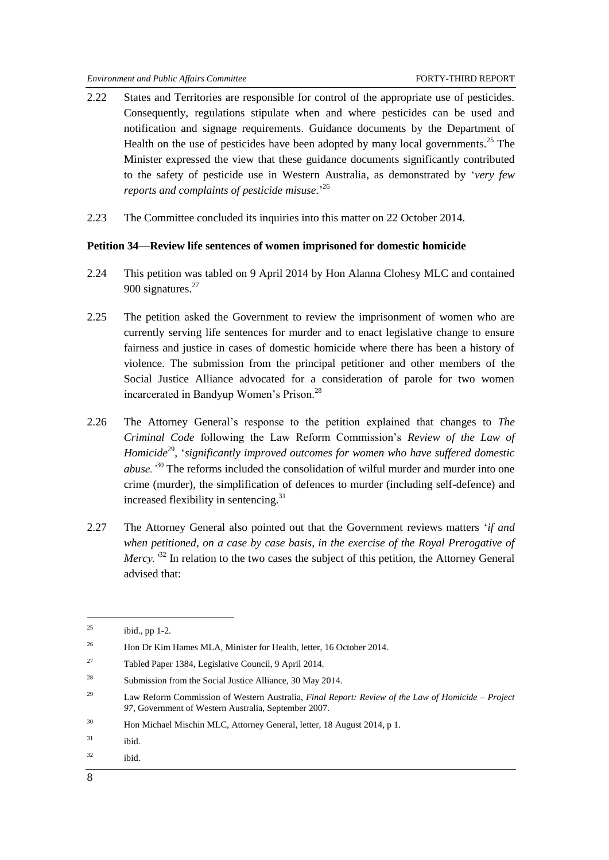- 2.22 States and Territories are responsible for control of the appropriate use of pesticides. Consequently, regulations stipulate when and where pesticides can be used and notification and signage requirements. Guidance documents by the Department of Health on the use of pesticides have been adopted by many local governments.<sup>25</sup> The Minister expressed the view that these guidance documents significantly contributed to the safety of pesticide use in Western Australia, as demonstrated by ‗*very few reports and complaints of pesticide misuse.*' 26
- 2.23 The Committee concluded its inquiries into this matter on 22 October 2014.

#### <span id="page-15-0"></span>**Petition 34—Review life sentences of women imprisoned for domestic homicide**

- 2.24 This petition was tabled on 9 April 2014 by Hon Alanna Clohesy MLC and contained 900 signatures.<sup>27</sup>
- 2.25 The petition asked the Government to review the imprisonment of women who are currently serving life sentences for murder and to enact legislative change to ensure fairness and justice in cases of domestic homicide where there has been a history of violence. The submission from the principal petitioner and other members of the Social Justice Alliance advocated for a consideration of parole for two women incarcerated in Bandyup Women's Prison.<sup>28</sup>
- 2.26 The Attorney General's response to the petition explained that changes to *The Criminal Code* following the Law Reform Commission's *Review of the Law of*  Homicide<sup>29</sup>, 'significantly improved outcomes for women who have suffered domestic *abuse.'*<sup>30</sup> The reforms included the consolidation of wilful murder and murder into one crime (murder), the simplification of defences to murder (including self-defence) and increased flexibility in sentencing.<sup>31</sup>
- 2.27 The Attorney General also pointed out that the Government reviews matters ‗*if and when petitioned, on a case by case basis, in the exercise of the Royal Prerogative of Mercy.*<sup>32</sup> In relation to the two cases the subject of this petition, the Attorney General advised that:

 $32$  ibid.

 $^{25}$  ibid., pp 1-2.

<sup>&</sup>lt;sup>26</sup> Hon Dr Kim Hames MLA, Minister for Health, letter, 16 October 2014.

<sup>27</sup> Tabled Paper 1384, Legislative Council, 9 April 2014.

<sup>28</sup> Submission from the Social Justice Alliance, 30 May 2014.

<sup>29</sup> Law Reform Commission of Western Australia, *Final Report: Review of the Law of Homicide – Project 97*, Government of Western Australia, September 2007.

<sup>&</sup>lt;sup>30</sup> Hon Michael Mischin MLC, Attorney General, letter, 18 August 2014, p 1.

<sup>31</sup> ibid.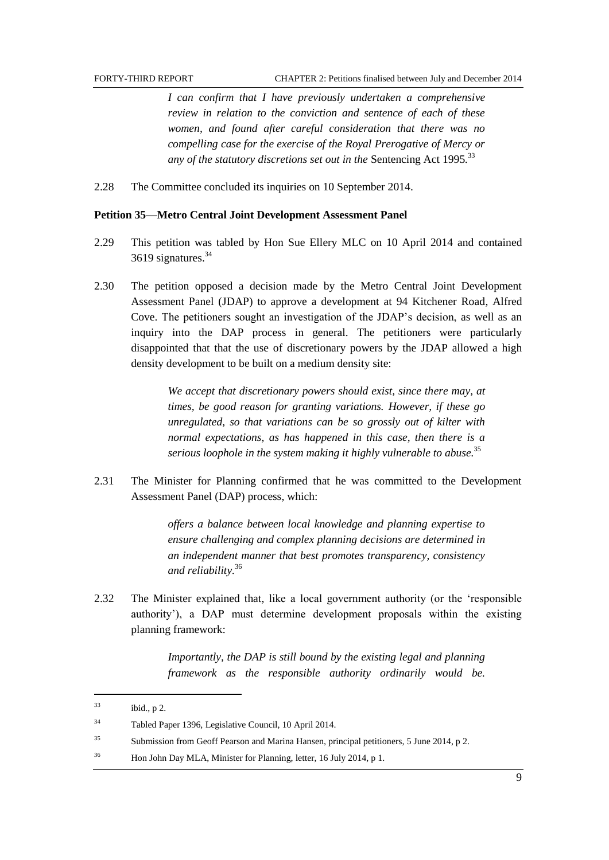*I can confirm that I have previously undertaken a comprehensive review in relation to the conviction and sentence of each of these women, and found after careful consideration that there was no compelling case for the exercise of the Royal Prerogative of Mercy or any of the statutory discretions set out in the* Sentencing Act 1995*.* 33

2.28 The Committee concluded its inquiries on 10 September 2014.

#### <span id="page-16-0"></span>**Petition 35—Metro Central Joint Development Assessment Panel**

- 2.29 This petition was tabled by Hon Sue Ellery MLC on 10 April 2014 and contained 3619 signatures.<sup>34</sup>
- 2.30 The petition opposed a decision made by the Metro Central Joint Development Assessment Panel (JDAP) to approve a development at 94 Kitchener Road, Alfred Cove. The petitioners sought an investigation of the JDAP's decision, as well as an inquiry into the DAP process in general. The petitioners were particularly disappointed that that the use of discretionary powers by the JDAP allowed a high density development to be built on a medium density site:

*We accept that discretionary powers should exist, since there may, at times, be good reason for granting variations. However, if these go unregulated, so that variations can be so grossly out of kilter with normal expectations, as has happened in this case, then there is a serious loophole in the system making it highly vulnerable to abuse.*<sup>35</sup>

2.31 The Minister for Planning confirmed that he was committed to the Development Assessment Panel (DAP) process, which:

> *offers a balance between local knowledge and planning expertise to ensure challenging and complex planning decisions are determined in an independent manner that best promotes transparency, consistency and reliability.*<sup>36</sup>

2.32 The Minister explained that, like a local government authority (or the 'responsible authority'), a DAP must determine development proposals within the existing planning framework:

> *Importantly, the DAP is still bound by the existing legal and planning framework as the responsible authority ordinarily would be.*

l  $^{33}$  ibid., p 2. <sup>34</sup> Tabled Paper 1396, Legislative Council, 10 April 2014. <sup>35</sup> Submission from Geoff Pearson and Marina Hansen, principal petitioners, 5 June 2014, p 2. <sup>36</sup> Hon John Day MLA, Minister for Planning, letter, 16 July 2014, p 1.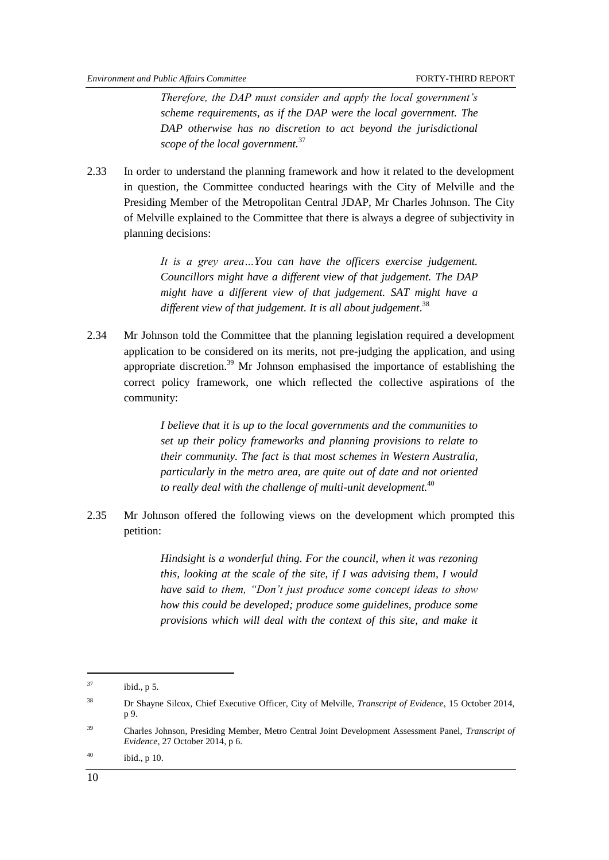*Therefore, the DAP must consider and apply the local government's scheme requirements, as if the DAP were the local government. The DAP otherwise has no discretion to act beyond the jurisdictional scope of the local government.*<sup>37</sup>

2.33 In order to understand the planning framework and how it related to the development in question, the Committee conducted hearings with the City of Melville and the Presiding Member of the Metropolitan Central JDAP, Mr Charles Johnson. The City of Melville explained to the Committee that there is always a degree of subjectivity in planning decisions:

> *It is a grey area…You can have the officers exercise judgement. Councillors might have a different view of that judgement. The DAP might have a different view of that judgement. SAT might have a different view of that judgement. It is all about judgement*. 38

2.34 Mr Johnson told the Committee that the planning legislation required a development application to be considered on its merits, not pre-judging the application, and using appropriate discretion.<sup>39</sup> Mr Johnson emphasised the importance of establishing the correct policy framework, one which reflected the collective aspirations of the community:

> *I believe that it is up to the local governments and the communities to set up their policy frameworks and planning provisions to relate to their community. The fact is that most schemes in Western Australia, particularly in the metro area, are quite out of date and not oriented to really deal with the challenge of multi-unit development.*<sup>40</sup>

2.35 Mr Johnson offered the following views on the development which prompted this petition:

> *Hindsight is a wonderful thing. For the council, when it was rezoning this, looking at the scale of the site, if I was advising them, I would have said to them, ―Don't just produce some concept ideas to show how this could be developed; produce some guidelines, produce some provisions which will deal with the context of this site, and make it*

 $^{37}$  ibid., p 5.

<sup>38</sup> Dr Shayne Silcox, Chief Executive Officer*,* City of Melville, *Transcript of Evidence*, 15 October 2014, p 9.

<sup>39</sup> Charles Johnson, Presiding Member, Metro Central Joint Development Assessment Panel, *Transcript of Evidence*, 27 October 2014, p 6.

 $^{40}$  ibid., p 10.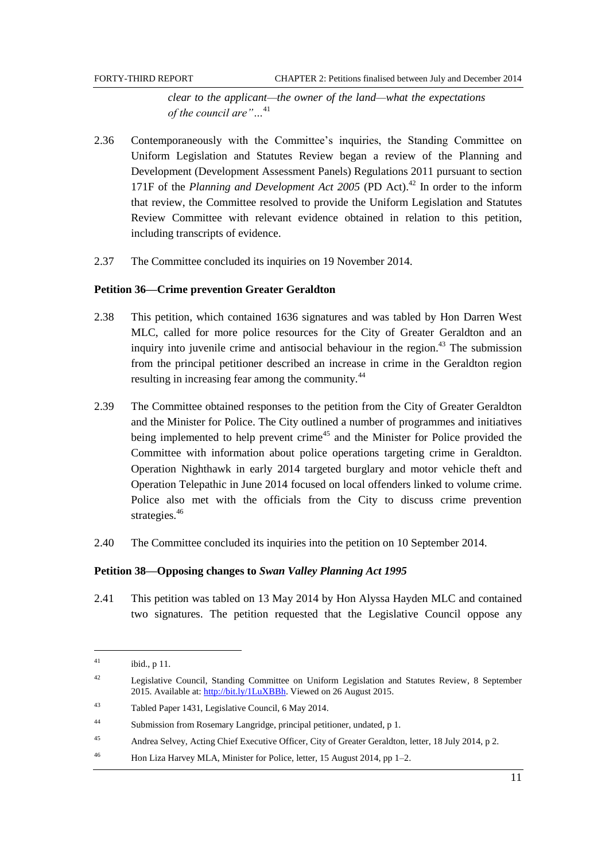*clear to the applicant—the owner of the land—what the expectations of the council are*"...<sup>41</sup>

- 2.36 Contemporaneously with the Committee's inquiries, the Standing Committee on Uniform Legislation and Statutes Review began a review of the Planning and Development (Development Assessment Panels) Regulations 2011 pursuant to section 171F of the *Planning and Development Act 2005* (PD Act). <sup>42</sup> In order to the inform that review, the Committee resolved to provide the Uniform Legislation and Statutes Review Committee with relevant evidence obtained in relation to this petition, including transcripts of evidence.
- 2.37 The Committee concluded its inquiries on 19 November 2014.

#### <span id="page-18-0"></span>**Petition 36—Crime prevention Greater Geraldton**

- 2.38 This petition, which contained 1636 signatures and was tabled by Hon Darren West MLC, called for more police resources for the City of Greater Geraldton and an inquiry into juvenile crime and antisocial behaviour in the region.<sup> $43$ </sup> The submission from the principal petitioner described an increase in crime in the Geraldton region resulting in increasing fear among the community.<sup>44</sup>
- 2.39 The Committee obtained responses to the petition from the City of Greater Geraldton and the Minister for Police. The City outlined a number of programmes and initiatives being implemented to help prevent crime<sup>45</sup> and the Minister for Police provided the Committee with information about police operations targeting crime in Geraldton. Operation Nighthawk in early 2014 targeted burglary and motor vehicle theft and Operation Telepathic in June 2014 focused on local offenders linked to volume crime. Police also met with the officials from the City to discuss crime prevention strategies.<sup>46</sup>
- 2.40 The Committee concluded its inquiries into the petition on 10 September 2014.

#### <span id="page-18-1"></span>**Petition 38—Opposing changes to** *Swan Valley Planning Act 1995*

2.41 This petition was tabled on 13 May 2014 by Hon Alyssa Hayden MLC and contained two signatures. The petition requested that the Legislative Council oppose any

l

 $^{41}$  ibid., p 11.

<sup>42</sup> Legislative Council, Standing Committee on Uniform Legislation and Statutes Review, 8 September 2015. Available at: [http://bit.ly/1LuXBBh.](http://bit.ly/1LuXBBh) Viewed on 26 August 2015.

<sup>43</sup> Tabled Paper 1431, Legislative Council, 6 May 2014.

<sup>44</sup> Submission from Rosemary Langridge, principal petitioner, undated, p 1.

<sup>45</sup> Andrea Selvey, Acting Chief Executive Officer, City of Greater Geraldton, letter, 18 July 2014, p 2.

<sup>46</sup> Hon Liza Harvey MLA, Minister for Police, letter, 15 August 2014, pp 1–2.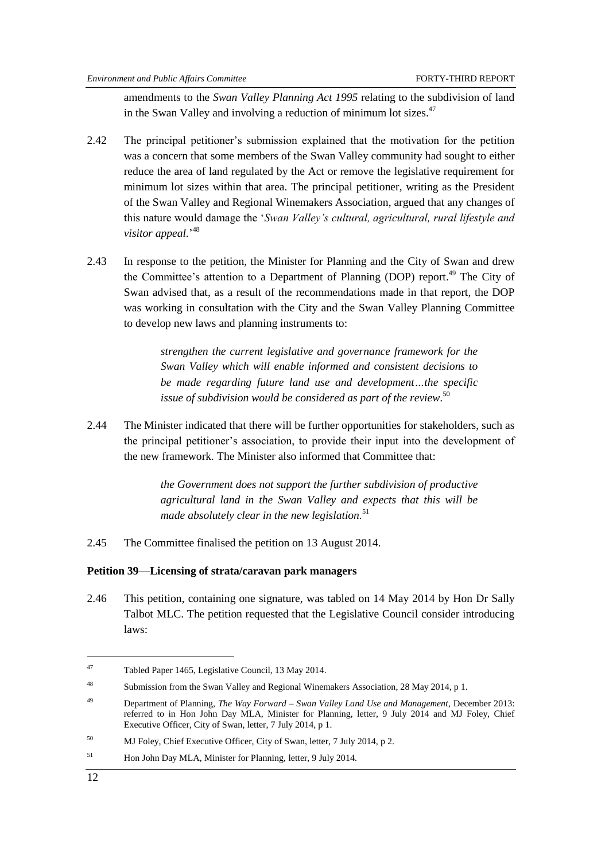amendments to the *Swan Valley Planning Act 1995* relating to the subdivision of land in the Swan Valley and involving a reduction of minimum lot sizes.<sup>47</sup>

- 2.42 The principal petitioner's submission explained that the motivation for the petition was a concern that some members of the Swan Valley community had sought to either reduce the area of land regulated by the Act or remove the legislative requirement for minimum lot sizes within that area. The principal petitioner, writing as the President of the Swan Valley and Regional Winemakers Association, argued that any changes of this nature would damage the ‗*Swan Valley's cultural, agricultural, rural lifestyle and visitor appeal.*' 48
- 2.43 In response to the petition, the Minister for Planning and the City of Swan and drew the Committee's attention to a Department of Planning (DOP) report.<sup>49</sup> The City of Swan advised that, as a result of the recommendations made in that report, the DOP was working in consultation with the City and the Swan Valley Planning Committee to develop new laws and planning instruments to:

*strengthen the current legislative and governance framework for the Swan Valley which will enable informed and consistent decisions to be made regarding future land use and development…the specific issue of subdivision would be considered as part of the review.* 50

2.44 The Minister indicated that there will be further opportunities for stakeholders, such as the principal petitioner's association, to provide their input into the development of the new framework. The Minister also informed that Committee that:

> *the Government does not support the further subdivision of productive agricultural land in the Swan Valley and expects that this will be made absolutely clear in the new legislation.*<sup>51</sup>

2.45 The Committee finalised the petition on 13 August 2014.

#### <span id="page-19-0"></span>**Petition 39—Licensing of strata/caravan park managers**

2.46 This petition, containing one signature, was tabled on 14 May 2014 by Hon Dr Sally Talbot MLC. The petition requested that the Legislative Council consider introducing laws:

<sup>47</sup> Tabled Paper 1465, Legislative Council, 13 May 2014.

<sup>48</sup> Submission from the Swan Valley and Regional Winemakers Association, 28 May 2014, p 1.

<sup>49</sup> Department of Planning, *The Way Forward – Swan Valley Land Use and Management*, December 2013: referred to in Hon John Day MLA, Minister for Planning, letter, 9 July 2014 and MJ Foley, Chief Executive Officer, City of Swan, letter, 7 July 2014, p 1.

<sup>50</sup> MJ Foley, Chief Executive Officer, City of Swan, letter, 7 July 2014, p 2.

<sup>&</sup>lt;sup>51</sup> Hon John Day MLA, Minister for Planning, letter, 9 July 2014.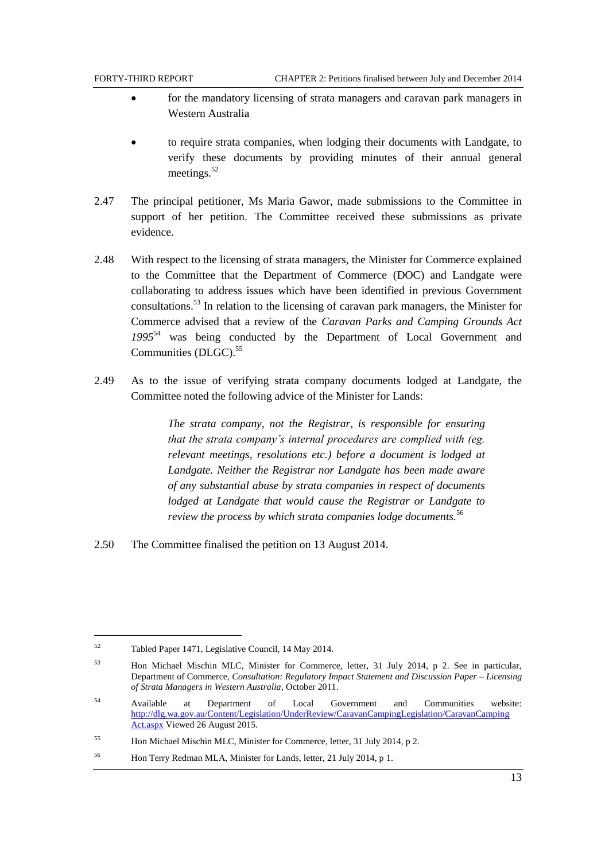- for the mandatory licensing of strata managers and caravan park managers in Western Australia
- to require strata companies, when lodging their documents with Landgate, to verify these documents by providing minutes of their annual general meetings.<sup>52</sup>
- 2.47 The principal petitioner, Ms Maria Gawor, made submissions to the Committee in support of her petition. The Committee received these submissions as private evidence.
- 2.48 With respect to the licensing of strata managers, the Minister for Commerce explained to the Committee that the Department of Commerce (DOC) and Landgate were collaborating to address issues which have been identified in previous Government consultations.<sup>53</sup> In relation to the licensing of caravan park managers, the Minister for Commerce advised that a review of the *Caravan Parks and Camping Grounds Act 1995*<sup>54</sup> was being conducted by the Department of Local Government and Communities (DLGC). 55
- 2.49 As to the issue of verifying strata company documents lodged at Landgate, the Committee noted the following advice of the Minister for Lands:

*The strata company, not the Registrar, is responsible for ensuring that the strata company's internal procedures are complied with (eg. relevant meetings, resolutions etc.) before a document is lodged at Landgate. Neither the Registrar nor Landgate has been made aware of any substantial abuse by strata companies in respect of documents lodged at Landgate that would cause the Registrar or Landgate to review the process by which strata companies lodge documents.*<sup>56</sup>

2.50 The Committee finalised the petition on 13 August 2014.

l

<sup>52</sup> Tabled Paper 1471, Legislative Council, 14 May 2014.

<sup>53</sup> Hon Michael Mischin MLC, Minister for Commerce, letter, 31 July 2014, p 2. See in particular, Department of Commerce, *Consultation: Regulatory Impact Statement and Discussion Paper – Licensing of Strata Managers in Western Australia*, October 2011.

<sup>54</sup> Available at Department of Local Government and Communities website: [http://dlg.wa.gov.au/Content/Legislation/UnderReview/CaravanCampingLegislation/CaravanCamping](http://dlg.wa.gov.au/Content/Legislation/UnderReview/CaravanCampingLegislation/CaravanCamping%20Act.aspx)  [Act.aspx](http://dlg.wa.gov.au/Content/Legislation/UnderReview/CaravanCampingLegislation/CaravanCamping%20Act.aspx) Viewed 26 August 2015.

<sup>55</sup> Hon Michael Mischin MLC, Minister for Commerce, letter, 31 July 2014, p 2.

<sup>56</sup> Hon Terry Redman MLA, Minister for Lands, letter, 21 July 2014, p 1.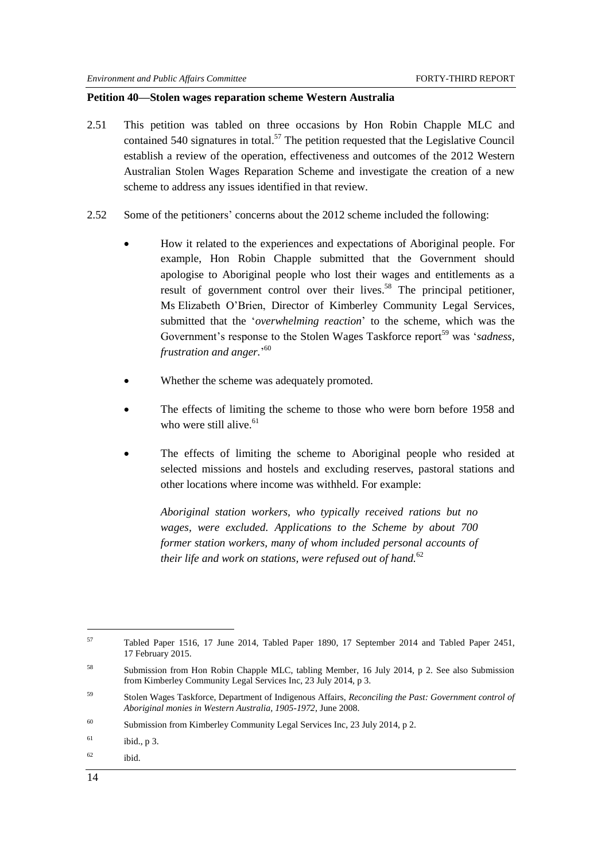#### <span id="page-21-0"></span>**Petition 40—Stolen wages reparation scheme Western Australia**

- 2.51 This petition was tabled on three occasions by Hon Robin Chapple MLC and contained 540 signatures in total.<sup>57</sup> The petition requested that the Legislative Council establish a review of the operation, effectiveness and outcomes of the 2012 Western Australian Stolen Wages Reparation Scheme and investigate the creation of a new scheme to address any issues identified in that review.
- 2.52 Some of the petitioners' concerns about the 2012 scheme included the following:
	- How it related to the experiences and expectations of Aboriginal people. For example, Hon Robin Chapple submitted that the Government should apologise to Aboriginal people who lost their wages and entitlements as a result of government control over their lives.<sup>58</sup> The principal petitioner, Ms Elizabeth O'Brien, Director of Kimberley Community Legal Services, submitted that the ‗*overwhelming reaction*' to the scheme, which was the Government's response to the Stolen Wages Taskforce report<sup>59</sup> was 'sadness, *frustration and anger.*' 60
	- Whether the scheme was adequately promoted.
	- The effects of limiting the scheme to those who were born before 1958 and who were still alive. $61$
	- The effects of limiting the scheme to Aboriginal people who resided at selected missions and hostels and excluding reserves, pastoral stations and other locations where income was withheld. For example:

*Aboriginal station workers, who typically received rations but no wages, were excluded. Applications to the Scheme by about 700 former station workers, many of whom included personal accounts of their life and work on stations, were refused out of hand.*<sup>62</sup>

<sup>57</sup> Tabled Paper 1516, 17 June 2014, Tabled Paper 1890, 17 September 2014 and Tabled Paper 2451, 17 February 2015.

<sup>58</sup> Submission from Hon Robin Chapple MLC, tabling Member, 16 July 2014, p 2. See also Submission from Kimberley Community Legal Services Inc, 23 July 2014, p 3.

<sup>59</sup> Stolen Wages Taskforce, Department of Indigenous Affairs, *Reconciling the Past: Government control of Aboriginal monies in Western Australia, 1905-1972*, June 2008.

<sup>60</sup> Submission from Kimberley Community Legal Services Inc, 23 July 2014, p 2.

 $1^{61}$  ibid., p 3.

 $62$  ibid.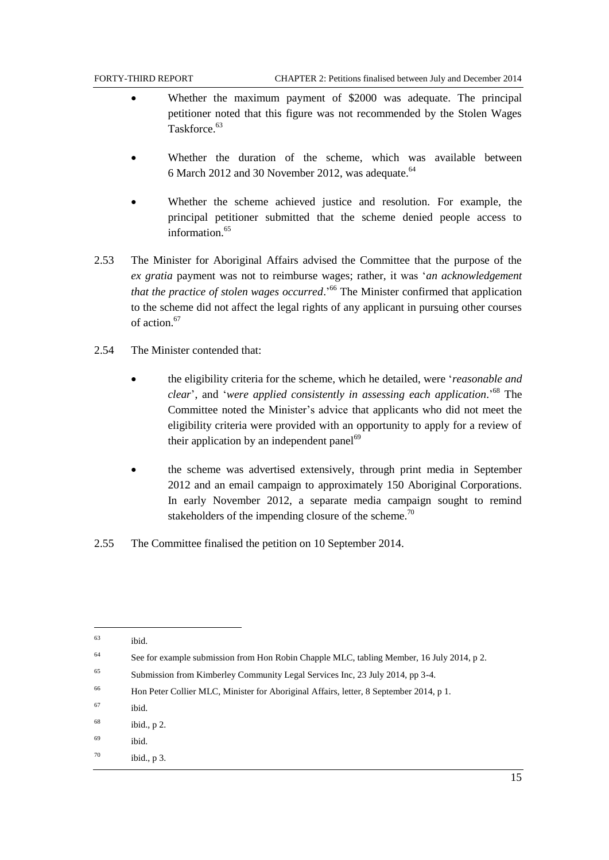- Whether the maximum payment of \$2000 was adequate. The principal petitioner noted that this figure was not recommended by the Stolen Wages Taskforce.<sup>63</sup>
- Whether the duration of the scheme, which was available between 6 March 2012 and 30 November 2012, was adequate. $64$
- Whether the scheme achieved justice and resolution. For example, the principal petitioner submitted that the scheme denied people access to information $65$
- 2.53 The Minister for Aboriginal Affairs advised the Committee that the purpose of the *ex gratia* payment was not to reimburse wages; rather, it was ‗*an acknowledgement that the practice of stolen wages occurred*.' <sup>66</sup> The Minister confirmed that application to the scheme did not affect the legal rights of any applicant in pursuing other courses of action.<sup>67</sup>
- 2.54 The Minister contended that:
	- the eligibility criteria for the scheme, which he detailed, were ‗*reasonable and clear*', and ‗*were applied consistently in assessing each application*.' <sup>68</sup> The Committee noted the Minister's advice that applicants who did not meet the eligibility criteria were provided with an opportunity to apply for a review of their application by an independent panel $^{69}$
	- the scheme was advertised extensively, through print media in September 2012 and an email campaign to approximately 150 Aboriginal Corporations. In early November 2012, a separate media campaign sought to remind stakeholders of the impending closure of the scheme.<sup>70</sup>
- 2.55 The Committee finalised the petition on 10 September 2014.

 $\overline{a}$ 

<sup>63</sup> ibid.

<sup>&</sup>lt;sup>64</sup> See for example submission from Hon Robin Chapple MLC, tabling Member, 16 July 2014, p 2.

<sup>&</sup>lt;sup>65</sup> Submission from Kimberley Community Legal Services Inc, 23 July 2014, pp 3-4.

<sup>66</sup> Hon Peter Collier MLC, Minister for Aboriginal Affairs, letter, 8 September 2014, p 1.

<sup>67</sup> ibid.

 $68$  ibid., p 2.

<sup>69</sup> ibid.

 $70$  ibid., p 3.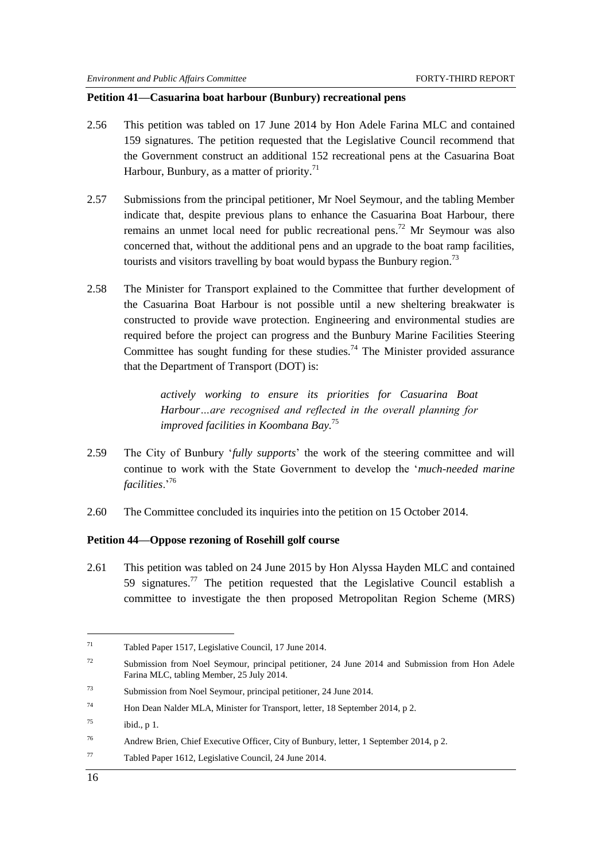#### <span id="page-23-0"></span>**Petition 41—Casuarina boat harbour (Bunbury) recreational pens**

- 2.56 This petition was tabled on 17 June 2014 by Hon Adele Farina MLC and contained 159 signatures. The petition requested that the Legislative Council recommend that the Government construct an additional 152 recreational pens at the Casuarina Boat Harbour, Bunbury, as a matter of priority.<sup>71</sup>
- 2.57 Submissions from the principal petitioner, Mr Noel Seymour, and the tabling Member indicate that, despite previous plans to enhance the Casuarina Boat Harbour, there remains an unmet local need for public recreational pens.<sup>72</sup> Mr Seymour was also concerned that, without the additional pens and an upgrade to the boat ramp facilities, tourists and visitors travelling by boat would bypass the Bunbury region.<sup>73</sup>
- 2.58 The Minister for Transport explained to the Committee that further development of the Casuarina Boat Harbour is not possible until a new sheltering breakwater is constructed to provide wave protection. Engineering and environmental studies are required before the project can progress and the Bunbury Marine Facilities Steering Committee has sought funding for these studies.<sup>74</sup> The Minister provided assurance that the Department of Transport (DOT) is:

*actively working to ensure its priorities for Casuarina Boat Harbour…are recognised and reflected in the overall planning for improved facilities in Koombana Bay.*<sup>75</sup>

- 2.59 The City of Bunbury ‗*fully supports*' the work of the steering committee and will continue to work with the State Government to develop the ‗*much-needed marine facilities*.'<sup>76</sup>
- 2.60 The Committee concluded its inquiries into the petition on 15 October 2014.

#### <span id="page-23-1"></span>**Petition 44—Oppose rezoning of Rosehill golf course**

<span id="page-23-2"></span>2.61 This petition was tabled on 24 June 2015 by Hon Alyssa Hayden MLC and contained 59 signatures.<sup>77</sup> The petition requested that the Legislative Council establish a committee to investigate the then proposed Metropolitan Region Scheme (MRS)

<sup>71</sup> Tabled Paper 1517, Legislative Council, 17 June 2014.

<sup>&</sup>lt;sup>72</sup> Submission from Noel Seymour, principal petitioner, 24 June 2014 and Submission from Hon Adele Farina MLC, tabling Member, 25 July 2014.

<sup>73</sup> Submission from Noel Seymour, principal petitioner, 24 June 2014.

<sup>&</sup>lt;sup>74</sup> Hon Dean Nalder MLA, Minister for Transport, letter, 18 September 2014, p 2.

 $^{75}$  ibid., p 1.

<sup>76</sup> Andrew Brien, Chief Executive Officer, City of Bunbury, letter, 1 September 2014, p 2.

<sup>77</sup> Tabled Paper 1612, Legislative Council, 24 June 2014.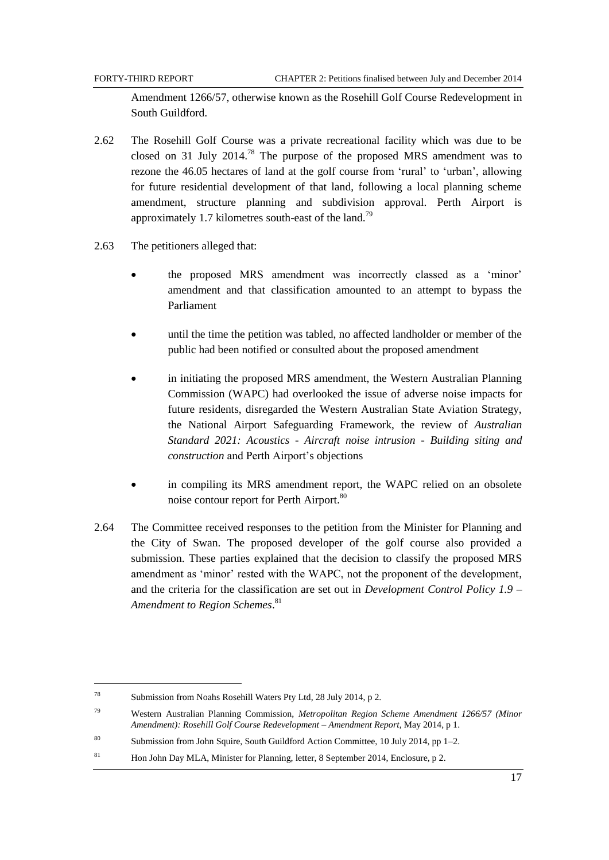Amendment 1266/57, otherwise known as the Rosehill Golf Course Redevelopment in South Guildford.

- 2.62 The Rosehill Golf Course was a private recreational facility which was due to be closed on 31 July 2014.<sup>78</sup> The purpose of the proposed MRS amendment was to rezone the 46.05 hectares of land at the golf course from 'rural' to 'urban', allowing for future residential development of that land, following a local planning scheme amendment, structure planning and subdivision approval. Perth Airport is approximately 1.7 kilometres south-east of the land.<sup>79</sup>
- 2.63 The petitioners alleged that:
	- the proposed MRS amendment was incorrectly classed as a 'minor' amendment and that classification amounted to an attempt to bypass the Parliament
	- until the time the petition was tabled, no affected landholder or member of the public had been notified or consulted about the proposed amendment
	- in initiating the proposed MRS amendment, the Western Australian Planning Commission (WAPC) had overlooked the issue of adverse noise impacts for future residents, disregarded the Western Australian State Aviation Strategy, the National Airport Safeguarding Framework, the review of *Australian Standard 2021: Acoustics - Aircraft noise intrusion - Building siting and construction* and Perth Airport's objections
	- in compiling its MRS amendment report, the WAPC relied on an obsolete noise contour report for Perth Airport.<sup>80</sup>
- 2.64 The Committee received responses to the petition from the Minister for Planning and the City of Swan. The proposed developer of the golf course also provided a submission. These parties explained that the decision to classify the proposed MRS amendment as 'minor' rested with the WAPC, not the proponent of the development, and the criteria for the classification are set out in *Development Control Policy 1.9 – Amendment to Region Schemes*. 81

 $\overline{a}$ 

<sup>78</sup> Submission from Noahs Rosehill Waters Pty Ltd, 28 July 2014, p 2.

<sup>79</sup> Western Australian Planning Commission, *Metropolitan Region Scheme Amendment 1266/57 (Minor Amendment): Rosehill Golf Course Redevelopment – Amendment Report*, May 2014, p 1.

<sup>80</sup> Submission from John Squire, South Guildford Action Committee, 10 July 2014, pp 1–2.

<sup>&</sup>lt;sup>81</sup> Hon John Day MLA, Minister for Planning, letter, 8 September 2014, Enclosure, p 2.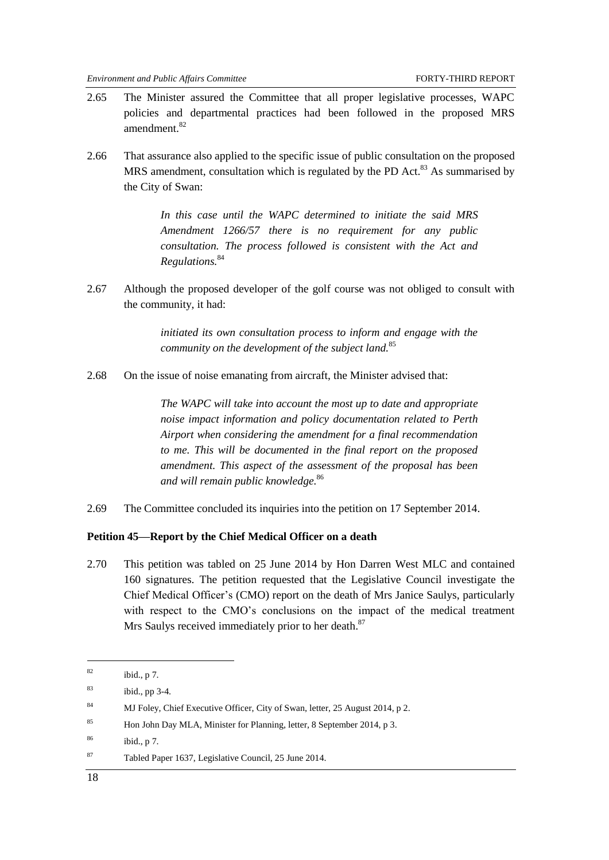- 2.65 The Minister assured the Committee that all proper legislative processes, WAPC policies and departmental practices had been followed in the proposed MRS amendment.<sup>82</sup>
- 2.66 That assurance also applied to the specific issue of public consultation on the proposed MRS amendment, consultation which is regulated by the PD Act.<sup>83</sup> As summarised by the City of Swan:

*In this case until the WAPC determined to initiate the said MRS Amendment 1266/57 there is no requirement for any public consultation. The process followed is consistent with the Act and Regulations.*<sup>84</sup>

2.67 Although the proposed developer of the golf course was not obliged to consult with the community, it had:

> *initiated its own consultation process to inform and engage with the community on the development of the subject land.*<sup>85</sup>

2.68 On the issue of noise emanating from aircraft, the Minister advised that:

*The WAPC will take into account the most up to date and appropriate noise impact information and policy documentation related to Perth Airport when considering the amendment for a final recommendation to me. This will be documented in the final report on the proposed amendment. This aspect of the assessment of the proposal has been and will remain public knowledge.*<sup>86</sup>

<span id="page-25-1"></span>2.69 The Committee concluded its inquiries into the petition on 17 September 2014.

#### <span id="page-25-0"></span>**Petition 45—Report by the Chief Medical Officer on a death**

2.70 This petition was tabled on 25 June 2014 by Hon Darren West MLC and contained 160 signatures. The petition requested that the Legislative Council investigate the Chief Medical Officer's (CMO) report on the death of Mrs Janice Saulys, particularly with respect to the CMO's conclusions on the impact of the medical treatment Mrs Saulys received immediately prior to her death.<sup>87</sup>

 $82$  ibid., p 7.

 $83$  ibid., pp 3-4.

<sup>84</sup> MJ Foley, Chief Executive Officer, City of Swan, letter, 25 August 2014, p 2.

<sup>85</sup> Hon John Day MLA, Minister for Planning, letter, 8 September 2014, p 3.

<sup>86</sup> ibid., p 7.

<sup>87</sup> Tabled Paper 1637, Legislative Council, 25 June 2014.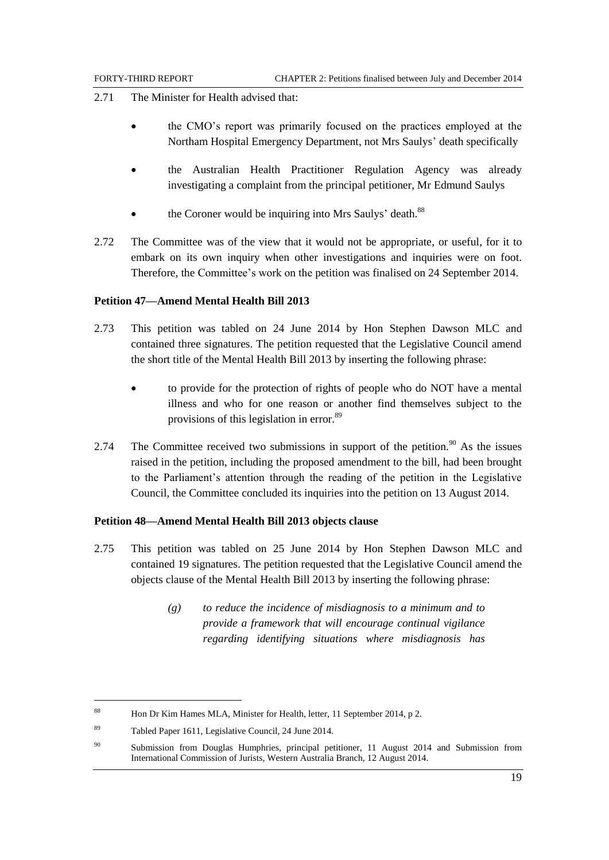- 2.71 The Minister for Health advised that:
	- the CMO's report was primarily focused on the practices employed at the Northam Hospital Emergency Department, not Mrs Saulys' death specifically
	- the Australian Health Practitioner Regulation Agency was already investigating a complaint from the principal petitioner, Mr Edmund Saulys
	- the Coroner would be inquiring into Mrs Saulys' death.<sup>88</sup>
- 2.72 The Committee was of the view that it would not be appropriate, or useful, for it to embark on its own inquiry when other investigations and inquiries were on foot. Therefore, the Committee's work on the petition was finalised on 24 September 2014.

#### <span id="page-26-0"></span>**Petition 47—Amend Mental Health Bill 2013**

- 2.73 This petition was tabled on 24 June 2014 by Hon Stephen Dawson MLC and contained three signatures. The petition requested that the Legislative Council amend the short title of the Mental Health Bill 2013 by inserting the following phrase:
	- to provide for the protection of rights of people who do NOT have a mental illness and who for one reason or another find themselves subject to the provisions of this legislation in error.<sup>89</sup>
- 2.74 The Committee received two submissions in support of the petition.<sup>90</sup> As the issues raised in the petition, including the proposed amendment to the bill, had been brought to the Parliament's attention through the reading of the petition in the Legislative Council, the Committee concluded its inquiries into the petition on 13 August 2014.

#### <span id="page-26-1"></span>**Petition 48—Amend Mental Health Bill 2013 objects clause**

- 2.75 This petition was tabled on 25 June 2014 by Hon Stephen Dawson MLC and contained 19 signatures. The petition requested that the Legislative Council amend the objects clause of the Mental Health Bill 2013 by inserting the following phrase:
	- *(g) to reduce the incidence of misdiagnosis to a minimum and to provide a framework that will encourage continual vigilance regarding identifying situations where misdiagnosis has*

l

<sup>88</sup> Hon Dr Kim Hames MLA, Minister for Health, letter, 11 September 2014, p 2.

<sup>89</sup> Tabled Paper 1611, Legislative Council, 24 June 2014.

<sup>&</sup>lt;sup>90</sup> Submission from Douglas Humphries, principal petitioner, 11 August 2014 and Submission from International Commission of Jurists, Western Australia Branch, 12 August 2014.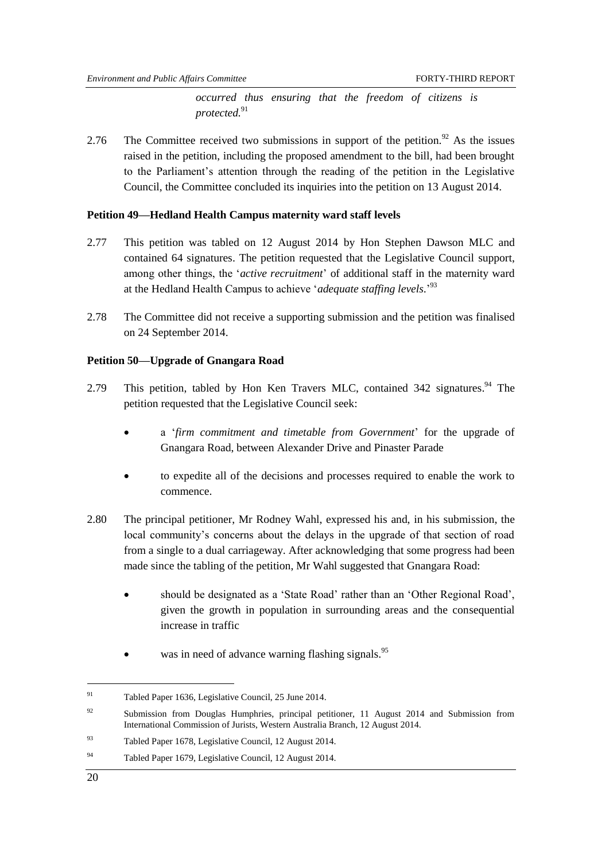*occurred thus ensuring that the freedom of citizens is protected.*<sup>91</sup>

2.76 The Committee received two submissions in support of the petition. <sup>92</sup> As the issues raised in the petition, including the proposed amendment to the bill, had been brought to the Parliament's attention through the reading of the petition in the Legislative Council, the Committee concluded its inquiries into the petition on 13 August 2014.

#### <span id="page-27-0"></span>**Petition 49—Hedland Health Campus maternity ward staff levels**

- 2.77 This petition was tabled on 12 August 2014 by Hon Stephen Dawson MLC and contained 64 signatures. The petition requested that the Legislative Council support, among other things, the ‗*active recruitment*' of additional staff in the maternity ward at the Hedland Health Campus to achieve 'adequate staffing levels.'<sup>93</sup>
- 2.78 The Committee did not receive a supporting submission and the petition was finalised on 24 September 2014.

#### <span id="page-27-1"></span>**Petition 50—Upgrade of Gnangara Road**

- 2.79 This petition, tabled by Hon Ken Travers MLC, contained 342 signatures.<sup>94</sup> The petition requested that the Legislative Council seek:
	- a ‗*firm commitment and timetable from Government*' for the upgrade of Gnangara Road, between Alexander Drive and Pinaster Parade
	- to expedite all of the decisions and processes required to enable the work to commence.
- 2.80 The principal petitioner, Mr Rodney Wahl, expressed his and, in his submission, the local community's concerns about the delays in the upgrade of that section of road from a single to a dual carriageway. After acknowledging that some progress had been made since the tabling of the petition, Mr Wahl suggested that Gnangara Road:
	- should be designated as a 'State Road' rather than an 'Other Regional Road', given the growth in population in surrounding areas and the consequential increase in traffic
	- was in need of advance warning flashing signals.<sup>95</sup>

<sup>91</sup> Tabled Paper 1636, Legislative Council, 25 June 2014.

 $92$  Submission from Douglas Humphries, principal petitioner, 11 August 2014 and Submission from International Commission of Jurists, Western Australia Branch, 12 August 2014.

<sup>93</sup> Tabled Paper 1678, Legislative Council, 12 August 2014.

<sup>94</sup> Tabled Paper 1679, Legislative Council, 12 August 2014.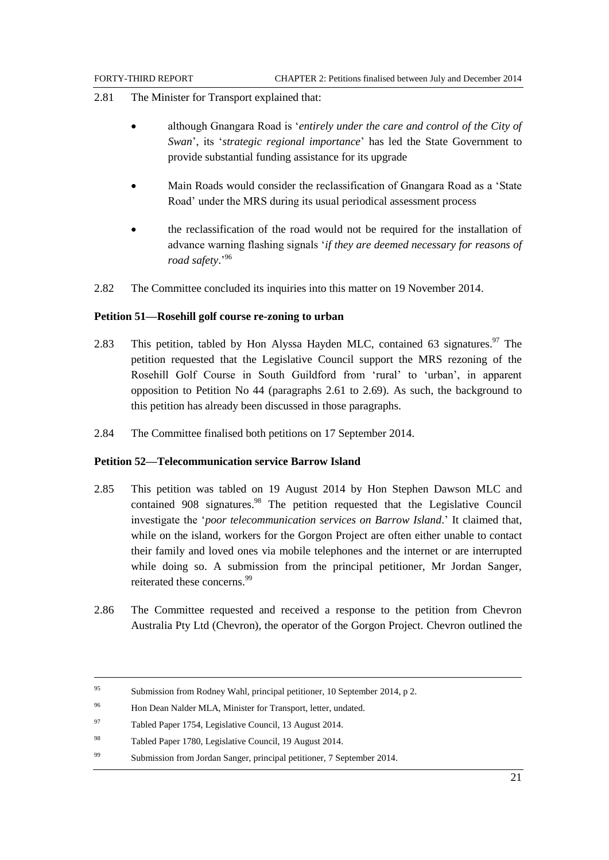- 2.81 The Minister for Transport explained that:
	- although Gnangara Road is ‗*entirely under the care and control of the City of Swan*', its ‗*strategic regional importance*' has led the State Government to provide substantial funding assistance for its upgrade
	- Main Roads would consider the reclassification of Gnangara Road as a 'State Road' under the MRS during its usual periodical assessment process
	- the reclassification of the road would not be required for the installation of advance warning flashing signals ‗*if they are deemed necessary for reasons of road safety*.' 96
- 2.82 The Committee concluded its inquiries into this matter on 19 November 2014.

### <span id="page-28-0"></span>**Petition 51—Rosehill golf course re-zoning to urban**

- 2.83 This petition, tabled by Hon Alyssa Hayden MLC, contained 63 signatures.<sup>97</sup> The petition requested that the Legislative Council support the MRS rezoning of the Rosehill Golf Course in South Guildford from 'rural' to 'urban', in apparent opposition to Petition No 44 (paragraphs [2.61](#page-23-2) to [2.69\)](#page-25-1). As such, the background to this petition has already been discussed in those paragraphs.
- 2.84 The Committee finalised both petitions on 17 September 2014.

#### <span id="page-28-1"></span>**Petition 52—Telecommunication service Barrow Island**

- 2.85 This petition was tabled on 19 August 2014 by Hon Stephen Dawson MLC and contained  $908$  signatures.<sup>98</sup> The petition requested that the Legislative Council investigate the ‗*poor telecommunication services on Barrow Island*.' It claimed that, while on the island, workers for the Gorgon Project are often either unable to contact their family and loved ones via mobile telephones and the internet or are interrupted while doing so. A submission from the principal petitioner, Mr Jordan Sanger, reiterated these concerns.<sup>99</sup>
- 2.86 The Committee requested and received a response to the petition from Chevron Australia Pty Ltd (Chevron), the operator of the Gorgon Project. Chevron outlined the

<sup>95</sup> Submission from Rodney Wahl, principal petitioner, 10 September 2014, p 2.

<sup>96</sup> Hon Dean Nalder MLA, Minister for Transport, letter, undated.

<sup>97</sup> Tabled Paper 1754, Legislative Council, 13 August 2014.

<sup>98</sup> Tabled Paper 1780, Legislative Council, 19 August 2014.

<sup>99</sup> Submission from Jordan Sanger, principal petitioner, 7 September 2014.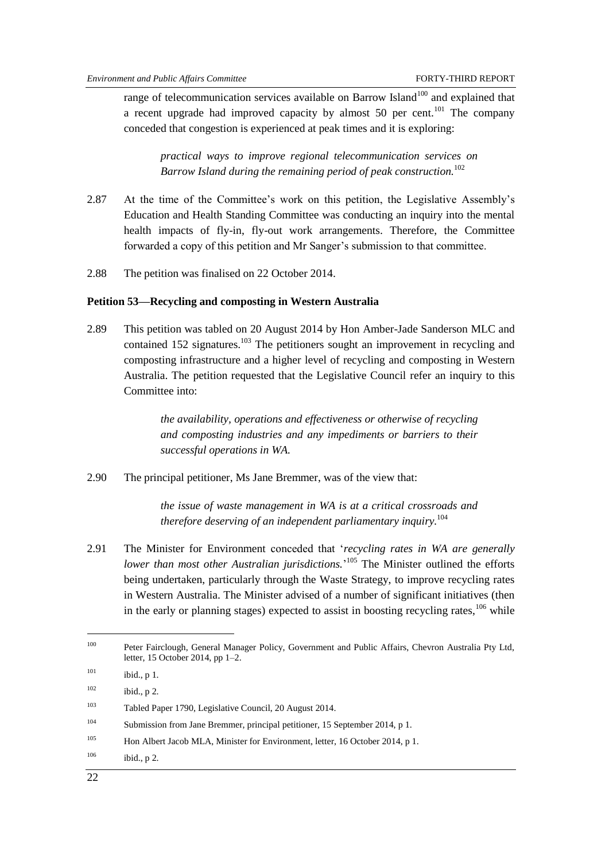range of telecommunication services available on Barrow Island<sup>100</sup> and explained that a recent upgrade had improved capacity by almost 50 per cent.<sup>101</sup> The company conceded that congestion is experienced at peak times and it is exploring:

*practical ways to improve regional telecommunication services on Barrow Island during the remaining period of peak construction.*<sup>102</sup>

- 2.87 At the time of the Committee's work on this petition, the Legislative Assembly's Education and Health Standing Committee was conducting an inquiry into the mental health impacts of fly-in, fly-out work arrangements. Therefore, the Committee forwarded a copy of this petition and Mr Sanger's submission to that committee.
- 2.88 The petition was finalised on 22 October 2014.

# <span id="page-29-0"></span>**Petition 53—Recycling and composting in Western Australia**

2.89 This petition was tabled on 20 August 2014 by Hon Amber-Jade Sanderson MLC and contained 152 signatures.<sup>103</sup> The petitioners sought an improvement in recycling and composting infrastructure and a higher level of recycling and composting in Western Australia. The petition requested that the Legislative Council refer an inquiry to this Committee into:

> *the availability, operations and effectiveness or otherwise of recycling and composting industries and any impediments or barriers to their successful operations in WA.*

2.90 The principal petitioner, Ms Jane Bremmer, was of the view that:

*the issue of waste management in WA is at a critical crossroads and therefore deserving of an independent parliamentary inquiry.*<sup>104</sup>

2.91 The Minister for Environment conceded that ‗*recycling rates in WA are generally*  lower than most other Australian jurisdictions.<sup>'105</sup> The Minister outlined the efforts being undertaken, particularly through the Waste Strategy, to improve recycling rates in Western Australia. The Minister advised of a number of significant initiatives (then in the early or planning stages) expected to assist in boosting recycling rates,  $106$  while

 $106$  ibid., p 2.

<sup>100</sup> Peter Fairclough, General Manager Policy, Government and Public Affairs, Chevron Australia Pty Ltd, letter, 15 October 2014, pp 1–2.  $101$  ibid., p 1.  $102$  ibid., p 2. <sup>103</sup> Tabled Paper 1790, Legislative Council, 20 August 2014. <sup>104</sup> Submission from Jane Bremmer, principal petitioner, 15 September 2014, p 1. <sup>105</sup> Hon Albert Jacob MLA, Minister for Environment, letter, 16 October 2014, p 1.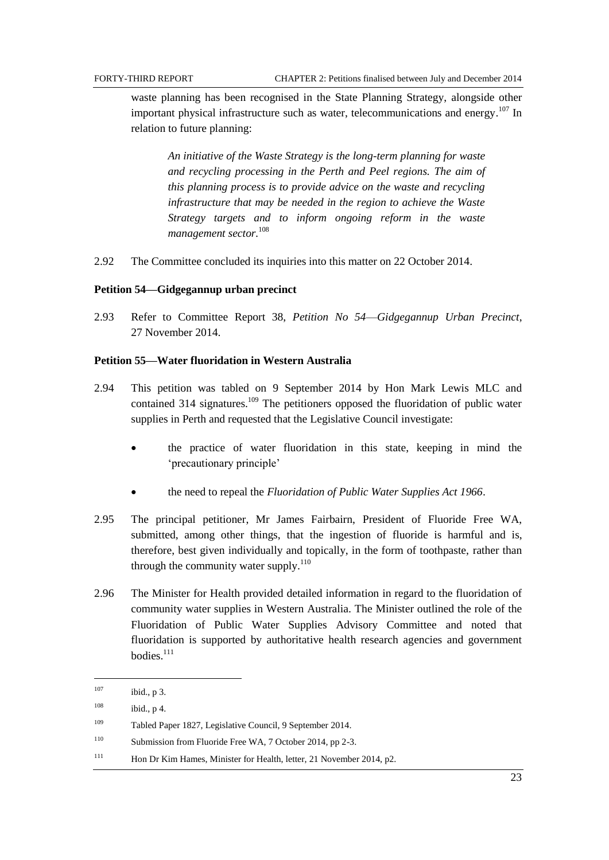waste planning has been recognised in the State Planning Strategy, alongside other important physical infrastructure such as water, telecommunications and energy.<sup>107</sup> In relation to future planning:

*An initiative of the Waste Strategy is the long-term planning for waste and recycling processing in the Perth and Peel regions. The aim of this planning process is to provide advice on the waste and recycling infrastructure that may be needed in the region to achieve the Waste Strategy targets and to inform ongoing reform in the waste management sector.* 108

2.92 The Committee concluded its inquiries into this matter on 22 October 2014.

#### <span id="page-30-0"></span>**Petition 54—Gidgegannup urban precinct**

2.93 Refer to Committee Report 38, *Petition No 54*—*Gidgegannup Urban Precinct*, 27 November 2014.

### <span id="page-30-1"></span>**Petition 55—Water fluoridation in Western Australia**

- 2.94 This petition was tabled on 9 September 2014 by Hon Mark Lewis MLC and contained 314 signatures.<sup>109</sup> The petitioners opposed the fluoridation of public water supplies in Perth and requested that the Legislative Council investigate:
	- the practice of water fluoridation in this state, keeping in mind the ‗precautionary principle'
	- the need to repeal the *Fluoridation of Public Water Supplies Act 1966*.
- 2.95 The principal petitioner, Mr James Fairbairn, President of Fluoride Free WA, submitted, among other things, that the ingestion of fluoride is harmful and is, therefore, best given individually and topically, in the form of toothpaste, rather than through the community water supply. $110$
- 2.96 The Minister for Health provided detailed information in regard to the fluoridation of community water supplies in Western Australia. The Minister outlined the role of the Fluoridation of Public Water Supplies Advisory Committee and noted that fluoridation is supported by authoritative health research agencies and government bodies.<sup>111</sup>

 $\overline{a}$ 

 $107$  ibid., p 3.

 $108$  ibid., p 4.

<sup>109</sup> Tabled Paper 1827, Legislative Council, 9 September 2014.

<sup>110</sup> Submission from Fluoride Free WA, 7 October 2014, pp 2-3.

<sup>&</sup>lt;sup>111</sup> Hon Dr Kim Hames, Minister for Health, letter, 21 November 2014, p2.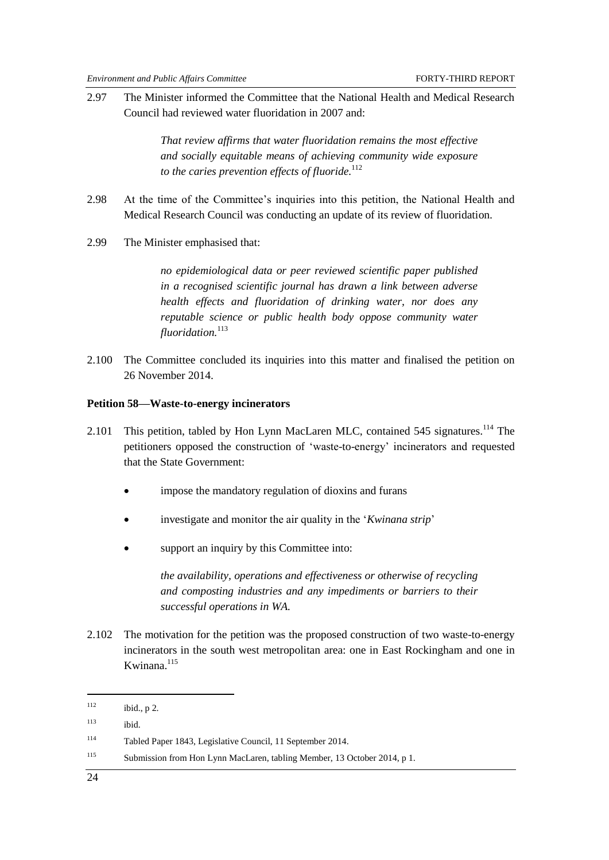2.97 The Minister informed the Committee that the National Health and Medical Research Council had reviewed water fluoridation in 2007 and:

> *That review affirms that water fluoridation remains the most effective and socially equitable means of achieving community wide exposure to the caries prevention effects of fluoride.*<sup>112</sup>

- 2.98 At the time of the Committee's inquiries into this petition, the National Health and Medical Research Council was conducting an update of its review of fluoridation.
- 2.99 The Minister emphasised that:

*no epidemiological data or peer reviewed scientific paper published in a recognised scientific journal has drawn a link between adverse health effects and fluoridation of drinking water, nor does any reputable science or public health body oppose community water fluoridation.*<sup>113</sup>

2.100 The Committee concluded its inquiries into this matter and finalised the petition on 26 November 2014.

#### <span id="page-31-0"></span>**Petition 58—Waste-to-energy incinerators**

- 2.101 This petition, tabled by Hon Lynn MacLaren MLC, contained 545 signatures.<sup>114</sup> The petitioners opposed the construction of ‗waste-to-energy' incinerators and requested that the State Government:
	- impose the mandatory regulation of dioxins and furans
	- investigate and monitor the air quality in the '*Kwinana strip*'
	- support an inquiry by this Committee into:

*the availability, operations and effectiveness or otherwise of recycling and composting industries and any impediments or barriers to their successful operations in WA.*

2.102 The motivation for the petition was the proposed construction of two waste-to-energy incinerators in the south west metropolitan area: one in East Rockingham and one in Kwinana. $115$ 

 $112$  ibid., p 2.

<sup>113</sup> ibid.

<sup>114</sup> Tabled Paper 1843, Legislative Council, 11 September 2014.

<sup>115</sup> Submission from Hon Lynn MacLaren, tabling Member, 13 October 2014, p 1.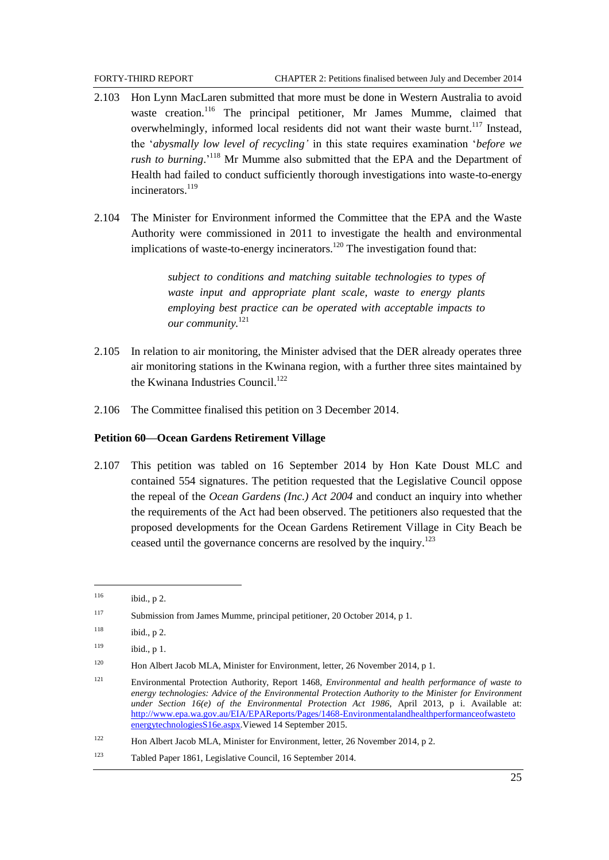- 2.103 Hon Lynn MacLaren submitted that more must be done in Western Australia to avoid waste creation.<sup>116</sup> The principal petitioner, Mr James Mumme, claimed that overwhelmingly, informed local residents did not want their waste burnt.<sup>117</sup> Instead, the ‗*abysmally low level of recycling'* in this state requires examination ‗*before we*  rush to burning.<sup>118</sup> Mr Mumme also submitted that the EPA and the Department of Health had failed to conduct sufficiently thorough investigations into waste-to-energy incinerators.<sup>119</sup>
- 2.104 The Minister for Environment informed the Committee that the EPA and the Waste Authority were commissioned in 2011 to investigate the health and environmental implications of waste-to-energy incinerators.<sup>120</sup> The investigation found that:

*subject to conditions and matching suitable technologies to types of waste input and appropriate plant scale, waste to energy plants employing best practice can be operated with acceptable impacts to our community.*<sup>121</sup>

- 2.105 In relation to air monitoring, the Minister advised that the DER already operates three air monitoring stations in the Kwinana region, with a further three sites maintained by the Kwinana Industries Council.<sup>122</sup>
- 2.106 The Committee finalised this petition on 3 December 2014.

#### <span id="page-32-0"></span>**Petition 60—Ocean Gardens Retirement Village**

2.107 This petition was tabled on 16 September 2014 by Hon Kate Doust MLC and contained 554 signatures. The petition requested that the Legislative Council oppose the repeal of the *Ocean Gardens (Inc.) Act 2004* and conduct an inquiry into whether the requirements of the Act had been observed. The petitioners also requested that the proposed developments for the Ocean Gardens Retirement Village in City Beach be ceased until the governance concerns are resolved by the inquiry.<sup>123</sup>

 $\overline{a}$ 

 $116$  ibid., p 2.

<sup>117</sup> Submission from James Mumme, principal petitioner, 20 October 2014, p 1.

 $118$  ibid., p 2.

 $119$  ibid., p 1.

<sup>&</sup>lt;sup>120</sup> Hon Albert Jacob MLA, Minister for Environment, letter, 26 November 2014, p 1.

<sup>121</sup> Environmental Protection Authority, Report 1468, *Environmental and health performance of waste to energy technologies: Advice of the Environmental Protection Authority to the Minister for Environment under Section 16(e) of the Environmental Protection Act 1986*, April 2013, p i. Available at: [http://www.epa.wa.gov.au/EIA/EPAReports/Pages/1468-Environmentalandhealthperformanceofwasteto](http://www.epa.wa.gov.au/EIA/EPAReports/Pages/1468-Environmentalandhealthperformanceofwasteto%20energytechnologiesS16e.aspx) [energytechnologiesS16e.aspx.](http://www.epa.wa.gov.au/EIA/EPAReports/Pages/1468-Environmentalandhealthperformanceofwasteto%20energytechnologiesS16e.aspx)Viewed 14 September 2015.

<sup>122</sup> Hon Albert Jacob MLA, Minister for Environment, letter, 26 November 2014, p 2.

<sup>123</sup> Tabled Paper 1861, Legislative Council, 16 September 2014.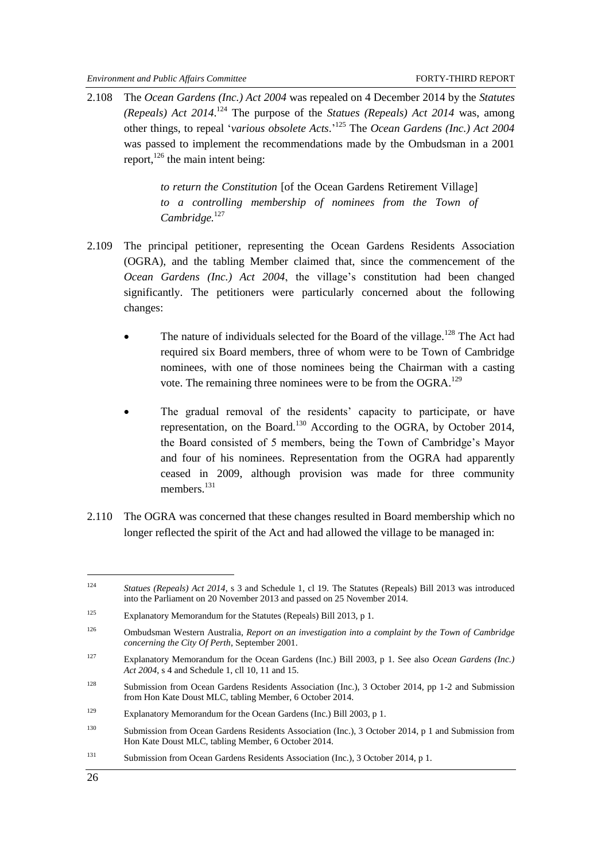<span id="page-33-0"></span>2.108 The *Ocean Gardens (Inc.) Act 2004* was repealed on 4 December 2014 by the *Statutes (Repeals) Act 2014*. <sup>124</sup> The purpose of the *Statues (Repeals) Act 2014* was, among other things, to repeal ‗*various obsolete Acts*.' <sup>125</sup> The *Ocean Gardens (Inc.) Act 2004* was passed to implement the recommendations made by the Ombudsman in a 2001 report,  $^{126}$  the main intent being:

> *to return the Constitution* [of the Ocean Gardens Retirement Village] *to a controlling membership of nominees from the Town of Cambridge.*<sup>127</sup>

- 2.109 The principal petitioner, representing the Ocean Gardens Residents Association (OGRA), and the tabling Member claimed that, since the commencement of the *Ocean Gardens (Inc.) Act 2004*, the village's constitution had been changed significantly. The petitioners were particularly concerned about the following changes:
	- The nature of individuals selected for the Board of the village.<sup>128</sup> The Act had required six Board members, three of whom were to be Town of Cambridge nominees, with one of those nominees being the Chairman with a casting vote. The remaining three nominees were to be from the OGRA. $^{129}$
	- The gradual removal of the residents' capacity to participate, or have representation, on the Board.<sup>130</sup> According to the OGRA, by October 2014, the Board consisted of 5 members, being the Town of Cambridge's Mayor and four of his nominees. Representation from the OGRA had apparently ceased in 2009, although provision was made for three community members.<sup>131</sup>
- 2.110 The OGRA was concerned that these changes resulted in Board membership which no longer reflected the spirit of the Act and had allowed the village to be managed in:

<sup>124</sup> *Statues (Repeals) Act 2014*, s 3 and Schedule 1, cl 19. The Statutes (Repeals) Bill 2013 was introduced into the Parliament on 20 November 2013 and passed on 25 November 2014.

<sup>125</sup> Explanatory Memorandum for the Statutes (Repeals) Bill 2013, p 1.

<sup>126</sup> Ombudsman Western Australia, *Report on an investigation into a complaint by the Town of Cambridge concerning the City Of Perth*, September 2001.

<sup>127</sup> Explanatory Memorandum for the Ocean Gardens (Inc.) Bill 2003, p 1. See also *Ocean Gardens (Inc.) Act 2004*, s 4 and Schedule 1, cll 10, 11 and 15.

<sup>&</sup>lt;sup>128</sup> Submission from Ocean Gardens Residents Association (Inc.), 3 October 2014, pp 1-2 and Submission from Hon Kate Doust MLC, tabling Member, 6 October 2014.

<sup>129</sup> Explanatory Memorandum for the Ocean Gardens (Inc.) Bill 2003, p 1.

<sup>130</sup> Submission from Ocean Gardens Residents Association (Inc.), 3 October 2014, p 1 and Submission from Hon Kate Doust MLC, tabling Member, 6 October 2014.

<sup>131</sup> Submission from Ocean Gardens Residents Association (Inc.), 3 October 2014, p 1.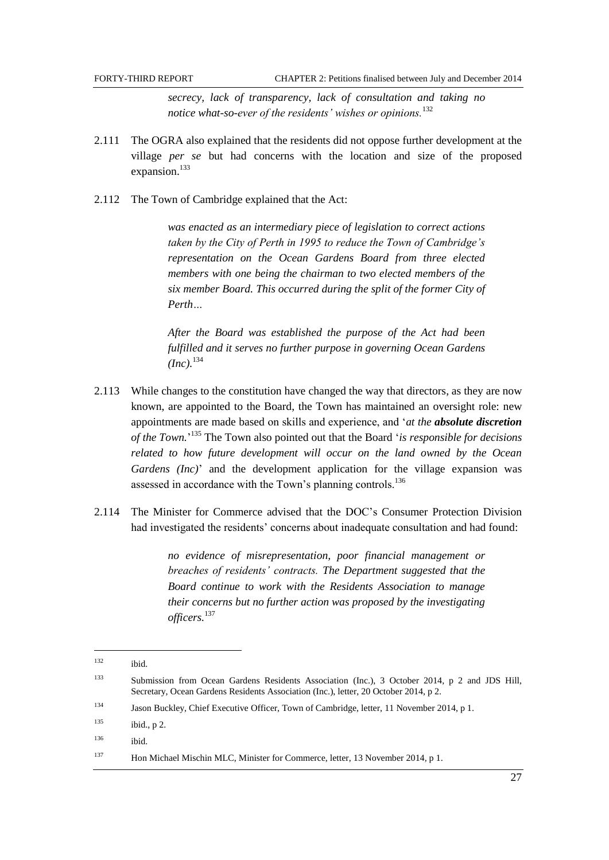FORTY-THIRD REPORT CHAPTER 2: Petitions finalised between July and December 2014

*secrecy, lack of transparency, lack of consultation and taking no notice what-so-ever of the residents' wishes or opinions.*<sup>132</sup>

- 2.111 The OGRA also explained that the residents did not oppose further development at the village *per se* but had concerns with the location and size of the proposed expansion.<sup>133</sup>
- 2.112 The Town of Cambridge explained that the Act:

*was enacted as an intermediary piece of legislation to correct actions taken by the City of Perth in 1995 to reduce the Town of Cambridge's representation on the Ocean Gardens Board from three elected members with one being the chairman to two elected members of the six member Board. This occurred during the split of the former City of Perth…*

*After the Board was established the purpose of the Act had been fulfilled and it serves no further purpose in governing Ocean Gardens*   $(Inc).^{134}$ 

- 2.113 While changes to the constitution have changed the way that directors, as they are now known, are appointed to the Board, the Town has maintained an oversight role: new appointments are made based on skills and experience, and ‗*at the absolute discretion of the Town.*' <sup>135</sup> The Town also pointed out that the Board ‗*is responsible for decisions related to how future development will occur on the land owned by the Ocean Gardens (Inc)*' and the development application for the village expansion was assessed in accordance with the Town's planning controls.<sup>136</sup>
- 2.114 The Minister for Commerce advised that the DOC's Consumer Protection Division had investigated the residents' concerns about inadequate consultation and had found:

*no evidence of misrepresentation, poor financial management or breaches of residents' contracts. The Department suggested that the Board continue to work with the Residents Association to manage their concerns but no further action was proposed by the investigating officers.*<sup>137</sup>

l

 $132$  ibid.

<sup>133</sup> Submission from Ocean Gardens Residents Association (Inc.), 3 October 2014, p 2 and JDS Hill, Secretary, Ocean Gardens Residents Association (Inc.), letter, 20 October 2014, p 2.

<sup>134</sup> Jason Buckley, Chief Executive Officer, Town of Cambridge, letter, 11 November 2014, p 1.

 $135$  ibid., p 2.

<sup>136</sup> ibid.

<sup>137</sup> Hon Michael Mischin MLC, Minister for Commerce, letter, 13 November 2014, p 1.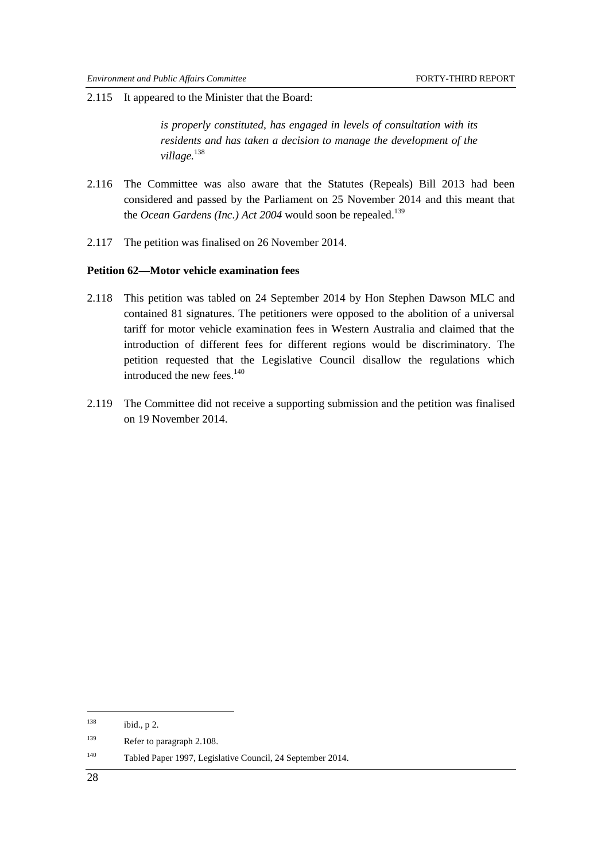2.115 It appeared to the Minister that the Board:

*is properly constituted, has engaged in levels of consultation with its residents and has taken a decision to manage the development of the village.*<sup>138</sup>

- 2.116 The Committee was also aware that the Statutes (Repeals) Bill 2013 had been considered and passed by the Parliament on 25 November 2014 and this meant that the *Ocean Gardens (Inc.) Act 2004* would soon be repealed.<sup>139</sup>
- 2.117 The petition was finalised on 26 November 2014.

#### <span id="page-35-0"></span>**Petition 62—Motor vehicle examination fees**

- 2.118 This petition was tabled on 24 September 2014 by Hon Stephen Dawson MLC and contained 81 signatures. The petitioners were opposed to the abolition of a universal tariff for motor vehicle examination fees in Western Australia and claimed that the introduction of different fees for different regions would be discriminatory. The petition requested that the Legislative Council disallow the regulations which introduced the new fees.<sup>140</sup>
- 2.119 The Committee did not receive a supporting submission and the petition was finalised on 19 November 2014.

 $138$  ibid., p 2.

<sup>&</sup>lt;sup>139</sup> Refer to paragraph [2.108.](#page-33-0)

<sup>140</sup> Tabled Paper 1997, Legislative Council, 24 September 2014.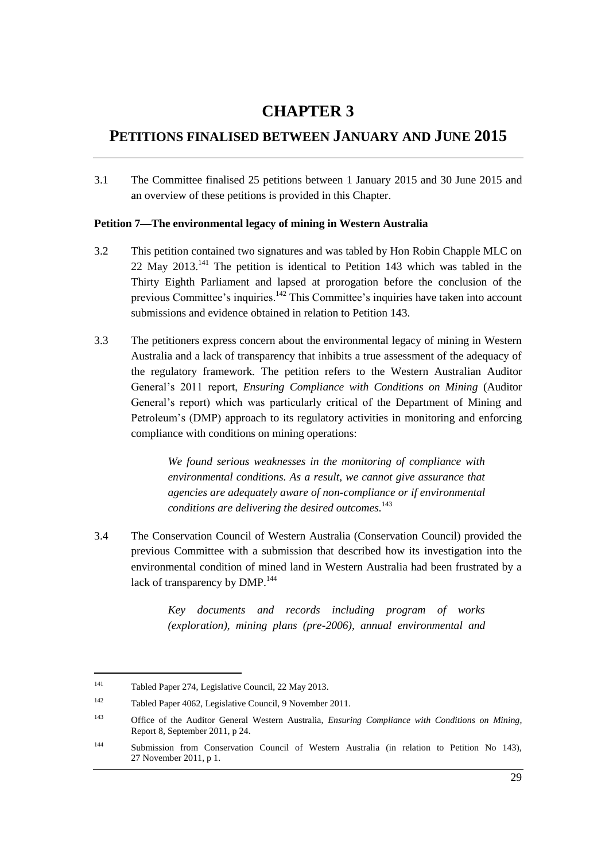# **CHAPTER 3**

# **PETITIONS FINALISED BETWEEN JANUARY AND JUNE 2015**

3.1 The Committee finalised 25 petitions between 1 January 2015 and 30 June 2015 and an overview of these petitions is provided in this Chapter.

## **Petition 7—The environmental legacy of mining in Western Australia**

- 3.2 This petition contained two signatures and was tabled by Hon Robin Chapple MLC on 22 May  $2013<sup>141</sup>$  The petition is identical to Petition 143 which was tabled in the Thirty Eighth Parliament and lapsed at prorogation before the conclusion of the previous Committee's inquiries.<sup>142</sup> This Committee's inquiries have taken into account submissions and evidence obtained in relation to Petition 143.
- 3.3 The petitioners express concern about the environmental legacy of mining in Western Australia and a lack of transparency that inhibits a true assessment of the adequacy of the regulatory framework. The petition refers to the Western Australian Auditor General's 2011 report, *Ensuring Compliance with Conditions on Mining* (Auditor General's report) which was particularly critical of the Department of Mining and Petroleum's (DMP) approach to its regulatory activities in monitoring and enforcing compliance with conditions on mining operations:

*We found serious weaknesses in the monitoring of compliance with environmental conditions. As a result, we cannot give assurance that agencies are adequately aware of non-compliance or if environmental conditions are delivering the desired outcomes.*<sup>143</sup>

3.4 The Conservation Council of Western Australia (Conservation Council) provided the previous Committee with a submission that described how its investigation into the environmental condition of mined land in Western Australia had been frustrated by a lack of transparency by DMP.<sup>144</sup>

> *Key documents and records including program of works (exploration), mining plans (pre-2006), annual environmental and*

<sup>141</sup> Tabled Paper 274, Legislative Council, 22 May 2013.

<sup>142</sup> Tabled Paper 4062, Legislative Council, 9 November 2011.

<sup>143</sup> Office of the Auditor General Western Australia, *Ensuring Compliance with Conditions on Mining*, Report 8, September 2011, p 24.

<sup>144</sup> Submission from Conservation Council of Western Australia (in relation to Petition No 143), 27 November 2011, p 1.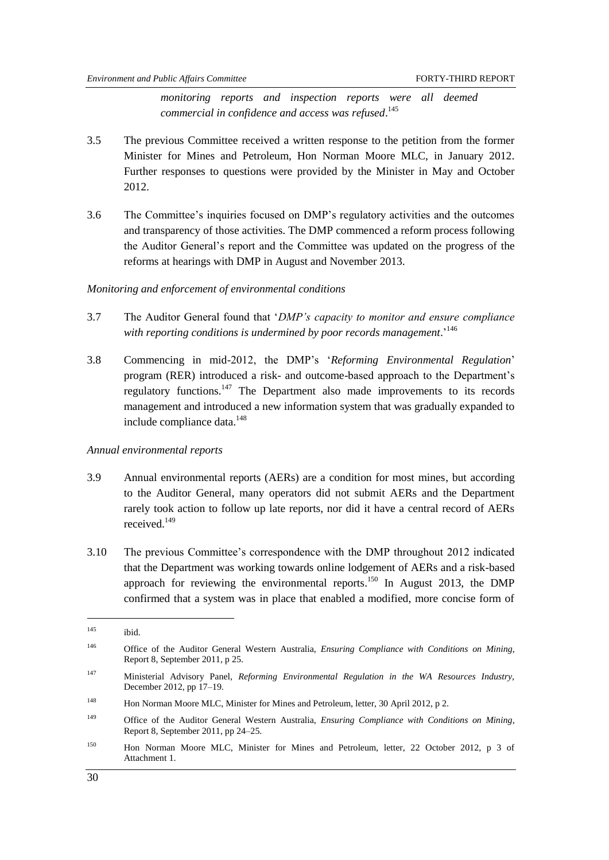*monitoring reports and inspection reports were all deemed commercial in confidence and access was refused*. 145

- 3.5 The previous Committee received a written response to the petition from the former Minister for Mines and Petroleum, Hon Norman Moore MLC, in January 2012. Further responses to questions were provided by the Minister in May and October 2012.
- 3.6 The Committee's inquiries focused on DMP's regulatory activities and the outcomes and transparency of those activities. The DMP commenced a reform process following the Auditor General's report and the Committee was updated on the progress of the reforms at hearings with DMP in August and November 2013.

#### *Monitoring and enforcement of environmental conditions*

- 3.7 The Auditor General found that ‗*DMP's capacity to monitor and ensure compliance with reporting conditions is undermined by poor records management*.' 146
- 3.8 Commencing in mid-2012, the DMP's ‗*Reforming Environmental Regulation*' program (RER) introduced a risk- and outcome-based approach to the Department's regulatory functions.<sup>147</sup> The Department also made improvements to its records management and introduced a new information system that was gradually expanded to include compliance data.<sup>148</sup>

#### *Annual environmental reports*

- 3.9 Annual environmental reports (AERs) are a condition for most mines, but according to the Auditor General, many operators did not submit AERs and the Department rarely took action to follow up late reports, nor did it have a central record of AERs received.<sup>149</sup>
- 3.10 The previous Committee's correspondence with the DMP throughout 2012 indicated that the Department was working towards online lodgement of AERs and a risk-based approach for reviewing the environmental reports.<sup>150</sup> In August 2013, the DMP confirmed that a system was in place that enabled a modified, more concise form of

-

<sup>145</sup> ibid.

<sup>146</sup> Office of the Auditor General Western Australia, *Ensuring Compliance with Conditions on Mining*, Report 8, September 2011, p 25.

<sup>147</sup> Ministerial Advisory Panel, *Reforming Environmental Regulation in the WA Resources Industry,*  December 2012, pp 17–19.

<sup>148</sup> Hon Norman Moore MLC, Minister for Mines and Petroleum, letter, 30 April 2012, p 2.

<sup>149</sup> Office of the Auditor General Western Australia, *Ensuring Compliance with Conditions on Mining*, Report 8, September 2011, pp 24–25.

<sup>150</sup> Hon Norman Moore MLC, Minister for Mines and Petroleum, letter, 22 October 2012, p 3 of Attachment 1.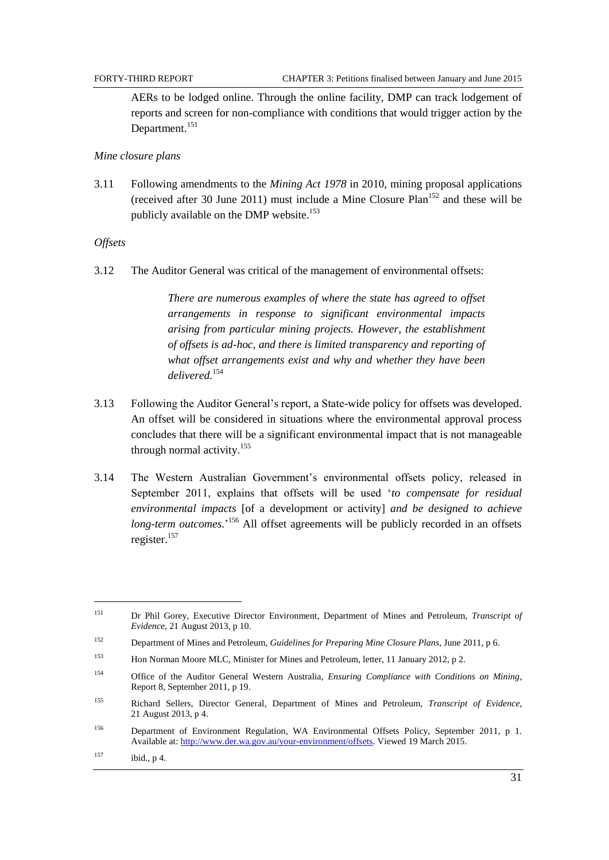AERs to be lodged online. Through the online facility, DMP can track lodgement of reports and screen for non-compliance with conditions that would trigger action by the Department.<sup>151</sup>

#### *Mine closure plans*

3.11 Following amendments to the *Mining Act 1978* in 2010, mining proposal applications (received after 30 June 2011) must include a Mine Closure Plan<sup>152</sup> and these will be publicly available on the DMP website.<sup>153</sup>

#### *Offsets*

3.12 The Auditor General was critical of the management of environmental offsets:

*There are numerous examples of where the state has agreed to offset arrangements in response to significant environmental impacts arising from particular mining projects. However, the establishment of offsets is ad-hoc, and there is limited transparency and reporting of what offset arrangements exist and why and whether they have been delivered.*<sup>154</sup>

- 3.13 Following the Auditor General's report, a State-wide policy for offsets was developed. An offset will be considered in situations where the environmental approval process concludes that there will be a significant environmental impact that is not manageable through normal activity.<sup>155</sup>
- 3.14 The Western Australian Government's environmental offsets policy, released in September 2011, explains that offsets will be used 'to compensate for residual *environmental impacts* [of a development or activity] *and be designed to achieve*  long-term outcomes.<sup>156</sup> All offset agreements will be publicly recorded in an offsets register.<sup>157</sup>

<sup>151</sup> Dr Phil Gorey, Executive Director Environment*,* Department of Mines and Petroleum, *Transcript of Evidence*, 21 August 2013, p 10.

<sup>152</sup> Department of Mines and Petroleum, *Guidelines for Preparing Mine Closure Plans*, June 2011, p 6.

<sup>153</sup> Hon Norman Moore MLC, Minister for Mines and Petroleum, letter, 11 January 2012, p 2.

<sup>154</sup> Office of the Auditor General Western Australia, *Ensuring Compliance with Conditions on Mining*, Report 8, September 2011, p 19.

<sup>155</sup> Richard Sellers, Director General*,* Department of Mines and Petroleum, *Transcript of Evidence*, 21 August 2013, p 4.

<sup>156</sup> Department of Environment Regulation, WA Environmental Offsets Policy, September 2011, p 1. Available at[: http://www.der.wa.gov.au/your-environment/offsets.](http://www.der.wa.gov.au/your-environment/offsets) Viewed 19 March 2015.

 $157$  ibid., p 4.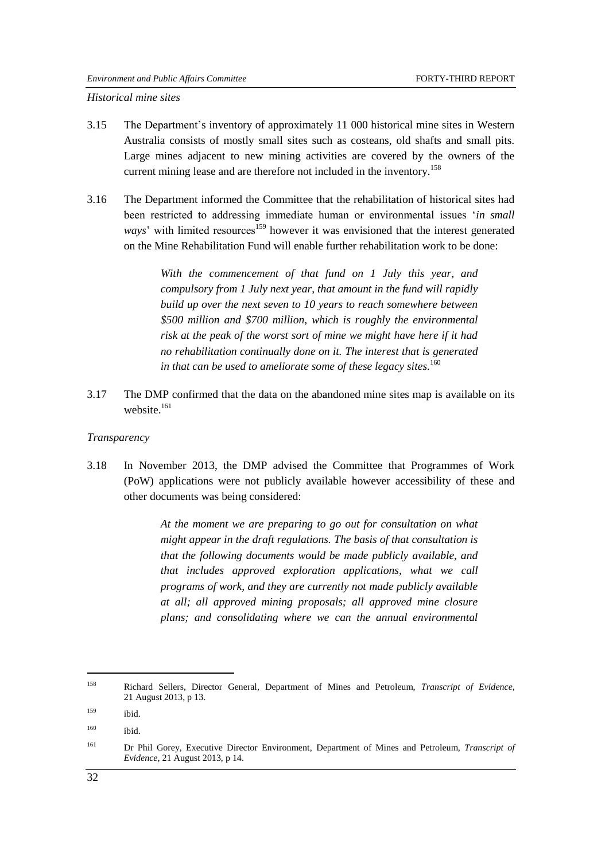*Historical mine sites*

- 3.15 The Department's inventory of approximately 11 000 historical mine sites in Western Australia consists of mostly small sites such as costeans, old shafts and small pits. Large mines adjacent to new mining activities are covered by the owners of the current mining lease and are therefore not included in the inventory.<sup>158</sup>
- 3.16 The Department informed the Committee that the rehabilitation of historical sites had been restricted to addressing immediate human or environmental issues *'in small ways*' with limited resources<sup>159</sup> however it was envisioned that the interest generated on the Mine Rehabilitation Fund will enable further rehabilitation work to be done:

*With the commencement of that fund on 1 July this year, and compulsory from 1 July next year, that amount in the fund will rapidly build up over the next seven to 10 years to reach somewhere between \$500 million and \$700 million, which is roughly the environmental risk at the peak of the worst sort of mine we might have here if it had no rehabilitation continually done on it. The interest that is generated in that can be used to ameliorate some of these legacy sites.* 160

3.17 The DMP confirmed that the data on the abandoned mine sites map is available on its website $161$ 

#### *Transparency*

3.18 In November 2013, the DMP advised the Committee that Programmes of Work (PoW) applications were not publicly available however accessibility of these and other documents was being considered:

> *At the moment we are preparing to go out for consultation on what might appear in the draft regulations. The basis of that consultation is that the following documents would be made publicly available, and that includes approved exploration applications, what we call programs of work, and they are currently not made publicly available at all; all approved mining proposals; all approved mine closure plans; and consolidating where we can the annual environmental*

<sup>158</sup> Richard Sellers, Director General*,* Department of Mines and Petroleum, *Transcript of Evidence*, 21 August 2013, p 13.

 $159$  ibid.

 $160$  ibid.

<sup>161</sup> Dr Phil Gorey, Executive Director Environment*,* Department of Mines and Petroleum, *Transcript of Evidence*, 21 August 2013, p 14.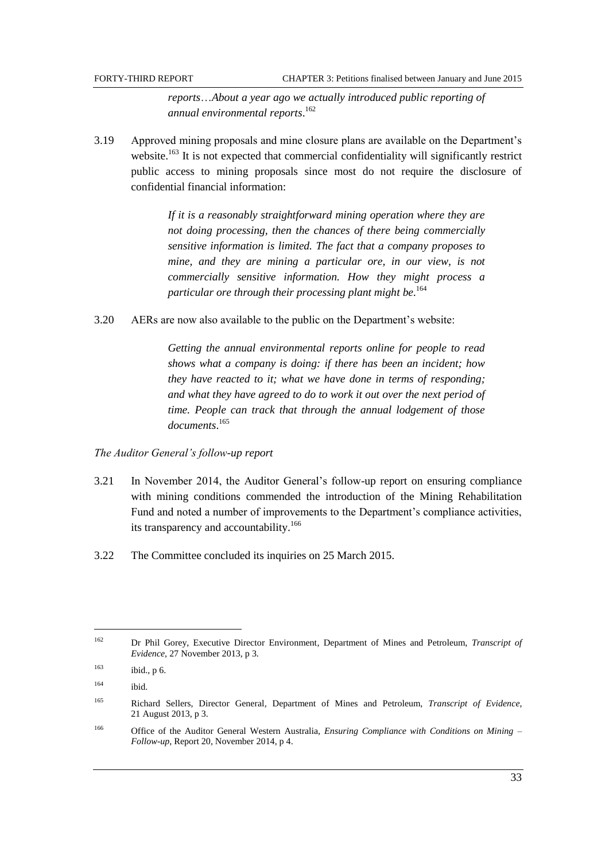*reports*…*About a year ago we actually introduced public reporting of annual environmental reports*. 162

3.19 Approved mining proposals and mine closure plans are available on the Department's website.<sup>163</sup> It is not expected that commercial confidentiality will significantly restrict public access to mining proposals since most do not require the disclosure of confidential financial information:

> *If it is a reasonably straightforward mining operation where they are not doing processing, then the chances of there being commercially sensitive information is limited. The fact that a company proposes to mine, and they are mining a particular ore, in our view, is not commercially sensitive information. How they might process a particular ore through their processing plant might be*. 164

3.20 AERs are now also available to the public on the Department's website:

*Getting the annual environmental reports online for people to read shows what a company is doing: if there has been an incident; how they have reacted to it; what we have done in terms of responding; and what they have agreed to do to work it out over the next period of time. People can track that through the annual lodgement of those documents*. 165

## *The Auditor General's follow-up report*

- 3.21 In November 2014, the Auditor General's follow-up report on ensuring compliance with mining conditions commended the introduction of the Mining Rehabilitation Fund and noted a number of improvements to the Department's compliance activities, its transparency and accountability.<sup>166</sup>
- 3.22 The Committee concluded its inquiries on 25 March 2015.

<sup>162</sup> Dr Phil Gorey, Executive Director Environment*,* Department of Mines and Petroleum, *Transcript of Evidence*, 27 November 2013, p 3.

 $163$  ibid., p 6.

 $164$  ibid.

<sup>165</sup> Richard Sellers, Director General*,* Department of Mines and Petroleum, *Transcript of Evidence*, 21 August 2013, p 3.

<sup>166</sup> Office of the Auditor General Western Australia, *Ensuring Compliance with Conditions on Mining – Follow-up*, Report 20, November 2014, p 4.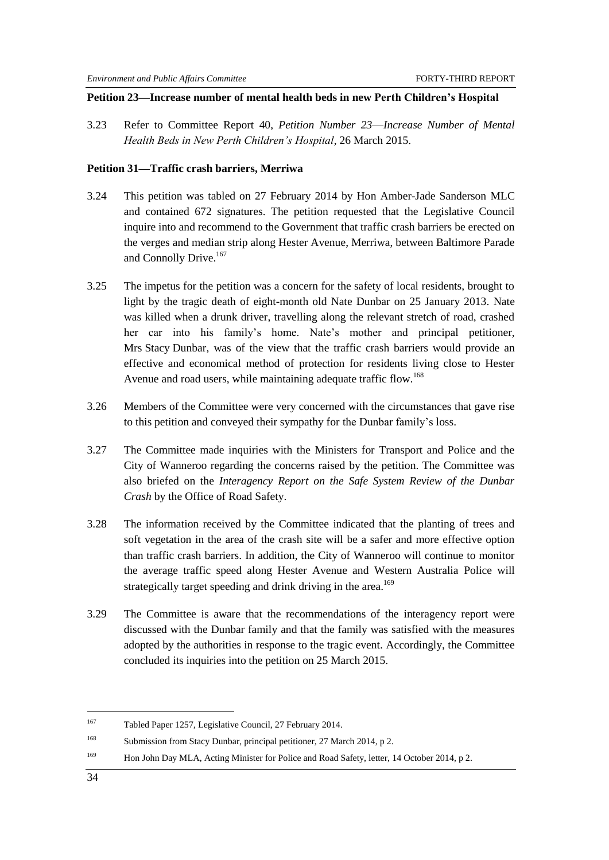## **Petition 23—Increase number of mental health beds in new Perth Children's Hospital**

3.23 Refer to Committee Report 40, *Petition Number 23*—*Increase Number of Mental Health Beds in New Perth Children's Hospital*, 26 March 2015.

## **Petition 31—Traffic crash barriers, Merriwa**

- 3.24 This petition was tabled on 27 February 2014 by Hon Amber-Jade Sanderson MLC and contained 672 signatures. The petition requested that the Legislative Council inquire into and recommend to the Government that traffic crash barriers be erected on the verges and median strip along Hester Avenue, Merriwa, between Baltimore Parade and Connolly Drive.<sup>167</sup>
- 3.25 The impetus for the petition was a concern for the safety of local residents, brought to light by the tragic death of eight-month old Nate Dunbar on 25 January 2013. Nate was killed when a drunk driver, travelling along the relevant stretch of road, crashed her car into his family's home. Nate's mother and principal petitioner, Mrs Stacy Dunbar, was of the view that the traffic crash barriers would provide an effective and economical method of protection for residents living close to Hester Avenue and road users, while maintaining adequate traffic flow.<sup>168</sup>
- 3.26 Members of the Committee were very concerned with the circumstances that gave rise to this petition and conveyed their sympathy for the Dunbar family's loss.
- 3.27 The Committee made inquiries with the Ministers for Transport and Police and the City of Wanneroo regarding the concerns raised by the petition. The Committee was also briefed on the *Interagency Report on the Safe System Review of the Dunbar Crash* by the Office of Road Safety.
- 3.28 The information received by the Committee indicated that the planting of trees and soft vegetation in the area of the crash site will be a safer and more effective option than traffic crash barriers. In addition, the City of Wanneroo will continue to monitor the average traffic speed along Hester Avenue and Western Australia Police will strategically target speeding and drink driving in the area.<sup>169</sup>
- 3.29 The Committee is aware that the recommendations of the interagency report were discussed with the Dunbar family and that the family was satisfied with the measures adopted by the authorities in response to the tragic event. Accordingly, the Committee concluded its inquiries into the petition on 25 March 2015.

<sup>167</sup> Tabled Paper 1257, Legislative Council, 27 February 2014.

<sup>168</sup> Submission from Stacy Dunbar, principal petitioner, 27 March 2014, p 2.

<sup>169</sup> Hon John Day MLA, Acting Minister for Police and Road Safety, letter, 14 October 2014, p 2.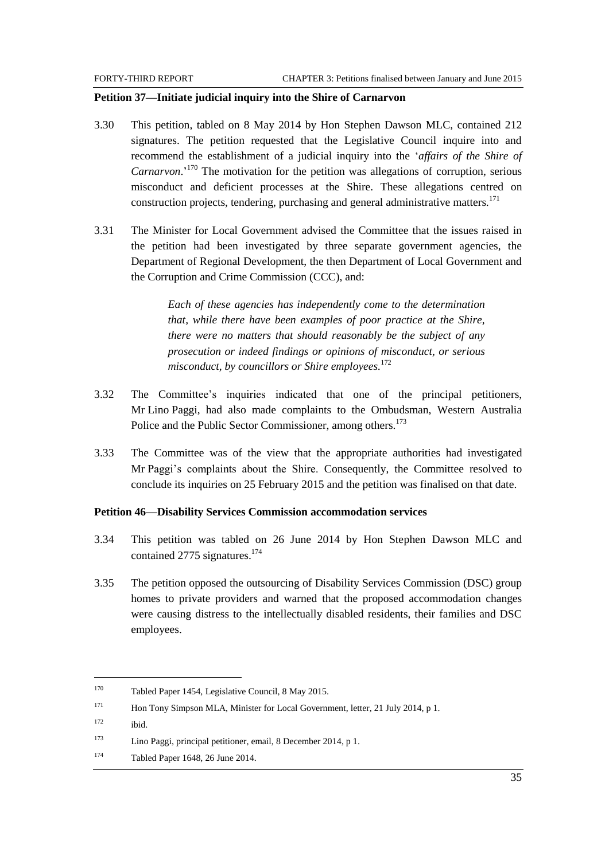#### **Petition 37—Initiate judicial inquiry into the Shire of Carnarvon**

- 3.30 This petition, tabled on 8 May 2014 by Hon Stephen Dawson MLC, contained 212 signatures. The petition requested that the Legislative Council inquire into and recommend the establishment of a judicial inquiry into the ‗*affairs of the Shire of Carnarvon*.' <sup>170</sup> The motivation for the petition was allegations of corruption, serious misconduct and deficient processes at the Shire. These allegations centred on construction projects, tendering, purchasing and general administrative matters.<sup>171</sup>
- 3.31 The Minister for Local Government advised the Committee that the issues raised in the petition had been investigated by three separate government agencies, the Department of Regional Development, the then Department of Local Government and the Corruption and Crime Commission (CCC), and:

*Each of these agencies has independently come to the determination that, while there have been examples of poor practice at the Shire, there were no matters that should reasonably be the subject of any prosecution or indeed findings or opinions of misconduct, or serious misconduct, by councillors or Shire employees.*<sup>172</sup>

- 3.32 The Committee's inquiries indicated that one of the principal petitioners, Mr Lino Paggi, had also made complaints to the Ombudsman, Western Australia Police and the Public Sector Commissioner, among others.<sup>173</sup>
- 3.33 The Committee was of the view that the appropriate authorities had investigated Mr Paggi's complaints about the Shire. Consequently, the Committee resolved to conclude its inquiries on 25 February 2015 and the petition was finalised on that date.

#### **Petition 46—Disability Services Commission accommodation services**

- 3.34 This petition was tabled on 26 June 2014 by Hon Stephen Dawson MLC and contained 2775 signatures.<sup>174</sup>
- 3.35 The petition opposed the outsourcing of Disability Services Commission (DSC) group homes to private providers and warned that the proposed accommodation changes were causing distress to the intellectually disabled residents, their families and DSC employees.

 $172$  ibid.

 $\overline{\phantom{a}}$ 

<sup>170</sup> Tabled Paper 1454, Legislative Council, 8 May 2015.

<sup>171</sup> Hon Tony Simpson MLA, Minister for Local Government, letter, 21 July 2014, p 1.

<sup>173</sup> Lino Paggi, principal petitioner, email, 8 December 2014, p 1.

<sup>174</sup> Tabled Paper 1648, 26 June 2014.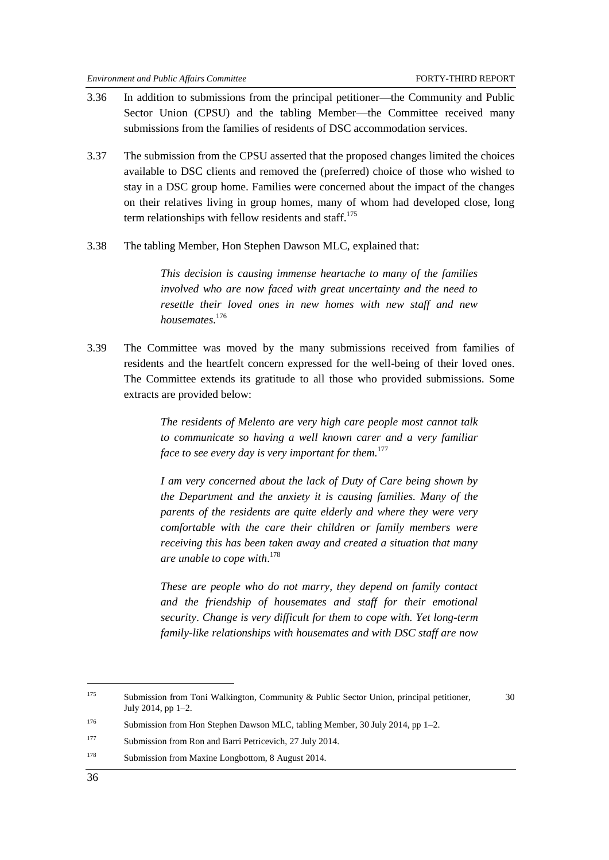- 3.36 In addition to submissions from the principal petitioner—the Community and Public Sector Union (CPSU) and the tabling Member—the Committee received many submissions from the families of residents of DSC accommodation services.
- 3.37 The submission from the CPSU asserted that the proposed changes limited the choices available to DSC clients and removed the (preferred) choice of those who wished to stay in a DSC group home. Families were concerned about the impact of the changes on their relatives living in group homes, many of whom had developed close, long term relationships with fellow residents and staff. $175$
- 3.38 The tabling Member, Hon Stephen Dawson MLC, explained that:

*This decision is causing immense heartache to many of the families involved who are now faced with great uncertainty and the need to resettle their loved ones in new homes with new staff and new housemates.*<sup>176</sup>

3.39 The Committee was moved by the many submissions received from families of residents and the heartfelt concern expressed for the well-being of their loved ones. The Committee extends its gratitude to all those who provided submissions. Some extracts are provided below:

> *The residents of Melento are very high care people most cannot talk to communicate so having a well known carer and a very familiar face to see every day is very important for them.*<sup>177</sup>

> *I am very concerned about the lack of Duty of Care being shown by the Department and the anxiety it is causing families. Many of the parents of the residents are quite elderly and where they were very comfortable with the care their children or family members were receiving this has been taken away and created a situation that many are unable to cope with*. 178

> *These are people who do not marry, they depend on family contact and the friendship of housemates and staff for their emotional security*. *Change is very difficult for them to cope with. Yet long-term family-like relationships with housemates and with DSC staff are now*

<sup>178</sup> Submission from Maxine Longbottom, 8 August 2014.

-

<sup>&</sup>lt;sup>175</sup> Submission from Toni Walkington, Community & Public Sector Union, principal petitioner,  $30$ July 2014, pp 1–2.

<sup>&</sup>lt;sup>176</sup> Submission from Hon Stephen Dawson MLC, tabling Member, 30 July 2014, pp 1–2.

<sup>177</sup> Submission from Ron and Barri Petricevich, 27 July 2014.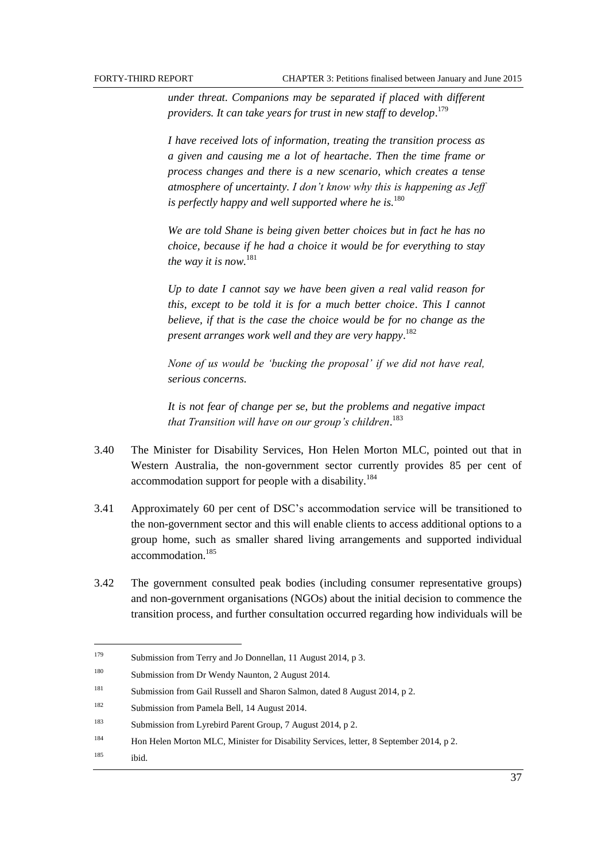*under threat. Companions may be separated if placed with different providers. It can take years for trust in new staff to develop*. 179

*I have received lots of information, treating the transition process as a given and causing me a lot of heartache*. *Then the time frame or process changes and there is a new scenario, which creates a tense atmosphere of uncertainty. I don't know why this is happening as Jeff is perfectly happy and well supported where he is.*<sup>180</sup>

*We are told Shane is being given better choices but in fact he has no choice, because if he had a choice it would be for everything to stay the way it is now.*<sup>181</sup>

*Up to date I cannot say we have been given a real valid reason for this, except to be told it is for a much better choice*. *This I cannot believe, if that is the case the choice would be for no change as the present arranges work well and they are very happy*. 182

*None of us would be ‗bucking the proposal' if we did not have real, serious concerns.*

*It is not fear of change per se, but the problems and negative impact that Transition will have on our group's children*. 183

- 3.40 The Minister for Disability Services, Hon Helen Morton MLC, pointed out that in Western Australia, the non-government sector currently provides 85 per cent of accommodation support for people with a disability.<sup>184</sup>
- 3.41 Approximately 60 per cent of DSC's accommodation service will be transitioned to the non-government sector and this will enable clients to access additional options to a group home, such as smaller shared living arrangements and supported individual accommodation.<sup>185</sup>
- 3.42 The government consulted peak bodies (including consumer representative groups) and non-government organisations (NGOs) about the initial decision to commence the transition process, and further consultation occurred regarding how individuals will be

<sup>179</sup> Submission from Terry and Jo Donnellan, 11 August 2014, p 3.

<sup>&</sup>lt;sup>180</sup> Submission from Dr Wendy Naunton, 2 August 2014.

<sup>181</sup> Submission from Gail Russell and Sharon Salmon, dated 8 August 2014, p 2.

<sup>&</sup>lt;sup>182</sup> Submission from Pamela Bell, 14 August 2014.

<sup>183</sup> Submission from Lyrebird Parent Group, 7 August 2014, p 2.

<sup>184</sup> Hon Helen Morton MLC, Minister for Disability Services, letter, 8 September 2014, p 2.

 $185$  ibid.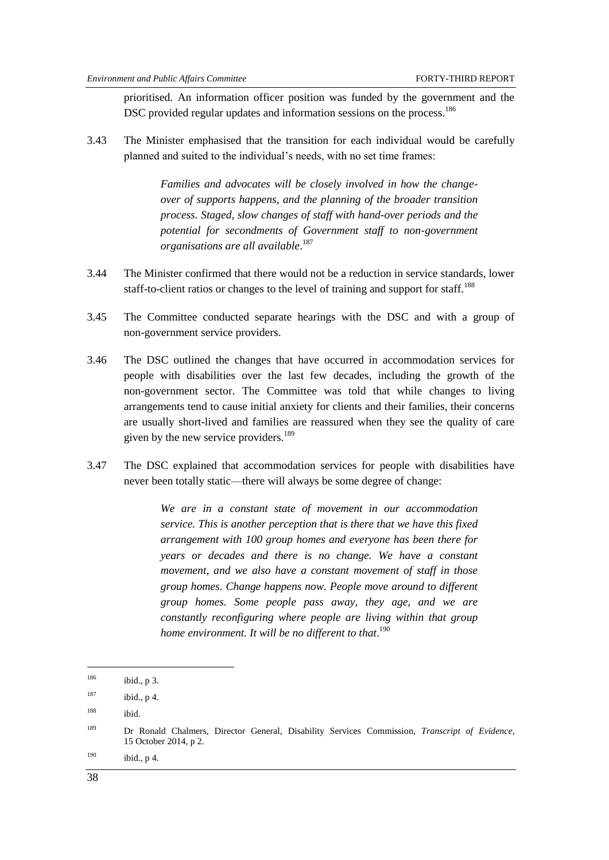prioritised. An information officer position was funded by the government and the DSC provided regular updates and information sessions on the process.<sup>186</sup>

3.43 The Minister emphasised that the transition for each individual would be carefully planned and suited to the individual's needs, with no set time frames:

> *Families and advocates will be closely involved in how the changeover of supports happens, and the planning of the broader transition process. Staged, slow changes of staff with hand-over periods and the potential for secondments of Government staff to non-government organisations are all available*. 187

- 3.44 The Minister confirmed that there would not be a reduction in service standards, lower staff-to-client ratios or changes to the level of training and support for staff.<sup>188</sup>
- 3.45 The Committee conducted separate hearings with the DSC and with a group of non-government service providers.
- 3.46 The DSC outlined the changes that have occurred in accommodation services for people with disabilities over the last few decades, including the growth of the non-government sector. The Committee was told that while changes to living arrangements tend to cause initial anxiety for clients and their families, their concerns are usually short-lived and families are reassured when they see the quality of care given by the new service providers. $189$
- 3.47 The DSC explained that accommodation services for people with disabilities have never been totally static—there will always be some degree of change:

*We are in a constant state of movement in our accommodation service. This is another perception that is there that we have this fixed arrangement with 100 group homes and everyone has been there for years or decades and there is no change. We have a constant movement, and we also have a constant movement of staff in those group homes. Change happens now. People move around to different group homes. Some people pass away, they age, and we are constantly reconfiguring where people are living within that group home environment. It will be no different to that*. 190

 $190$  ibid., p 4.

<sup>186</sup> ibid., p 3.

 $187$  ibid., p 4.

<sup>188</sup> ibid.

<sup>189</sup> Dr Ronald Chalmers, Director General*,* Disability Services Commission, *Transcript of Evidence*, 15 October 2014, p 2.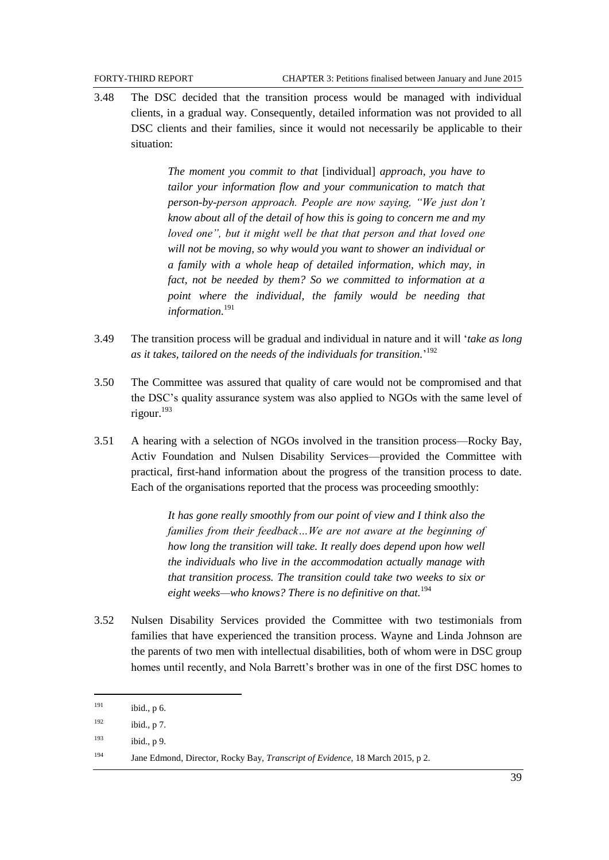3.48 The DSC decided that the transition process would be managed with individual clients, in a gradual way. Consequently, detailed information was not provided to all DSC clients and their families, since it would not necessarily be applicable to their situation:

> *The moment you commit to that* [individual] *approach, you have to tailor your information flow and your communication to match that person-by-person approach. People are now saying, "We just don't know about all of the detail of how this is going to concern me and my loved one", but it might well be that that person and that loved one will not be moving, so why would you want to shower an individual or a family with a whole heap of detailed information, which may, in fact, not be needed by them? So we committed to information at a point where the individual, the family would be needing that information.*<sup>191</sup>

- 3.49 The transition process will be gradual and individual in nature and it will ‗*take as long as it takes, tailored on the needs of the individuals for transition.*' 192
- 3.50 The Committee was assured that quality of care would not be compromised and that the DSC's quality assurance system was also applied to NGOs with the same level of rigour. 193
- 3.51 A hearing with a selection of NGOs involved in the transition process—Rocky Bay, Activ Foundation and Nulsen Disability Services—provided the Committee with practical, first-hand information about the progress of the transition process to date. Each of the organisations reported that the process was proceeding smoothly:

*It has gone really smoothly from our point of view and I think also the families from their feedback…We are not aware at the beginning of how long the transition will take. It really does depend upon how well the individuals who live in the accommodation actually manage with that transition process. The transition could take two weeks to six or eight weeks—who knows? There is no definitive on that.*<sup>194</sup>

3.52 Nulsen Disability Services provided the Committee with two testimonials from families that have experienced the transition process. Wayne and Linda Johnson are the parents of two men with intellectual disabilities, both of whom were in DSC group homes until recently, and Nola Barrett's brother was in one of the first DSC homes to

 $191$  ibid., p 6.

 $192$  ibid., p 7.

 $193$  ibid., p 9.

<sup>194</sup> Jane Edmond, Director*,* Rocky Bay, *Transcript of Evidence*, 18 March 2015, p 2.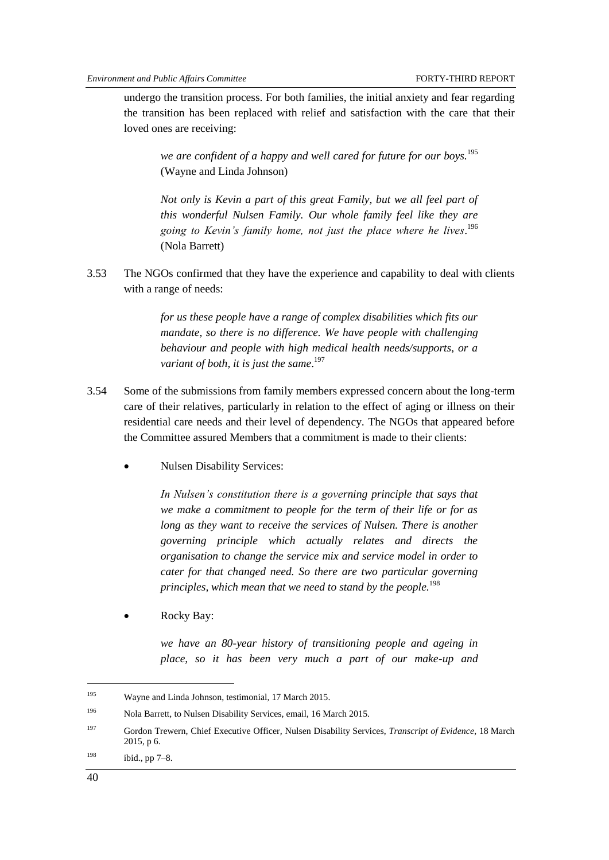undergo the transition process. For both families, the initial anxiety and fear regarding the transition has been replaced with relief and satisfaction with the care that their loved ones are receiving:

*we are confident of a happy and well cared for future for our boys.*<sup>195</sup> (Wayne and Linda Johnson)

*Not only is Kevin a part of this great Family, but we all feel part of this wonderful Nulsen Family. Our whole family feel like they are going to Kevin's family home, not just the place where he lives*. 196 (Nola Barrett)

3.53 The NGOs confirmed that they have the experience and capability to deal with clients with a range of needs:

> *for us these people have a range of complex disabilities which fits our mandate, so there is no difference. We have people with challenging behaviour and people with high medical health needs/supports, or a variant of both, it is just the same*. 197

- 3.54 Some of the submissions from family members expressed concern about the long-term care of their relatives, particularly in relation to the effect of aging or illness on their residential care needs and their level of dependency. The NGOs that appeared before the Committee assured Members that a commitment is made to their clients:
	- Nulsen Disability Services:

*In Nulsen's constitution there is a governing principle that says that we make a commitment to people for the term of their life or for as long as they want to receive the services of Nulsen. There is another governing principle which actually relates and directs the organisation to change the service mix and service model in order to cater for that changed need. So there are two particular governing principles, which mean that we need to stand by the people.*<sup>198</sup>

Rocky Bay:

*we have an 80-year history of transitioning people and ageing in place, so it has been very much a part of our make-up and* 

-

<sup>195</sup> Wayne and Linda Johnson, testimonial, 17 March 2015.

<sup>196</sup> Nola Barrett, to Nulsen Disability Services, email, 16 March 2015.

<sup>197</sup> Gordon Trewern, Chief Executive Officer*,* Nulsen Disability Services, *Transcript of Evidence*, 18 March 2015, p 6.

<sup>198</sup> ibid., pp  $7-8$ .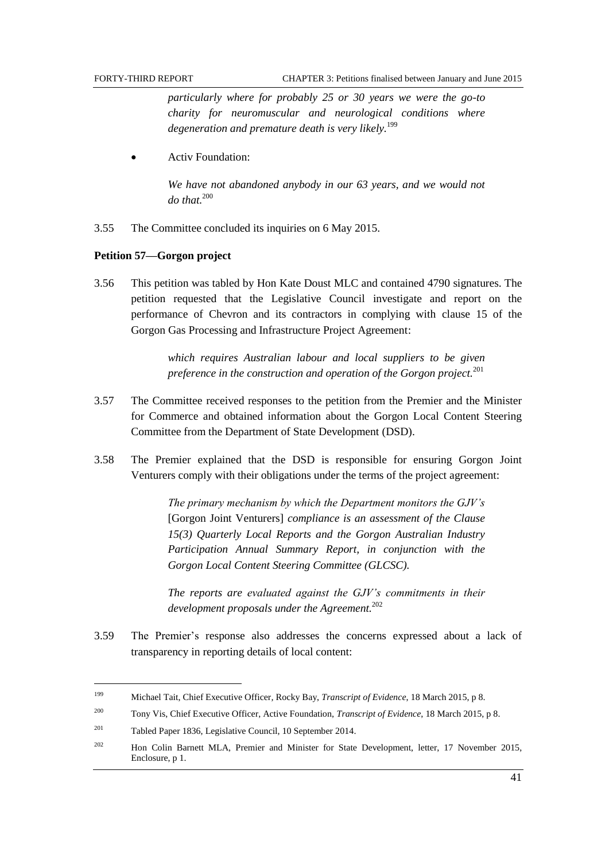*particularly where for probably 25 or 30 years we were the go-to charity for neuromuscular and neurological conditions where degeneration and premature death is very likely.*<sup>199</sup>

Activ Foundation:

*We have not abandoned anybody in our 63 years, and we would not do that.*<sup>200</sup>

3.55 The Committee concluded its inquiries on 6 May 2015.

#### **Petition 57—Gorgon project**

3.56 This petition was tabled by Hon Kate Doust MLC and contained 4790 signatures. The petition requested that the Legislative Council investigate and report on the performance of Chevron and its contractors in complying with clause 15 of the Gorgon Gas Processing and Infrastructure Project Agreement:

> *which requires Australian labour and local suppliers to be given preference in the construction and operation of the Gorgon project.*<sup>201</sup>

- 3.57 The Committee received responses to the petition from the Premier and the Minister for Commerce and obtained information about the Gorgon Local Content Steering Committee from the Department of State Development (DSD).
- 3.58 The Premier explained that the DSD is responsible for ensuring Gorgon Joint Venturers comply with their obligations under the terms of the project agreement:

*The primary mechanism by which the Department monitors the GJV's*  [Gorgon Joint Venturers] *compliance is an assessment of the Clause 15(3) Quarterly Local Reports and the Gorgon Australian Industry Participation Annual Summary Report, in conjunction with the Gorgon Local Content Steering Committee (GLCSC).*

*The reports are evaluated against the GJV's commitments in their development proposals under the Agreement.* 202

3.59 The Premier's response also addresses the concerns expressed about a lack of transparency in reporting details of local content:

<sup>199</sup> Michael Tait, Chief Executive Officer*,* Rocky Bay, *Transcript of Evidence*, 18 March 2015, p 8.

<sup>200</sup> Tony Vis, Chief Executive Officer, Active Foundation, *Transcript of Evidence*, 18 March 2015, p 8.

<sup>201</sup> Tabled Paper 1836, Legislative Council, 10 September 2014.

<sup>&</sup>lt;sup>202</sup> Hon Colin Barnett MLA, Premier and Minister for State Development, letter, 17 November 2015, Enclosure, p 1.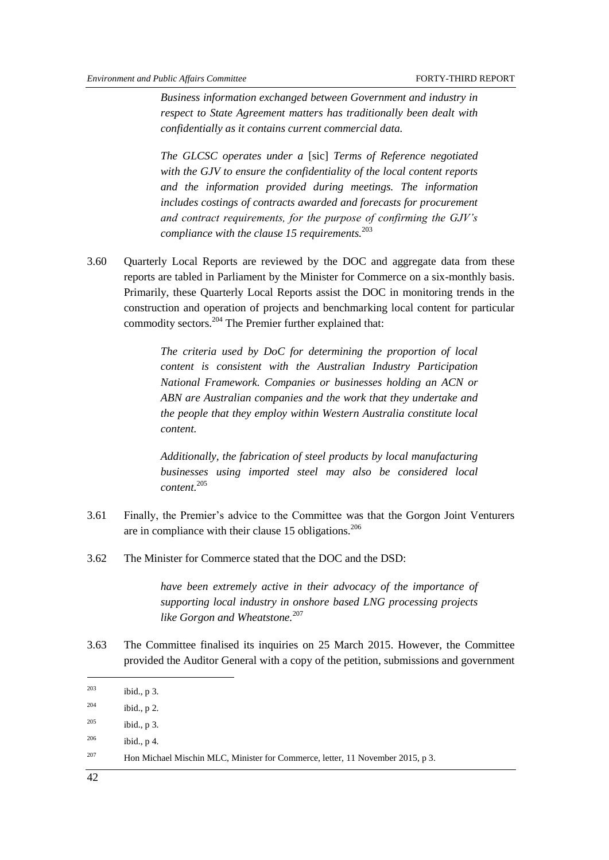*Business information exchanged between Government and industry in respect to State Agreement matters has traditionally been dealt with confidentially as it contains current commercial data.*

*The GLCSC operates under a* [sic] *Terms of Reference negotiated with the GJV to ensure the confidentiality of the local content reports and the information provided during meetings. The information includes costings of contracts awarded and forecasts for procurement and contract requirements, for the purpose of confirming the GJV's compliance with the clause 15 requirements.*<sup>203</sup>

3.60 Quarterly Local Reports are reviewed by the DOC and aggregate data from these reports are tabled in Parliament by the Minister for Commerce on a six-monthly basis. Primarily, these Quarterly Local Reports assist the DOC in monitoring trends in the construction and operation of projects and benchmarking local content for particular commodity sectors.<sup>204</sup> The Premier further explained that:

> *The criteria used by DoC for determining the proportion of local content is consistent with the Australian Industry Participation National Framework. Companies or businesses holding an ACN or ABN are Australian companies and the work that they undertake and the people that they employ within Western Australia constitute local content.*

> *Additionally, the fabrication of steel products by local manufacturing businesses using imported steel may also be considered local content.*<sup>205</sup>

- 3.61 Finally, the Premier's advice to the Committee was that the Gorgon Joint Venturers are in compliance with their clause 15 obligations.<sup>206</sup>
- 3.62 The Minister for Commerce stated that the DOC and the DSD:

*have been extremely active in their advocacy of the importance of supporting local industry in onshore based LNG processing projects like Gorgon and Wheatstone.*<sup>207</sup>

3.63 The Committee finalised its inquiries on 25 March 2015. However, the Committee provided the Auditor General with a copy of the petition, submissions and government

 $^{205}$  ibid., p 3.

-

<sup>203</sup> ibid., p 3.

 $204$  ibid., p 2.

 $^{206}$  ibid., p 4.

<sup>&</sup>lt;sup>207</sup> Hon Michael Mischin MLC, Minister for Commerce, letter, 11 November 2015, p 3.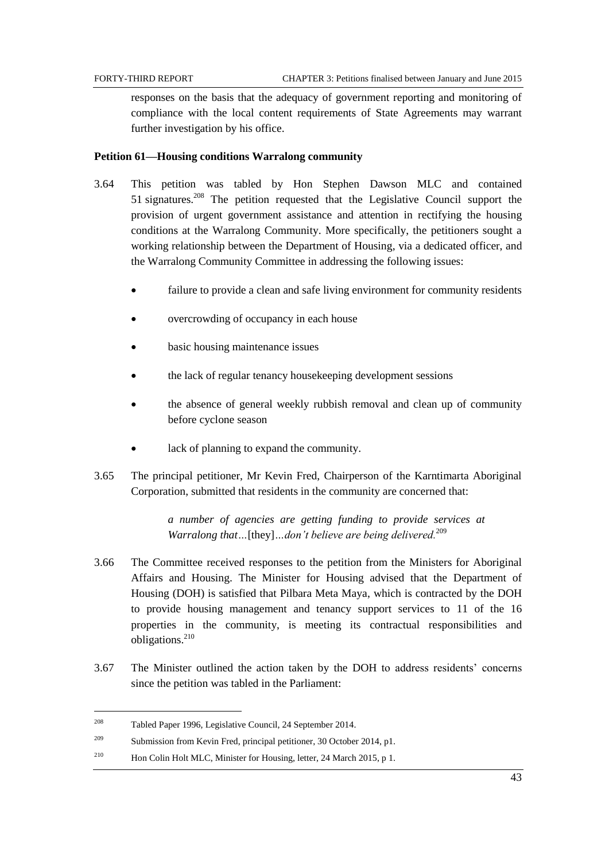responses on the basis that the adequacy of government reporting and monitoring of compliance with the local content requirements of State Agreements may warrant further investigation by his office.

## **Petition 61—Housing conditions Warralong community**

- 3.64 This petition was tabled by Hon Stephen Dawson MLC and contained 51 signatures.<sup>208</sup> The petition requested that the Legislative Council support the provision of urgent government assistance and attention in rectifying the housing conditions at the Warralong Community. More specifically, the petitioners sought a working relationship between the Department of Housing, via a dedicated officer, and the Warralong Community Committee in addressing the following issues:
	- failure to provide a clean and safe living environment for community residents
	- overcrowding of occupancy in each house
	- basic housing maintenance issues
	- the lack of regular tenancy housekeeping development sessions
	- the absence of general weekly rubbish removal and clean up of community before cyclone season
	- lack of planning to expand the community.
- 3.65 The principal petitioner, Mr Kevin Fred, Chairperson of the Karntimarta Aboriginal Corporation, submitted that residents in the community are concerned that:

*a number of agencies are getting funding to provide services at Warralong that…*[they]*…don't believe are being delivered.*<sup>209</sup>

- 3.66 The Committee received responses to the petition from the Ministers for Aboriginal Affairs and Housing. The Minister for Housing advised that the Department of Housing (DOH) is satisfied that Pilbara Meta Maya, which is contracted by the DOH to provide housing management and tenancy support services to 11 of the 16 properties in the community, is meeting its contractual responsibilities and obligations.<sup>210</sup>
- 3.67 The Minister outlined the action taken by the DOH to address residents' concerns since the petition was tabled in the Parliament:

<sup>208</sup> Tabled Paper 1996, Legislative Council, 24 September 2014.

<sup>209</sup> Submission from Kevin Fred, principal petitioner, 30 October 2014, p1.

<sup>&</sup>lt;sup>210</sup> Hon Colin Holt MLC, Minister for Housing, letter, 24 March 2015, p 1.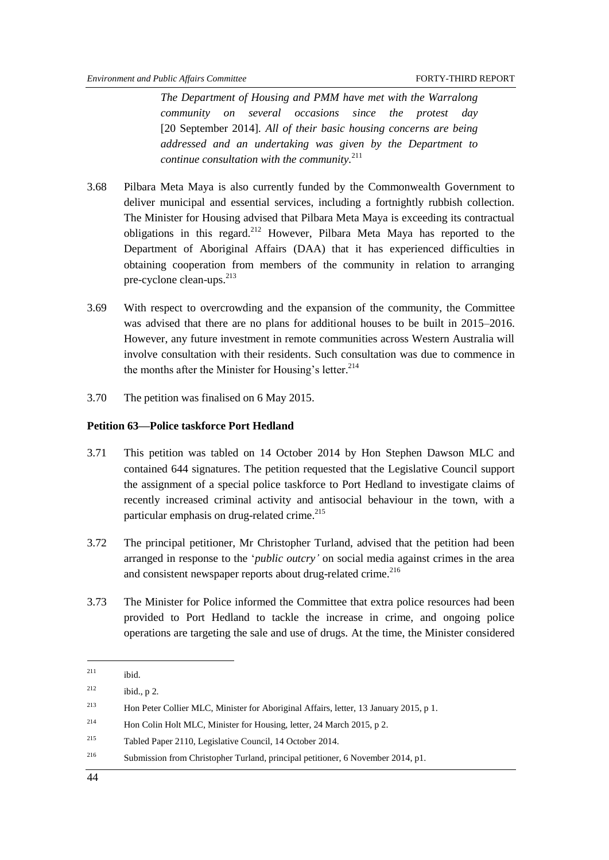*The Department of Housing and PMM have met with the Warralong community on several occasions since the protest day* [20 September 2014]*. All of their basic housing concerns are being addressed and an undertaking was given by the Department to continue consultation with the community.*<sup>211</sup>

- 3.68 Pilbara Meta Maya is also currently funded by the Commonwealth Government to deliver municipal and essential services, including a fortnightly rubbish collection. The Minister for Housing advised that Pilbara Meta Maya is exceeding its contractual obligations in this regard.<sup>212</sup> However, Pilbara Meta Maya has reported to the Department of Aboriginal Affairs (DAA) that it has experienced difficulties in obtaining cooperation from members of the community in relation to arranging pre-cyclone clean-ups. $^{213}$
- 3.69 With respect to overcrowding and the expansion of the community, the Committee was advised that there are no plans for additional houses to be built in 2015–2016. However, any future investment in remote communities across Western Australia will involve consultation with their residents. Such consultation was due to commence in the months after the Minister for Housing's letter. 214
- 3.70 The petition was finalised on 6 May 2015.

## **Petition 63—Police taskforce Port Hedland**

- 3.71 This petition was tabled on 14 October 2014 by Hon Stephen Dawson MLC and contained 644 signatures. The petition requested that the Legislative Council support the assignment of a special police taskforce to Port Hedland to investigate claims of recently increased criminal activity and antisocial behaviour in the town, with a particular emphasis on drug-related crime.<sup>215</sup>
- 3.72 The principal petitioner, Mr Christopher Turland, advised that the petition had been arranged in response to the ‗*public outcry'* on social media against crimes in the area and consistent newspaper reports about drug-related crime.<sup>216</sup>
- 3.73 The Minister for Police informed the Committee that extra police resources had been provided to Port Hedland to tackle the increase in crime, and ongoing police operations are targeting the sale and use of drugs. At the time, the Minister considered

 $211$  ibid.

<sup>&</sup>lt;sup>212</sup> ibid., p 2.

<sup>213</sup> Hon Peter Collier MLC, Minister for Aboriginal Affairs, letter, 13 January 2015, p 1.

<sup>&</sup>lt;sup>214</sup> Hon Colin Holt MLC, Minister for Housing, letter, 24 March 2015, p 2.

<sup>215</sup> Tabled Paper 2110, Legislative Council, 14 October 2014.

<sup>216</sup> Submission from Christopher Turland, principal petitioner, 6 November 2014, p1.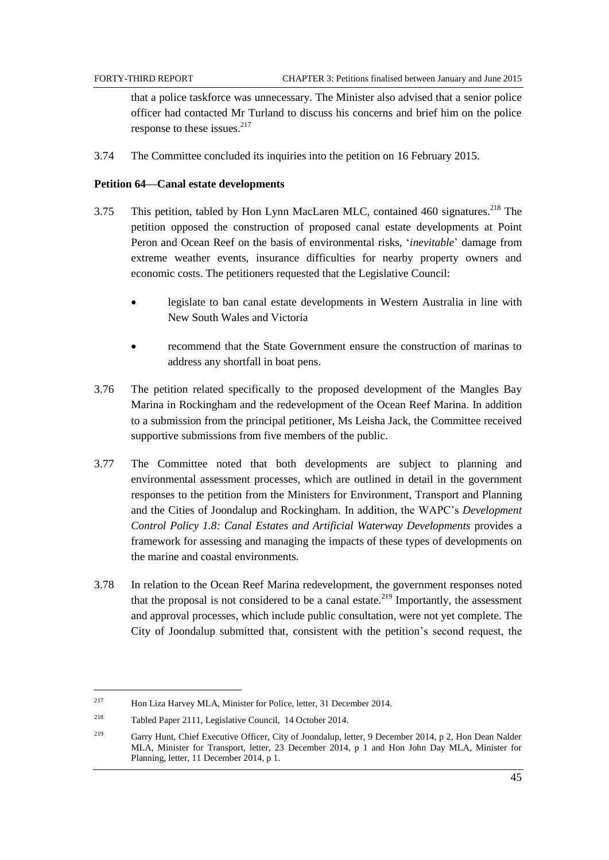that a police taskforce was unnecessary. The Minister also advised that a senior police officer had contacted Mr Turland to discuss his concerns and brief him on the police response to these issues. $217$ 

3.74 The Committee concluded its inquiries into the petition on 16 February 2015.

## **Petition 64—Canal estate developments**

- 3.75 This petition, tabled by Hon Lynn MacLaren MLC, contained 460 signatures.<sup>218</sup> The petition opposed the construction of proposed canal estate developments at Point Peron and Ocean Reef on the basis of environmental risks, ‗*inevitable*' damage from extreme weather events, insurance difficulties for nearby property owners and economic costs. The petitioners requested that the Legislative Council:
	- legislate to ban canal estate developments in Western Australia in line with New South Wales and Victoria
	- recommend that the State Government ensure the construction of marinas to address any shortfall in boat pens.
- 3.76 The petition related specifically to the proposed development of the Mangles Bay Marina in Rockingham and the redevelopment of the Ocean Reef Marina. In addition to a submission from the principal petitioner, Ms Leisha Jack, the Committee received supportive submissions from five members of the public.
- 3.77 The Committee noted that both developments are subject to planning and environmental assessment processes, which are outlined in detail in the government responses to the petition from the Ministers for Environment, Transport and Planning and the Cities of Joondalup and Rockingham. In addition, the WAPC's *Development Control Policy 1.8: Canal Estates and Artificial Waterway Developments* provides a framework for assessing and managing the impacts of these types of developments on the marine and coastal environments.
- 3.78 In relation to the Ocean Reef Marina redevelopment, the government responses noted that the proposal is not considered to be a canal estate.<sup>219</sup> Importantly, the assessment and approval processes, which include public consultation, were not yet complete. The City of Joondalup submitted that, consistent with the petition's second request, the

<sup>217</sup> Hon Liza Harvey MLA, Minister for Police, letter, 31 December 2014.

<sup>218</sup> Tabled Paper 2111, Legislative Council, 14 October 2014.

<sup>&</sup>lt;sup>219</sup> Garry Hunt, Chief Executive Officer, City of Joondalup, letter, 9 December 2014, p 2, Hon Dean Nalder MLA, Minister for Transport, letter, 23 December 2014, p 1 and Hon John Day MLA, Minister for Planning, letter, 11 December 2014, p 1.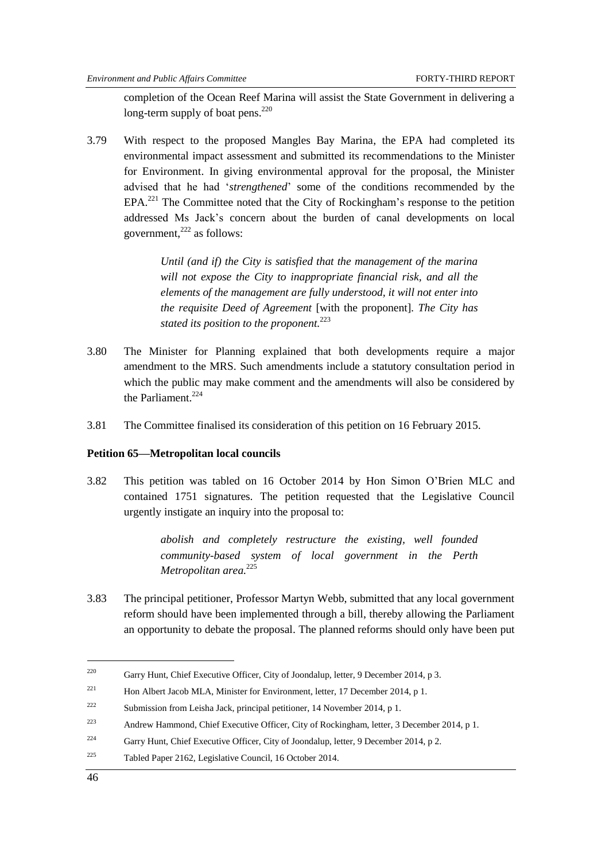completion of the Ocean Reef Marina will assist the State Government in delivering a long-term supply of boat pens.<sup>220</sup>

3.79 With respect to the proposed Mangles Bay Marina, the EPA had completed its environmental impact assessment and submitted its recommendations to the Minister for Environment. In giving environmental approval for the proposal, the Minister advised that he had ‗*strengthened*' some of the conditions recommended by the  $EPA<sup>221</sup>$  The Committee noted that the City of Rockingham's response to the petition addressed Ms Jack's concern about the burden of canal developments on local government, <sup>222</sup> as follows:

> *Until (and if) the City is satisfied that the management of the marina will not expose the City to inappropriate financial risk, and all the elements of the management are fully understood, it will not enter into the requisite Deed of Agreement* [with the proponent]*. The City has stated its position to the proponent.*<sup>223</sup>

- 3.80 The Minister for Planning explained that both developments require a major amendment to the MRS. Such amendments include a statutory consultation period in which the public may make comment and the amendments will also be considered by the Parliament. $224$
- 3.81 The Committee finalised its consideration of this petition on 16 February 2015.

#### **Petition 65—Metropolitan local councils**

3.82 This petition was tabled on 16 October 2014 by Hon Simon O'Brien MLC and contained 1751 signatures. The petition requested that the Legislative Council urgently instigate an inquiry into the proposal to:

> *abolish and completely restructure the existing, well founded community-based system of local government in the Perth Metropolitan area.* 225

3.83 The principal petitioner, Professor Martyn Webb, submitted that any local government reform should have been implemented through a bill, thereby allowing the Parliament an opportunity to debate the proposal. The planned reforms should only have been put

<sup>&</sup>lt;sup>220</sup> Garry Hunt, Chief Executive Officer, City of Joondalup, letter, 9 December 2014, p 3.

<sup>&</sup>lt;sup>221</sup> Hon Albert Jacob MLA, Minister for Environment, letter, 17 December 2014, p 1.

<sup>222</sup> Submission from Leisha Jack, principal petitioner, 14 November 2014, p 1.

<sup>223</sup> Andrew Hammond, Chief Executive Officer, City of Rockingham, letter, 3 December 2014, p 1.

<sup>&</sup>lt;sup>224</sup> Garry Hunt, Chief Executive Officer, City of Joondalup, letter, 9 December 2014, p 2.

<sup>225</sup> Tabled Paper 2162, Legislative Council, 16 October 2014.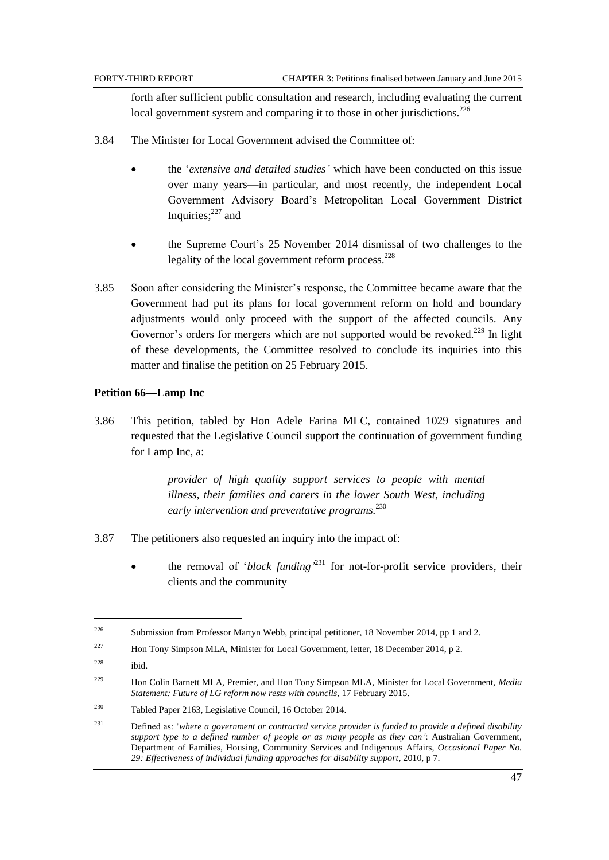forth after sufficient public consultation and research, including evaluating the current local government system and comparing it to those in other jurisdictions.<sup>226</sup>

- 3.84 The Minister for Local Government advised the Committee of:
	- the ‗*extensive and detailed studies'* which have been conducted on this issue over many years—in particular, and most recently, the independent Local Government Advisory Board's Metropolitan Local Government District Inquiries;<sup>227</sup> and
	- the Supreme Court's 25 November 2014 dismissal of two challenges to the legality of the local government reform process. $228$
- 3.85 Soon after considering the Minister's response, the Committee became aware that the Government had put its plans for local government reform on hold and boundary adjustments would only proceed with the support of the affected councils. Any Governor's orders for mergers which are not supported would be revoked.<sup>229</sup> In light of these developments, the Committee resolved to conclude its inquiries into this matter and finalise the petition on 25 February 2015.

#### **Petition 66—Lamp Inc**

3.86 This petition, tabled by Hon Adele Farina MLC, contained 1029 signatures and requested that the Legislative Council support the continuation of government funding for Lamp Inc, a:

> *provider of high quality support services to people with mental illness, their families and carers in the lower South West, including early intervention and preventative programs.* 230

- 3.87 The petitioners also requested an inquiry into the impact of:
	- $\bullet$  the removal of *'block funding*<sup>231</sup> for not-for-profit service providers, their clients and the community

 $\overline{a}$ 

<sup>226</sup> Submission from Professor Martyn Webb, principal petitioner, 18 November 2014, pp 1 and 2.

<sup>&</sup>lt;sup>227</sup> Hon Tony Simpson MLA, Minister for Local Government, letter, 18 December 2014, p 2.

 $228$  ibid.

<sup>229</sup> Hon Colin Barnett MLA, Premier, and Hon Tony Simpson MLA, Minister for Local Government, *Media Statement: Future of LG reform now rests with councils*, 17 February 2015.

<sup>230</sup> Tabled Paper 2163, Legislative Council, 16 October 2014.

<sup>231</sup> Defined as: ‗*where a government or contracted service provider is funded to provide a defined disability support type to a defined number of people or as many people as they can'*: Australian Government, Department of Families, Housing, Community Services and Indigenous Affairs, *Occasional Paper No. 29: Effectiveness of individual funding approaches for disability support*, 2010, p 7.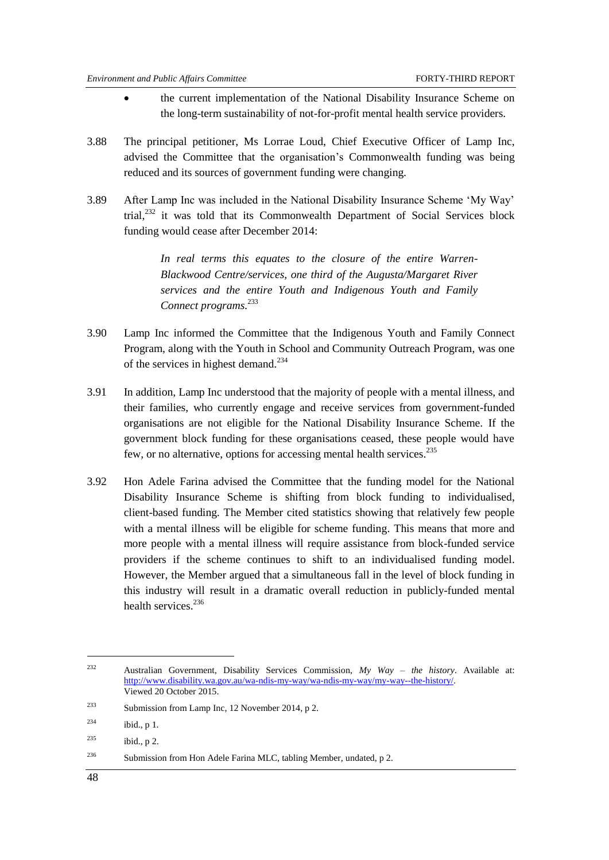- the current implementation of the National Disability Insurance Scheme on the long-term sustainability of not-for-profit mental health service providers.
- 3.88 The principal petitioner, Ms Lorrae Loud, Chief Executive Officer of Lamp Inc, advised the Committee that the organisation's Commonwealth funding was being reduced and its sources of government funding were changing.
- 3.89 After Lamp Inc was included in the National Disability Insurance Scheme 'My Way' trial,<sup>232</sup> it was told that its Commonwealth Department of Social Services block funding would cease after December 2014:

*In real terms this equates to the closure of the entire Warren-Blackwood Centre/services, one third of the Augusta/Margaret River services and the entire Youth and Indigenous Youth and Family Connect programs.*<sup>233</sup>

- 3.90 Lamp Inc informed the Committee that the Indigenous Youth and Family Connect Program, along with the Youth in School and Community Outreach Program, was one of the services in highest demand.<sup>234</sup>
- 3.91 In addition, Lamp Inc understood that the majority of people with a mental illness, and their families, who currently engage and receive services from government-funded organisations are not eligible for the National Disability Insurance Scheme. If the government block funding for these organisations ceased, these people would have few, or no alternative, options for accessing mental health services.<sup>235</sup>
- 3.92 Hon Adele Farina advised the Committee that the funding model for the National Disability Insurance Scheme is shifting from block funding to individualised, client-based funding. The Member cited statistics showing that relatively few people with a mental illness will be eligible for scheme funding. This means that more and more people with a mental illness will require assistance from block-funded service providers if the scheme continues to shift to an individualised funding model. However, the Member argued that a simultaneous fall in the level of block funding in this industry will result in a dramatic overall reduction in publicly-funded mental health services. 236

<sup>232</sup> Australian Government, Disability Services Commission, *My Way – the history*. Available at: [http://www.disability.wa.gov.au/wa-ndis-my-way/wa-ndis-my-way/my-way--the-history/.](http://www.disability.wa.gov.au/wa-ndis-my-way/wa-ndis-my-way/my-way--the-history/)  Viewed 20 October 2015.

<sup>233</sup> Submission from Lamp Inc, 12 November 2014, p 2.

 $^{234}$  ibid., p 1.

 $2^{35}$  ibid., p 2.

<sup>&</sup>lt;sup>236</sup> Submission from Hon Adele Farina MLC, tabling Member, undated, p 2.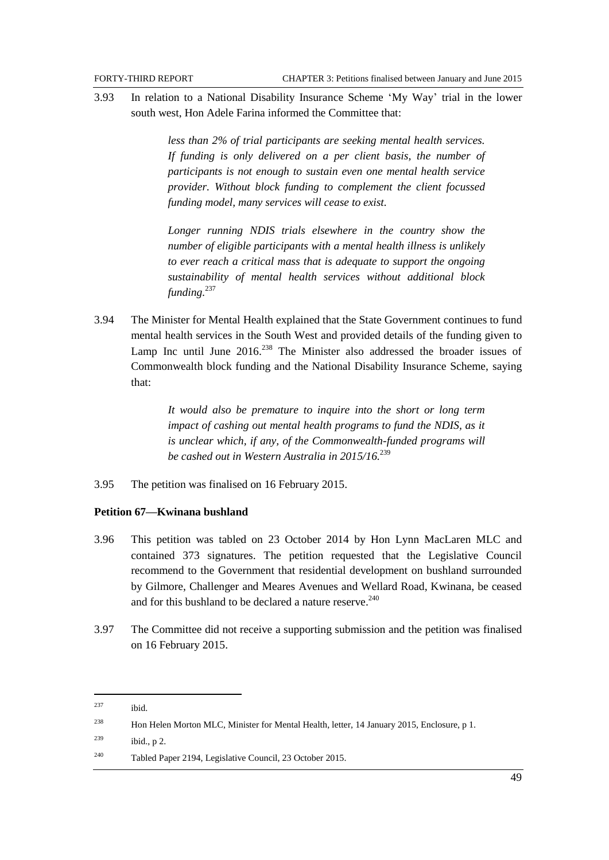3.93 In relation to a National Disability Insurance Scheme ‗My Way' trial in the lower south west, Hon Adele Farina informed the Committee that:

> *less than 2% of trial participants are seeking mental health services. If funding is only delivered on a per client basis, the number of participants is not enough to sustain even one mental health service provider. Without block funding to complement the client focussed funding model, many services will cease to exist.*

> *Longer running NDIS trials elsewhere in the country show the number of eligible participants with a mental health illness is unlikely to ever reach a critical mass that is adequate to support the ongoing sustainability of mental health services without additional block funding.*<sup>237</sup>

3.94 The Minister for Mental Health explained that the State Government continues to fund mental health services in the South West and provided details of the funding given to Lamp Inc until June  $2016$ <sup>238</sup> The Minister also addressed the broader issues of Commonwealth block funding and the National Disability Insurance Scheme, saying that:

> *It would also be premature to inquire into the short or long term impact of cashing out mental health programs to fund the NDIS, as it is unclear which, if any, of the Commonwealth-funded programs will be cashed out in Western Australia in 2015/16.*<sup>239</sup>

3.95 The petition was finalised on 16 February 2015.

## **Petition 67—Kwinana bushland**

- 3.96 This petition was tabled on 23 October 2014 by Hon Lynn MacLaren MLC and contained 373 signatures. The petition requested that the Legislative Council recommend to the Government that residential development on bushland surrounded by Gilmore, Challenger and Meares Avenues and Wellard Road, Kwinana, be ceased and for this bushland to be declared a nature reserve. 240
- 3.97 The Committee did not receive a supporting submission and the petition was finalised on 16 February 2015.

<sup>237</sup> ibid.

<sup>238</sup> Hon Helen Morton MLC, Minister for Mental Health, letter, 14 January 2015, Enclosure, p 1.

 $239$  ibid., p 2.

<sup>240</sup> Tabled Paper 2194, Legislative Council, 23 October 2015.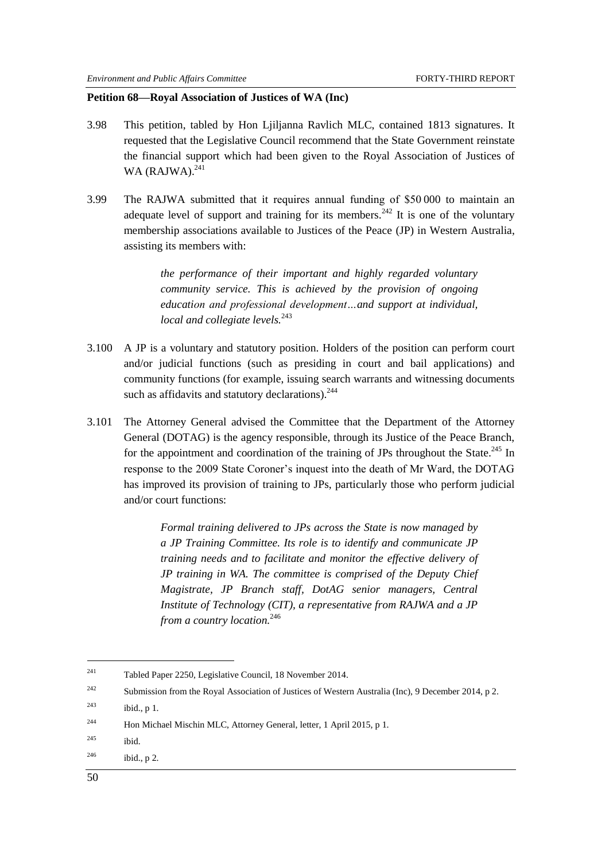## **Petition 68—Royal Association of Justices of WA (Inc)**

- 3.98 This petition, tabled by Hon Ljiljanna Ravlich MLC, contained 1813 signatures. It requested that the Legislative Council recommend that the State Government reinstate the financial support which had been given to the Royal Association of Justices of WA (RAJWA).<sup>241</sup>
- 3.99 The RAJWA submitted that it requires annual funding of \$50 000 to maintain an adequate level of support and training for its members.<sup>242</sup> It is one of the voluntary membership associations available to Justices of the Peace (JP) in Western Australia, assisting its members with:

*the performance of their important and highly regarded voluntary community service. This is achieved by the provision of ongoing education and professional development…and support at individual, local and collegiate levels.*<sup>243</sup>

- 3.100 A JP is a voluntary and statutory position. Holders of the position can perform court and/or judicial functions (such as presiding in court and bail applications) and community functions (for example, issuing search warrants and witnessing documents such as affidavits and statutory declarations). $244$
- 3.101 The Attorney General advised the Committee that the Department of the Attorney General (DOTAG) is the agency responsible, through its Justice of the Peace Branch, for the appointment and coordination of the training of JPs throughout the State.<sup>245</sup> In response to the 2009 State Coroner's inquest into the death of Mr Ward, the DOTAG has improved its provision of training to JPs, particularly those who perform judicial and/or court functions:

*Formal training delivered to JPs across the State is now managed by a JP Training Committee. Its role is to identify and communicate JP training needs and to facilitate and monitor the effective delivery of JP training in WA. The committee is comprised of the Deputy Chief Magistrate, JP Branch staff, DotAG senior managers, Central Institute of Technology (CIT), a representative from RAJWA and a JP from a country location.*<sup>246</sup>

<sup>241</sup> Tabled Paper 2250, Legislative Council, 18 November 2014.

<sup>&</sup>lt;sup>242</sup> Submission from the Royal Association of Justices of Western Australia (Inc), 9 December 2014, p 2.

<sup>243</sup> ibid., p 1.

<sup>244</sup> Hon Michael Mischin MLC, Attorney General, letter, 1 April 2015, p 1.

<sup>245</sup> ibid.

 $246$  ibid., p 2.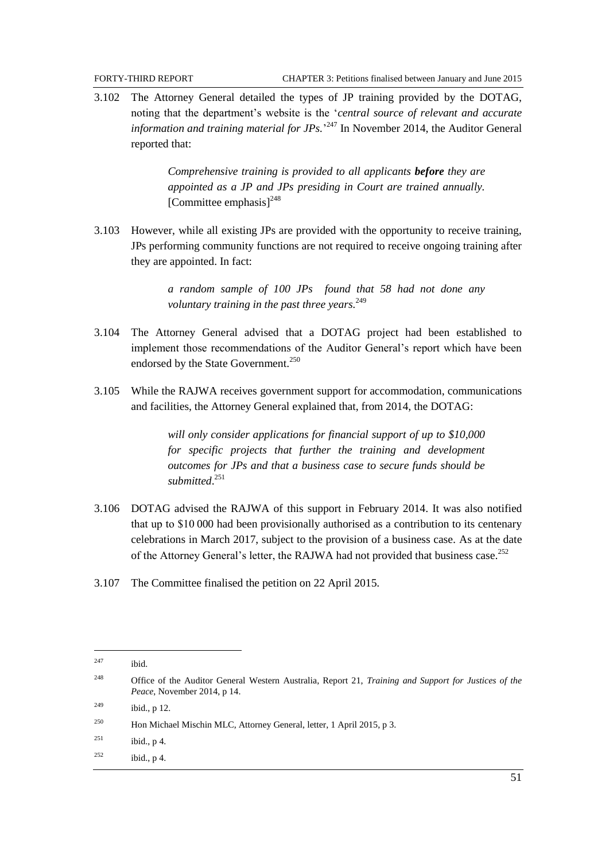3.102 The Attorney General detailed the types of JP training provided by the DOTAG, noting that the department's website is the ‗*central source of relevant and accurate*  information and training material for JPs.<sup>247</sup> In November 2014, the Auditor General reported that:

> *Comprehensive training is provided to all applicants before they are appointed as a JP and JPs presiding in Court are trained annually.*  $[Commitee$  emphasis $]^{248}$

3.103 However, while all existing JPs are provided with the opportunity to receive training, JPs performing community functions are not required to receive ongoing training after they are appointed. In fact:

> *a random sample of 100 JPs found that 58 had not done any voluntary training in the past three years.*<sup>249</sup>

- 3.104 The Attorney General advised that a DOTAG project had been established to implement those recommendations of the Auditor General's report which have been endorsed by the State Government.<sup>250</sup>
- 3.105 While the RAJWA receives government support for accommodation, communications and facilities, the Attorney General explained that, from 2014, the DOTAG:

*will only consider applications for financial support of up to \$10,000 for specific projects that further the training and development outcomes for JPs and that a business case to secure funds should be submitted*. 251

- 3.106 DOTAG advised the RAJWA of this support in February 2014. It was also notified that up to \$10 000 had been provisionally authorised as a contribution to its centenary celebrations in March 2017, subject to the provision of a business case. As at the date of the Attorney General's letter, the RAJWA had not provided that business case.<sup>252</sup>
- 3.107 The Committee finalised the petition on 22 April 2015.

<sup>247</sup> ibid.

<sup>248</sup> Office of the Auditor General Western Australia, Report 21, *Training and Support for Justices of the Peace*, November 2014, p 14.

 $249$  ibid., p 12.

<sup>250</sup> Hon Michael Mischin MLC, Attorney General, letter, 1 April 2015, p 3.

 $^{251}$  ibid., p 4.

 $^{252}$  ibid., p 4.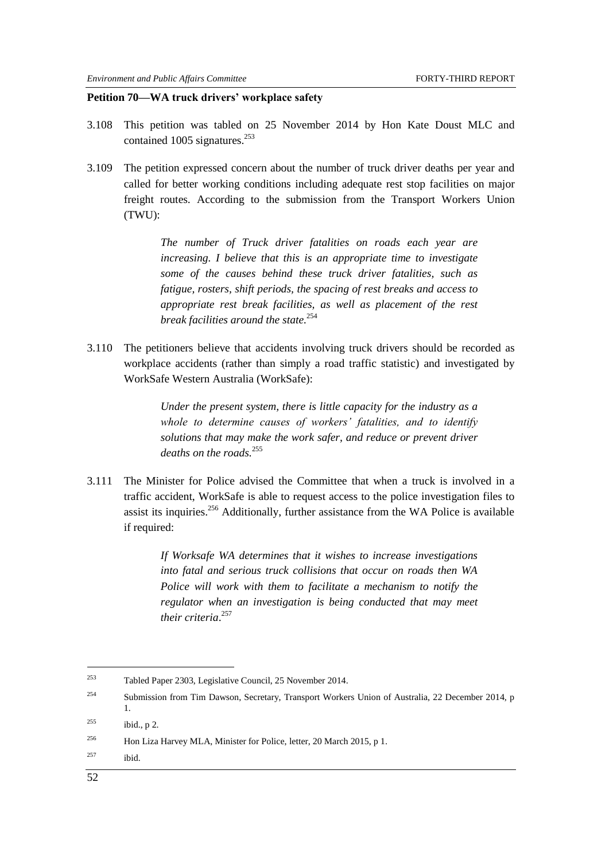#### **Petition 70—WA truck drivers' workplace safety**

- 3.108 This petition was tabled on 25 November 2014 by Hon Kate Doust MLC and contained 1005 signatures. $^{253}$
- 3.109 The petition expressed concern about the number of truck driver deaths per year and called for better working conditions including adequate rest stop facilities on major freight routes. According to the submission from the Transport Workers Union (TWU):

*The number of Truck driver fatalities on roads each year are increasing. I believe that this is an appropriate time to investigate some of the causes behind these truck driver fatalities, such as fatigue, rosters, shift periods, the spacing of rest breaks and access to appropriate rest break facilities, as well as placement of the rest break facilities around the state.*<sup>254</sup>

3.110 The petitioners believe that accidents involving truck drivers should be recorded as workplace accidents (rather than simply a road traffic statistic) and investigated by WorkSafe Western Australia (WorkSafe):

> *Under the present system, there is little capacity for the industry as a whole to determine causes of workers' fatalities, and to identify solutions that may make the work safer, and reduce or prevent driver deaths on the roads.*<sup>255</sup>

3.111 The Minister for Police advised the Committee that when a truck is involved in a traffic accident, WorkSafe is able to request access to the police investigation files to assist its inquiries.<sup>256</sup> Additionally, further assistance from the WA Police is available if required:

> *If Worksafe WA determines that it wishes to increase investigations into fatal and serious truck collisions that occur on roads then WA Police will work with them to facilitate a mechanism to notify the regulator when an investigation is being conducted that may meet their criteria*. 257

<sup>254</sup> Submission from Tim Dawson, Secretary, Transport Workers Union of Australia, 22 December 2014, p 1.

 $257$  ibid.

<sup>253</sup> Tabled Paper 2303, Legislative Council, 25 November 2014.

 $255$  ibid., p 2.

<sup>256</sup> Hon Liza Harvey MLA, Minister for Police, letter, 20 March 2015, p 1.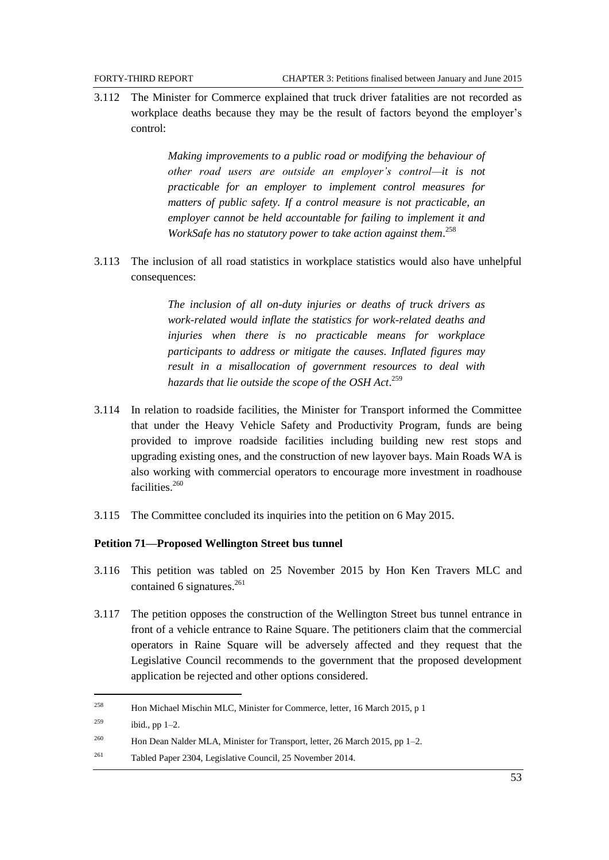3.112 The Minister for Commerce explained that truck driver fatalities are not recorded as workplace deaths because they may be the result of factors beyond the employer's control:

> *Making improvements to a public road or modifying the behaviour of other road users are outside an employer's control—it is not practicable for an employer to implement control measures for matters of public safety. If a control measure is not practicable, an employer cannot be held accountable for failing to implement it and WorkSafe has no statutory power to take action against them*. 258

3.113 The inclusion of all road statistics in workplace statistics would also have unhelpful consequences:

> *The inclusion of all on-duty injuries or deaths of truck drivers as work-related would inflate the statistics for work-related deaths and injuries when there is no practicable means for workplace participants to address or mitigate the causes. Inflated figures may result in a misallocation of government resources to deal with hazards that lie outside the scope of the OSH Act*. 259

- 3.114 In relation to roadside facilities, the Minister for Transport informed the Committee that under the Heavy Vehicle Safety and Productivity Program, funds are being provided to improve roadside facilities including building new rest stops and upgrading existing ones, and the construction of new layover bays. Main Roads WA is also working with commercial operators to encourage more investment in roadhouse facilities.<sup>260</sup>
- 3.115 The Committee concluded its inquiries into the petition on 6 May 2015.

## **Petition 71—Proposed Wellington Street bus tunnel**

- 3.116 This petition was tabled on 25 November 2015 by Hon Ken Travers MLC and contained 6 signatures. $^{261}$
- 3.117 The petition opposes the construction of the Wellington Street bus tunnel entrance in front of a vehicle entrance to Raine Square. The petitioners claim that the commercial operators in Raine Square will be adversely affected and they request that the Legislative Council recommends to the government that the proposed development application be rejected and other options considered.

<sup>258</sup> Hon Michael Mischin MLC, Minister for Commerce, letter, 16 March 2015, p 1

<sup>&</sup>lt;sup>259</sup> ibid., pp  $1-2$ .

<sup>&</sup>lt;sup>260</sup> Hon Dean Nalder MLA, Minister for Transport, letter, 26 March 2015, pp 1–2.

<sup>261</sup> Tabled Paper 2304, Legislative Council, 25 November 2014.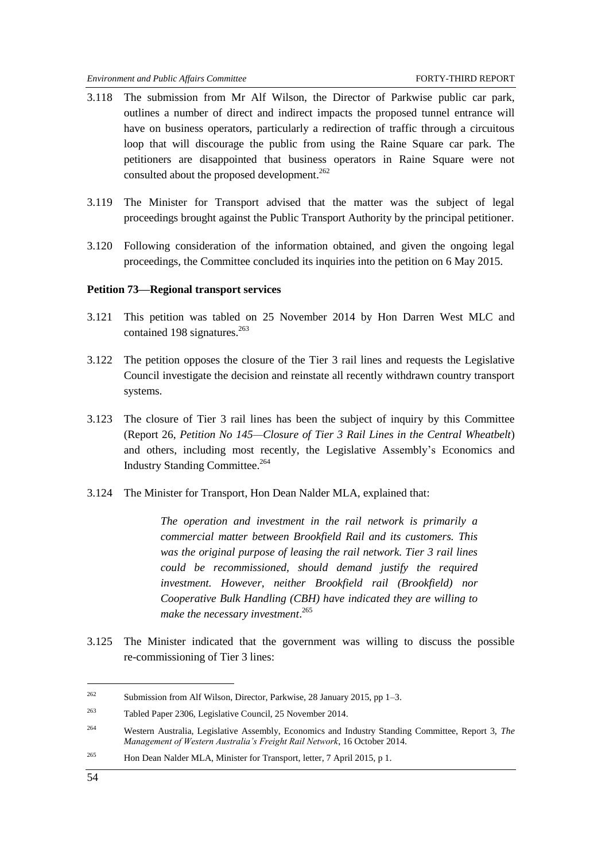- 3.118 The submission from Mr Alf Wilson, the Director of Parkwise public car park, outlines a number of direct and indirect impacts the proposed tunnel entrance will have on business operators, particularly a redirection of traffic through a circuitous loop that will discourage the public from using the Raine Square car park. The petitioners are disappointed that business operators in Raine Square were not consulted about the proposed development.<sup>262</sup>
- 3.119 The Minister for Transport advised that the matter was the subject of legal proceedings brought against the Public Transport Authority by the principal petitioner.
- 3.120 Following consideration of the information obtained, and given the ongoing legal proceedings, the Committee concluded its inquiries into the petition on 6 May 2015.

#### **Petition 73—Regional transport services**

- 3.121 This petition was tabled on 25 November 2014 by Hon Darren West MLC and contained 198 signatures. $263$
- 3.122 The petition opposes the closure of the Tier 3 rail lines and requests the Legislative Council investigate the decision and reinstate all recently withdrawn country transport systems.
- 3.123 The closure of Tier 3 rail lines has been the subject of inquiry by this Committee (Report 26, *Petition No 145—Closure of Tier 3 Rail Lines in the Central Wheatbelt*) and others, including most recently, the Legislative Assembly's Economics and Industry Standing Committee.<sup>264</sup>
- 3.124 The Minister for Transport, Hon Dean Nalder MLA, explained that:

*The operation and investment in the rail network is primarily a commercial matter between Brookfield Rail and its customers. This was the original purpose of leasing the rail network. Tier 3 rail lines could be recommissioned, should demand justify the required investment. However, neither Brookfield rail (Brookfield) nor Cooperative Bulk Handling (CBH) have indicated they are willing to make the necessary investment*. 265

3.125 The Minister indicated that the government was willing to discuss the possible re-commissioning of Tier 3 lines:

<sup>265</sup> Hon Dean Nalder MLA, Minister for Transport, letter, 7 April 2015, p 1.

-

<sup>262</sup> Submission from Alf Wilson, Director, Parkwise, 28 January 2015, pp 1–3.

<sup>263</sup> Tabled Paper 2306, Legislative Council, 25 November 2014.

<sup>264</sup> Western Australia, Legislative Assembly, Economics and Industry Standing Committee, Report 3, *The Management of Western Australia's Freight Rail Network*, 16 October 2014.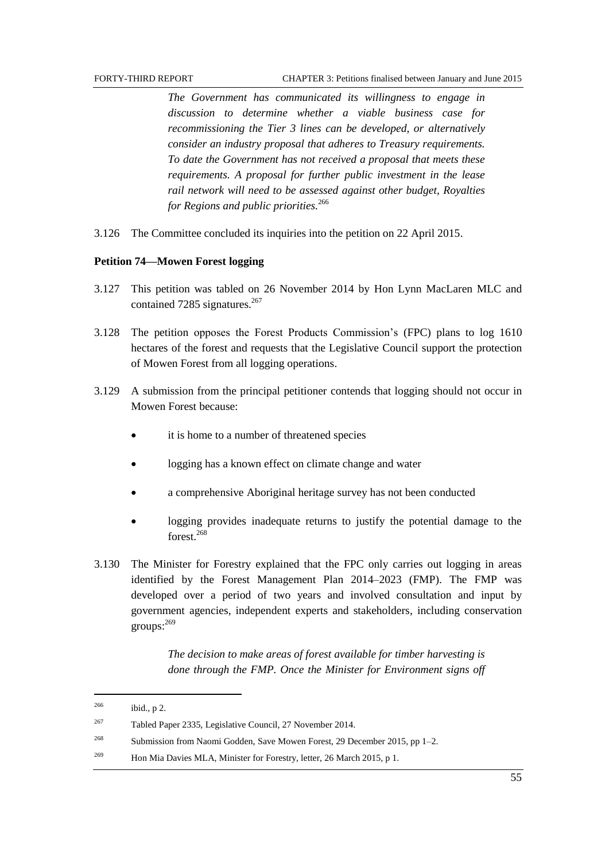*The Government has communicated its willingness to engage in discussion to determine whether a viable business case for recommissioning the Tier 3 lines can be developed, or alternatively consider an industry proposal that adheres to Treasury requirements. To date the Government has not received a proposal that meets these requirements. A proposal for further public investment in the lease rail network will need to be assessed against other budget, Royalties for Regions and public priorities.*<sup>266</sup>

3.126 The Committee concluded its inquiries into the petition on 22 April 2015.

#### **Petition 74—Mowen Forest logging**

- 3.127 This petition was tabled on 26 November 2014 by Hon Lynn MacLaren MLC and contained 7285 signatures. $267$
- 3.128 The petition opposes the Forest Products Commission's (FPC) plans to log 1610 hectares of the forest and requests that the Legislative Council support the protection of Mowen Forest from all logging operations.
- 3.129 A submission from the principal petitioner contends that logging should not occur in Mowen Forest because:
	- it is home to a number of threatened species
	- logging has a known effect on climate change and water
	- a comprehensive Aboriginal heritage survey has not been conducted
	- logging provides inadequate returns to justify the potential damage to the forest<sup>268</sup>
- 3.130 The Minister for Forestry explained that the FPC only carries out logging in areas identified by the Forest Management Plan 2014–2023 (FMP). The FMP was developed over a period of two years and involved consultation and input by government agencies, independent experts and stakeholders, including conservation groups: 269

*The decision to make areas of forest available for timber harvesting is done through the FMP. Once the Minister for Environment signs off* 

| 266 | ibid., $p$ 2.                                                                 |
|-----|-------------------------------------------------------------------------------|
| 267 | Tabled Paper 2335, Legislative Council, 27 November 2014.                     |
| 268 | Submission from Naomi Godden, Save Mowen Forest, 29 December 2015, pp $1-2$ . |
| 269 | Hon Mia Davies MLA, Minister for Forestry, letter, 26 March 2015, p 1.        |
|     |                                                                               |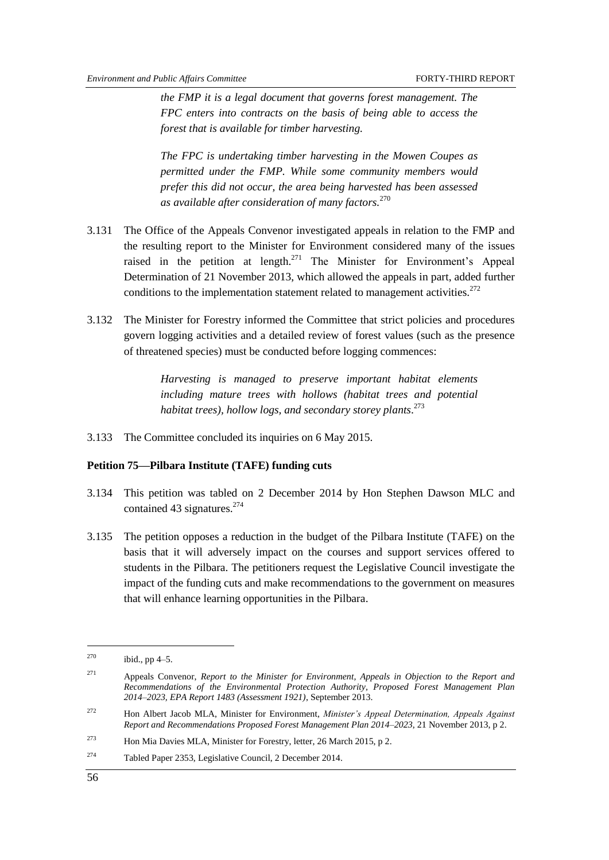*the FMP it is a legal document that governs forest management. The FPC enters into contracts on the basis of being able to access the forest that is available for timber harvesting.*

*The FPC is undertaking timber harvesting in the Mowen Coupes as permitted under the FMP. While some community members would prefer this did not occur, the area being harvested has been assessed as available after consideration of many factors.*<sup>270</sup>

- 3.131 The Office of the Appeals Convenor investigated appeals in relation to the FMP and the resulting report to the Minister for Environment considered many of the issues raised in the petition at length.<sup>271</sup> The Minister for Environment's Appeal Determination of 21 November 2013, which allowed the appeals in part, added further conditions to the implementation statement related to management activities.<sup>272</sup>
- 3.132 The Minister for Forestry informed the Committee that strict policies and procedures govern logging activities and a detailed review of forest values (such as the presence of threatened species) must be conducted before logging commences:

*Harvesting is managed to preserve important habitat elements including mature trees with hollows (habitat trees and potential habitat trees), hollow logs, and secondary storey plants*. 273

3.133 The Committee concluded its inquiries on 6 May 2015.

## **Petition 75—Pilbara Institute (TAFE) funding cuts**

- 3.134 This petition was tabled on 2 December 2014 by Hon Stephen Dawson MLC and contained 43 signatures. $274$
- 3.135 The petition opposes a reduction in the budget of the Pilbara Institute (TAFE) on the basis that it will adversely impact on the courses and support services offered to students in the Pilbara. The petitioners request the Legislative Council investigate the impact of the funding cuts and make recommendations to the government on measures that will enhance learning opportunities in the Pilbara.

<sup>&</sup>lt;sup>270</sup> ibid., pp  $4-5$ .

<sup>271</sup> Appeals Convenor, *Report to the Minister for Environment, Appeals in Objection to the Report and Recommendations of the Environmental Protection Authority, Proposed Forest Management Plan 2014–2023, EPA Report 1483 (Assessment 1921)*, September 2013.

<sup>272</sup> Hon Albert Jacob MLA, Minister for Environment, *Minister's Appeal Determination, Appeals Against Report and Recommendations Proposed Forest Management Plan 2014–2023*, 21 November 2013, p 2.

<sup>273</sup> Hon Mia Davies MLA, Minister for Forestry, letter, 26 March 2015, p 2.

<sup>274</sup> Tabled Paper 2353, Legislative Council, 2 December 2014.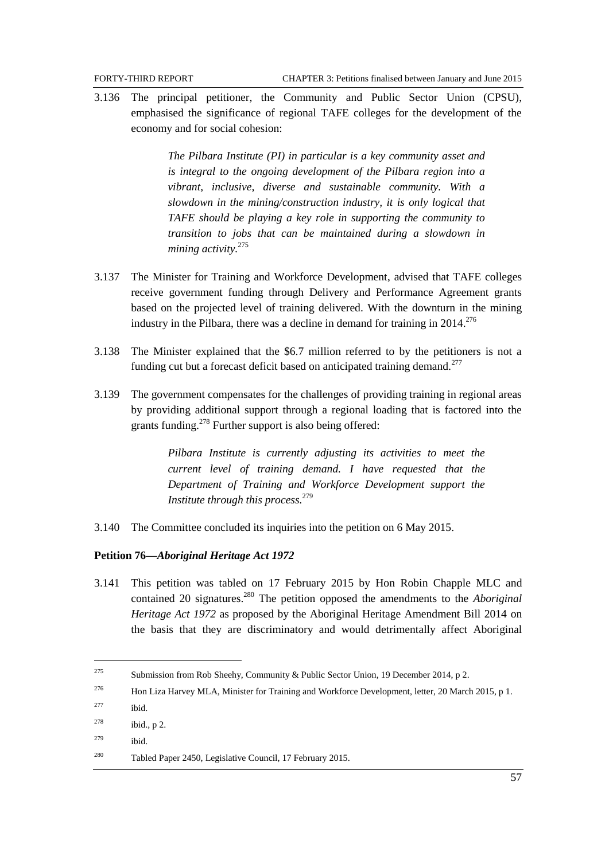3.136 The principal petitioner, the Community and Public Sector Union (CPSU), emphasised the significance of regional TAFE colleges for the development of the economy and for social cohesion:

> *The Pilbara Institute (PI) in particular is a key community asset and is integral to the ongoing development of the Pilbara region into a vibrant, inclusive, diverse and sustainable community. With a slowdown in the mining/construction industry, it is only logical that TAFE should be playing a key role in supporting the community to transition to jobs that can be maintained during a slowdown in mining activity.*<sup>275</sup>

- 3.137 The Minister for Training and Workforce Development, advised that TAFE colleges receive government funding through Delivery and Performance Agreement grants based on the projected level of training delivered. With the downturn in the mining industry in the Pilbara, there was a decline in demand for training in  $2014$ <sup>276</sup>
- 3.138 The Minister explained that the \$6.7 million referred to by the petitioners is not a funding cut but a forecast deficit based on anticipated training demand.<sup>277</sup>
- 3.139 The government compensates for the challenges of providing training in regional areas by providing additional support through a regional loading that is factored into the grants funding.<sup>278</sup> Further support is also being offered:

*Pilbara Institute is currently adjusting its activities to meet the current level of training demand. I have requested that the Department of Training and Workforce Development support the Institute through this process.*<sup>279</sup>

3.140 The Committee concluded its inquiries into the petition on 6 May 2015.

## **Petition 76—***Aboriginal Heritage Act 1972*

3.141 This petition was tabled on 17 February 2015 by Hon Robin Chapple MLC and contained 20 signatures.<sup>280</sup> The petition opposed the amendments to the *Aboriginal Heritage Act 1972* as proposed by the Aboriginal Heritage Amendment Bill 2014 on the basis that they are discriminatory and would detrimentally affect Aboriginal

- <sup>276</sup> Hon Liza Harvey MLA, Minister for Training and Workforce Development, letter, 20 March 2015, p 1.
- $277$  ibid.

- <sup>278</sup> ibid., p 2.
- <sup>279</sup> ibid.

<sup>&</sup>lt;sup>275</sup> Submission from Rob Sheehy, Community & Public Sector Union, 19 December 2014, p 2.

<sup>280</sup> Tabled Paper 2450, Legislative Council, 17 February 2015.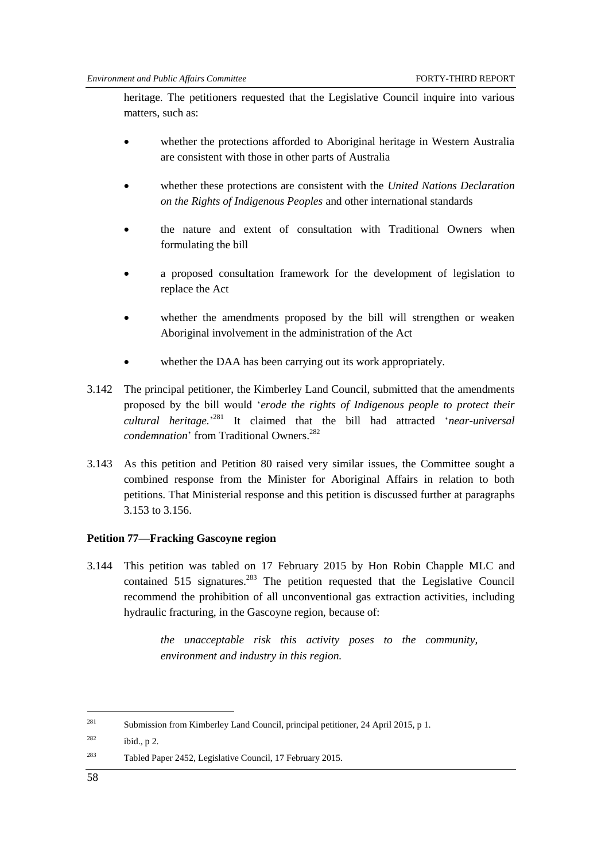heritage. The petitioners requested that the Legislative Council inquire into various matters, such as:

- whether the protections afforded to Aboriginal heritage in Western Australia are consistent with those in other parts of Australia
- whether these protections are consistent with the *United Nations Declaration on the Rights of Indigenous Peoples* and other international standards
- the nature and extent of consultation with Traditional Owners when formulating the bill
- a proposed consultation framework for the development of legislation to replace the Act
- whether the amendments proposed by the bill will strengthen or weaken Aboriginal involvement in the administration of the Act
- whether the DAA has been carrying out its work appropriately.
- 3.142 The principal petitioner, the Kimberley Land Council, submitted that the amendments proposed by the bill would ‗*erode the rights of Indigenous people to protect their cultural heritage.*' <sup>281</sup> It claimed that the bill had attracted ‗*near-universal condemnation*' from Traditional Owners. 282
- 3.143 As this petition and Petition 80 raised very similar issues, the Committee sought a combined response from the Minister for Aboriginal Affairs in relation to both petitions. That Ministerial response and this petition is discussed further at paragraphs [3.153](#page-67-0) to 3.156.

#### **Petition 77—Fracking Gascoyne region**

3.144 This petition was tabled on 17 February 2015 by Hon Robin Chapple MLC and contained  $515$  signatures.<sup>283</sup> The petition requested that the Legislative Council recommend the prohibition of all unconventional gas extraction activities, including hydraulic fracturing, in the Gascoyne region, because of:

> *the unacceptable risk this activity poses to the community, environment and industry in this region.*

<sup>281</sup> Submission from Kimberley Land Council, principal petitioner, 24 April 2015, p 1.

 $282$  ibid., p 2.

<sup>283</sup> Tabled Paper 2452, Legislative Council, 17 February 2015.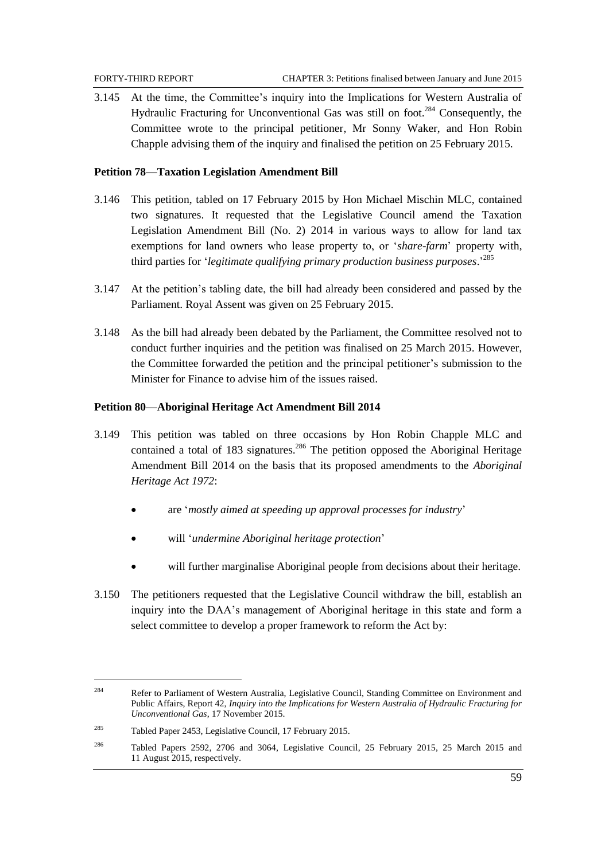3.145 At the time, the Committee's inquiry into the Implications for Western Australia of Hydraulic Fracturing for Unconventional Gas was still on foot.<sup>284</sup> Consequently, the Committee wrote to the principal petitioner, Mr Sonny Waker, and Hon Robin Chapple advising them of the inquiry and finalised the petition on 25 February 2015.

## **Petition 78—Taxation Legislation Amendment Bill**

- 3.146 This petition, tabled on 17 February 2015 by Hon Michael Mischin MLC, contained two signatures. It requested that the Legislative Council amend the Taxation Legislation Amendment Bill (No. 2) 2014 in various ways to allow for land tax exemptions for land owners who lease property to, or ‗*share-farm*' property with, third parties for ‗*legitimate qualifying primary production business purposes*.' 285
- 3.147 At the petition's tabling date, the bill had already been considered and passed by the Parliament. Royal Assent was given on 25 February 2015.
- 3.148 As the bill had already been debated by the Parliament, the Committee resolved not to conduct further inquiries and the petition was finalised on 25 March 2015. However, the Committee forwarded the petition and the principal petitioner's submission to the Minister for Finance to advise him of the issues raised.

#### **Petition 80—Aboriginal Heritage Act Amendment Bill 2014**

- 3.149 This petition was tabled on three occasions by Hon Robin Chapple MLC and contained a total of  $183$  signatures.<sup>286</sup> The petition opposed the Aboriginal Heritage Amendment Bill 2014 on the basis that its proposed amendments to the *Aboriginal Heritage Act 1972*:
	- are ‗*mostly aimed at speeding up approval processes for industry*'
	- will ‗*undermine Aboriginal heritage protection*'
	- will further marginalise Aboriginal people from decisions about their heritage.
- 3.150 The petitioners requested that the Legislative Council withdraw the bill, establish an inquiry into the DAA's management of Aboriginal heritage in this state and form a select committee to develop a proper framework to reform the Act by:

<sup>284</sup> Refer to Parliament of Western Australia, Legislative Council, Standing Committee on Environment and Public Affairs, Report 42, *Inquiry into the Implications for Western Australia of Hydraulic Fracturing for Unconventional Gas*, 17 November 2015.

<sup>285</sup> Tabled Paper 2453, Legislative Council, 17 February 2015.

<sup>286</sup> Tabled Papers 2592, 2706 and 3064, Legislative Council, 25 February 2015, 25 March 2015 and 11 August 2015, respectively.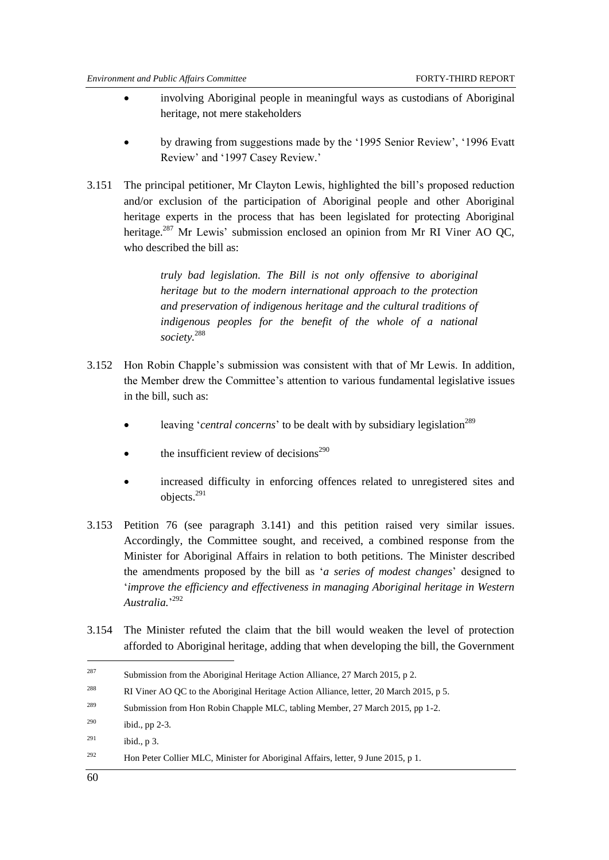- involving Aboriginal people in meaningful ways as custodians of Aboriginal heritage, not mere stakeholders
- by drawing from suggestions made by the ‗1995 Senior Review', ‗1996 Evatt Review' and '1997 Casey Review.'
- 3.151 The principal petitioner, Mr Clayton Lewis, highlighted the bill's proposed reduction and/or exclusion of the participation of Aboriginal people and other Aboriginal heritage experts in the process that has been legislated for protecting Aboriginal heritage.<sup>287</sup> Mr Lewis' submission enclosed an opinion from Mr RI Viner AO QC, who described the bill as:

*truly bad legislation. The Bill is not only offensive to aboriginal heritage but to the modern international approach to the protection and preservation of indigenous heritage and the cultural traditions of indigenous peoples for the benefit of the whole of a national society.*<sup>288</sup>

- 3.152 Hon Robin Chapple's submission was consistent with that of Mr Lewis. In addition, the Member drew the Committee's attention to various fundamental legislative issues in the bill, such as:
	- leaving *'central concerns'* to be dealt with by subsidiary legislation<sup>289</sup>
	- the insufficient review of decisions<sup> $290$ </sup>
	- increased difficulty in enforcing offences related to unregistered sites and objects.<sup>291</sup>
- <span id="page-67-0"></span>3.153 Petition 76 (see paragraph 3.141) and this petition raised very similar issues. Accordingly, the Committee sought, and received, a combined response from the Minister for Aboriginal Affairs in relation to both petitions. The Minister described the amendments proposed by the bill as ‗*a series of modest changes*' designed to ‗*improve the efficiency and effectiveness in managing Aboriginal heritage in Western Australia.*' 292
- 3.154 The Minister refuted the claim that the bill would weaken the level of protection afforded to Aboriginal heritage, adding that when developing the bill, the Government

<sup>&</sup>lt;sup>287</sup> Submission from the Aboriginal Heritage Action Alliance, 27 March 2015, p 2.

<sup>&</sup>lt;sup>288</sup> RI Viner AO QC to the Aboriginal Heritage Action Alliance, letter, 20 March 2015, p 5.

<sup>&</sup>lt;sup>289</sup> Submission from Hon Robin Chapple MLC, tabling Member, 27 March 2015, pp 1-2.

<sup>&</sup>lt;sup>290</sup> ibid., pp 2-3.

 $^{291}$  ibid., p 3.

<sup>292</sup> Hon Peter Collier MLC, Minister for Aboriginal Affairs, letter, 9 June 2015, p 1.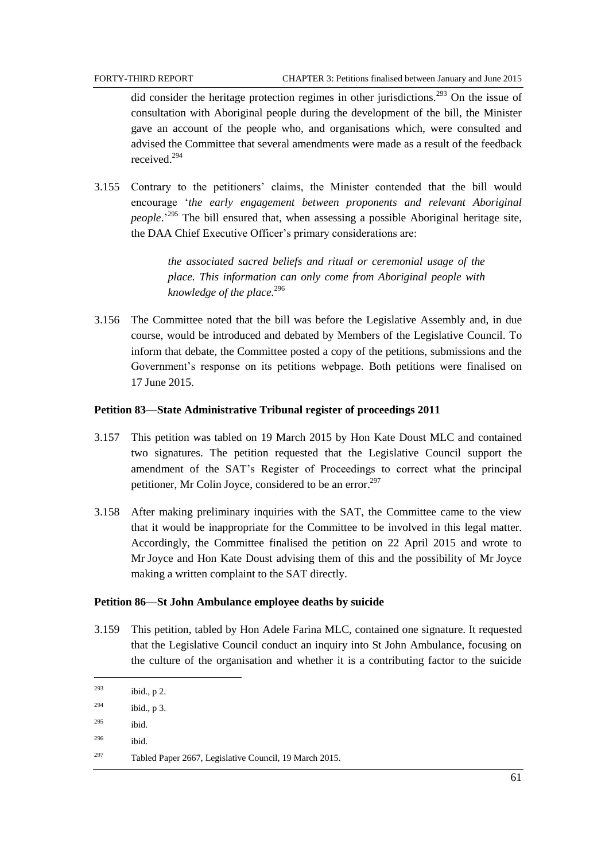did consider the heritage protection regimes in other jurisdictions.<sup>293</sup> On the issue of consultation with Aboriginal people during the development of the bill, the Minister gave an account of the people who, and organisations which, were consulted and advised the Committee that several amendments were made as a result of the feedback received<sup>294</sup>

3.155 Contrary to the petitioners' claims, the Minister contended that the bill would encourage ‗*the early engagement between proponents and relevant Aboriginal people*.' <sup>295</sup> The bill ensured that, when assessing a possible Aboriginal heritage site, the DAA Chief Executive Officer's primary considerations are:

> *the associated sacred beliefs and ritual or ceremonial usage of the place. This information can only come from Aboriginal people with knowledge of the place.*<sup>296</sup>

3.156 The Committee noted that the bill was before the Legislative Assembly and, in due course, would be introduced and debated by Members of the Legislative Council. To inform that debate, the Committee posted a copy of the petitions, submissions and the Government's response on its petitions webpage. Both petitions were finalised on 17 June 2015.

#### **Petition 83—State Administrative Tribunal register of proceedings 2011**

- 3.157 This petition was tabled on 19 March 2015 by Hon Kate Doust MLC and contained two signatures. The petition requested that the Legislative Council support the amendment of the SAT's Register of Proceedings to correct what the principal petitioner, Mr Colin Joyce, considered to be an error.<sup>297</sup>
- 3.158 After making preliminary inquiries with the SAT, the Committee came to the view that it would be inappropriate for the Committee to be involved in this legal matter. Accordingly, the Committee finalised the petition on 22 April 2015 and wrote to Mr Joyce and Hon Kate Doust advising them of this and the possibility of Mr Joyce making a written complaint to the SAT directly.

#### **Petition 86—St John Ambulance employee deaths by suicide**

3.159 This petition, tabled by Hon Adele Farina MLC, contained one signature. It requested that the Legislative Council conduct an inquiry into St John Ambulance, focusing on the culture of the organisation and whether it is a contributing factor to the suicide

<sup>296</sup> ibid.

 $293$  ibid., p 2.  $^{294}$  ibid., p 3. <sup>295</sup> ibid.

<sup>297</sup> Tabled Paper 2667, Legislative Council, 19 March 2015.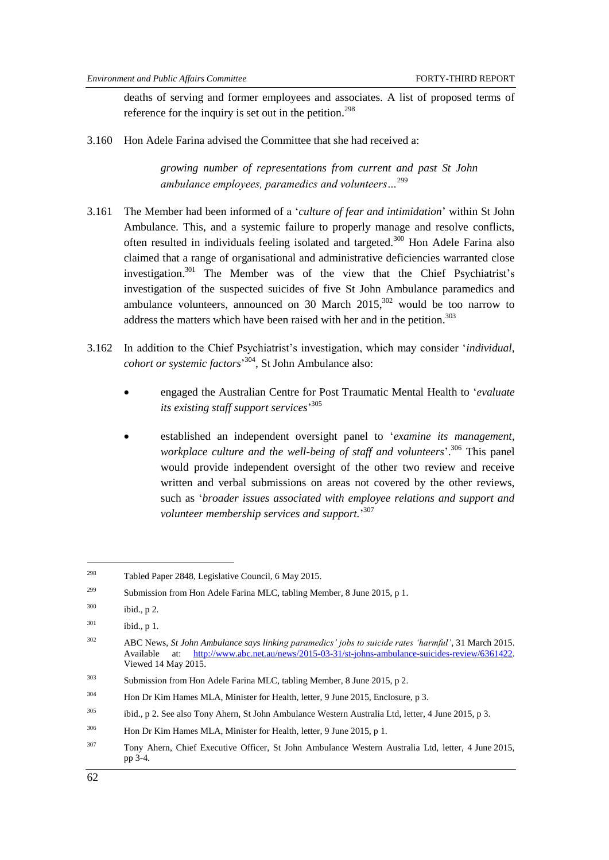deaths of serving and former employees and associates. A list of proposed terms of reference for the inquiry is set out in the petition.<sup>298</sup>

3.160 Hon Adele Farina advised the Committee that she had received a:

*growing number of representations from current and past St John ambulance employees, paramedics and volunteers…*<sup>299</sup>

- 3.161 The Member had been informed of a ‗*culture of fear and intimidation*' within St John Ambulance. This, and a systemic failure to properly manage and resolve conflicts, often resulted in individuals feeling isolated and targeted.<sup>300</sup> Hon Adele Farina also claimed that a range of organisational and administrative deficiencies warranted close investigation. <sup>301</sup> The Member was of the view that the Chief Psychiatrist's investigation of the suspected suicides of five St John Ambulance paramedics and ambulance volunteers, announced on 30 March  $2015$ ,  $302$  would be too narrow to address the matters which have been raised with her and in the petition.<sup>303</sup>
- 3.162 In addition to the Chief Psychiatrist's investigation, which may consider ‗*individual, cohort or systemic factors*' <sup>304</sup>, St John Ambulance also:
	- engaged the Australian Centre for Post Traumatic Mental Health to ‗*evaluate its existing staff support services*' 305
	- established an independent oversight panel to ‗*examine its management, workplace culture and the well-being of staff and volunteers*'. <sup>306</sup> This panel would provide independent oversight of the other two review and receive written and verbal submissions on areas not covered by the other reviews, such as ‗*broader issues associated with employee relations and support and volunteer membership services and support.*' 307

<sup>298</sup> Tabled Paper 2848, Legislative Council, 6 May 2015.

<sup>&</sup>lt;sup>299</sup> Submission from Hon Adele Farina MLC, tabling Member, 8 June 2015, p 1.

 $300$  ibid., p 2.

 $^{301}$  ibid., p 1.

<sup>302</sup> ABC News, *St John Ambulance says linking paramedics' jobs to suicide rates ‗harmful'*, 31 March 2015. Available at: [http://www.abc.net.au/news/2015-03-31/st-johns-ambulance-suicides-review/6361422.](http://www.abc.net.au/news/2015-03-31/st-johns-ambulance-suicides-review/6361422) Viewed 14 May 2015.

<sup>&</sup>lt;sup>303</sup> Submission from Hon Adele Farina MLC, tabling Member, 8 June 2015, p 2.

<sup>304</sup> Hon Dr Kim Hames MLA, Minister for Health, letter, 9 June 2015, Enclosure, p 3.

<sup>&</sup>lt;sup>305</sup> ibid., p 2. See also Tony Ahern, St John Ambulance Western Australia Ltd, letter, 4 June 2015, p 3.

<sup>306</sup> Hon Dr Kim Hames MLA, Minister for Health, letter, 9 June 2015, p 1.

<sup>307</sup> Tony Ahern, Chief Executive Officer, St John Ambulance Western Australia Ltd, letter, 4 June 2015, pp 3-4.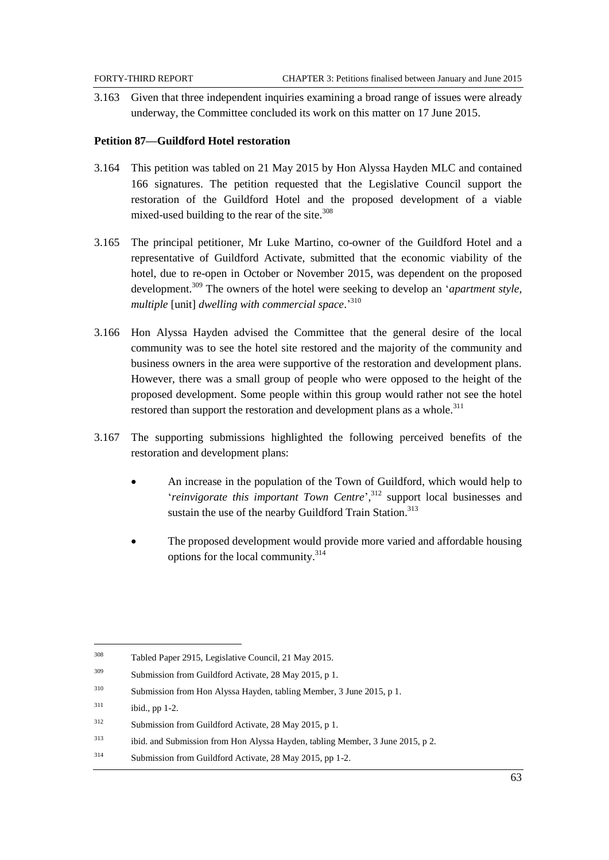3.163 Given that three independent inquiries examining a broad range of issues were already underway, the Committee concluded its work on this matter on 17 June 2015.

#### **Petition 87—Guildford Hotel restoration**

- 3.164 This petition was tabled on 21 May 2015 by Hon Alyssa Hayden MLC and contained 166 signatures. The petition requested that the Legislative Council support the restoration of the Guildford Hotel and the proposed development of a viable mixed-used building to the rear of the site. $308$
- 3.165 The principal petitioner, Mr Luke Martino, co-owner of the Guildford Hotel and a representative of Guildford Activate, submitted that the economic viability of the hotel, due to re-open in October or November 2015, was dependent on the proposed development.<sup>309</sup> The owners of the hotel were seeking to develop an ‗*apartment style, multiple* [unit] *dwelling with commercial space*.' 310
- 3.166 Hon Alyssa Hayden advised the Committee that the general desire of the local community was to see the hotel site restored and the majority of the community and business owners in the area were supportive of the restoration and development plans. However, there was a small group of people who were opposed to the height of the proposed development. Some people within this group would rather not see the hotel restored than support the restoration and development plans as a whole.<sup>311</sup>
- 3.167 The supporting submissions highlighted the following perceived benefits of the restoration and development plans:
	- An increase in the population of the Town of Guildford, which would help to ‗*reinvigorate this important Town Centre*', <sup>312</sup> support local businesses and sustain the use of the nearby Guildford Train Station.<sup>313</sup>
	- The proposed development would provide more varied and affordable housing options for the local community.<sup>314</sup>

<sup>308</sup> Tabled Paper 2915, Legislative Council, 21 May 2015.

<sup>309</sup> Submission from Guildford Activate, 28 May 2015, p 1.

<sup>310</sup> Submission from Hon Alyssa Hayden, tabling Member, 3 June 2015, p 1.

 $311$  ibid., pp 1-2.

<sup>312</sup> Submission from Guildford Activate, 28 May 2015, p 1.

<sup>313</sup> ibid. and Submission from Hon Alyssa Hayden, tabling Member, 3 June 2015, p 2.

<sup>314</sup> Submission from Guildford Activate, 28 May 2015, pp 1-2.